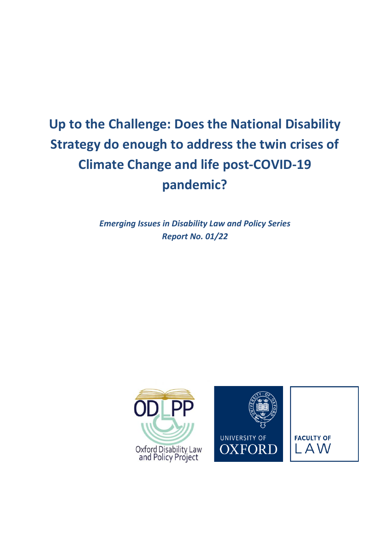# **Up to the Challenge: Does the National Disability Strategy do enough to address the twin crises of Climate Change and life post-COVID-19 pandemic?**

*Emerging Issues in Disability Law and Policy Series Report No. 01/22* 

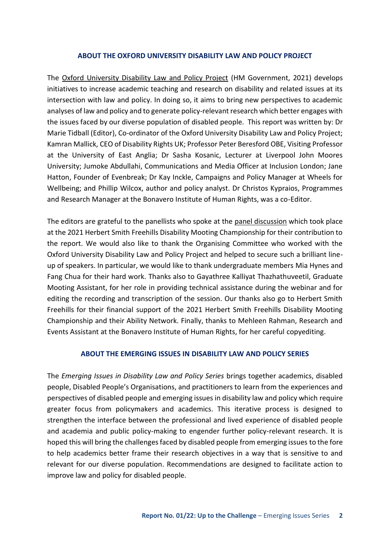#### **ABOUT THE OXFORD UNIVERSITY DISABILITY LAW AND POLICY PROJECT**

The [Oxford University Disability Law and Policy Project](https://www.law.ox.ac.uk/research-and-subject-groups/oxford-university-disability-law-and-policy-project) (HM Government, 2021) develops initiatives to increase academic teaching and research on disability and related issues at its intersection with law and policy. In doing so, it aims to bring new perspectives to academic analyses of law and policy and to generate policy-relevant research which better engages with the issues faced by our diverse population of disabled people. This report was written by: Dr Marie Tidball (Editor), Co-ordinator of the Oxford University Disability Law and Policy Project; Kamran Mallick, CEO of Disability Rights UK; Professor Peter Beresford OBE, Visiting Professor at the University of East Anglia; Dr Sasha Kosanic, Lecturer at Liverpool John Moores University; Jumoke Abdullahi, Communications and Media Officer at Inclusion London; Jane Hatton, Founder of Evenbreak; Dr Kay Inckle, Campaigns and Policy Manager at Wheels for Wellbeing; and Phillip Wilcox, author and policy analyst. Dr Christos Kypraios, Programmes and Research Manager at the Bonavero Institute of Human Rights, was a co-Editor.

The editors are grateful to the panellists who spoke at the [panel discussion](https://www.youtube.com/watch?v=v502wvPZGNs&ab_channel=OxfordLawFaculty) which took place at the 2021 Herbert Smith Freehills Disability Mooting Championship for their contribution to the report. We would also like to thank the Organising Committee who worked with the Oxford University Disability Law and Policy Project and helped to secure such a brilliant lineup of speakers. In particular, we would like to thank undergraduate members Mia Hynes and Fang Chua for their hard work. Thanks also to Gayathree Kalliyat Thazhathuveetil, Graduate Mooting Assistant, for her role in providing technical assistance during the webinar and for editing the recording and transcription of the session. Our thanks also go to Herbert Smith Freehills for their financial support of the 2021 Herbert Smith Freehills Disability Mooting Championship and their Ability Network. Finally, thanks to Mehleen Rahman, Research and Events Assistant at the Bonavero Institute of Human Rights, for her careful copyediting.

#### **ABOUT THE EMERGING ISSUES IN DISABILITY LAW AND POLICY SERIES**

The *Emerging Issues in Disability Law and Policy Series* brings together academics, disabled people, Disabled People's Organisations, and practitioners to learn from the experiences and perspectives of disabled people and emerging issues in disability law and policy which require greater focus from policymakers and academics. This iterative process is designed to strengthen the interface between the professional and lived experience of disabled people and academia and public policy-making to engender further policy-relevant research. It is hoped this will bring the challenges faced by disabled people from emerging issues to the fore to help academics better frame their research objectives in a way that is sensitive to and relevant for our diverse population. Recommendations are designed to facilitate action to improve law and policy for disabled people.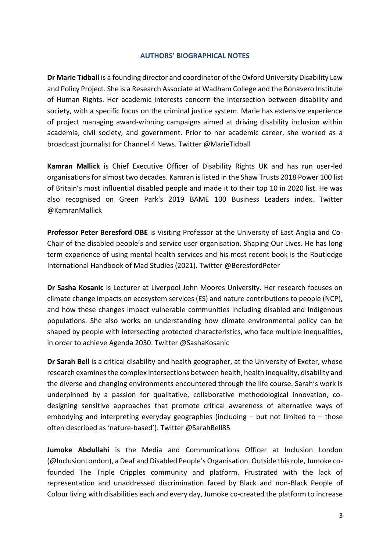### **AUTHORS' BIOGRAPHICAL NOTES**

**Dr Marie Tidball** is a founding director and coordinator of the Oxford University Disability Law and Policy Project. She is a Research Associate at Wadham College and the Bonavero Institute of Human Rights. Her academic interests concern the intersection between disability and society, with a specific focus on the criminal justice system. Marie has extensive experience of project managing award-winning campaigns aimed at driving disability inclusion within academia, civil society, and government. Prior to her academic career, she worked as a broadcast journalist for Channel 4 News. Twitter @MarieTidball

**Kamran Mallick** is Chief Executive Officer of Disability Rights UK and has run user-led organisations for almost two decades. Kamran is listed in the Shaw Trusts 2018 Power 100 list of Britain's most influential disabled people and made it to their top 10 in 2020 list. He was also recognised on Green Park's 2019 BAME 100 Business Leaders index. Twitter @KamranMallick

**Professor Peter Beresford OBE** is Visiting Professor at the University of East Anglia and Co-Chair of the disabled people's and service user organisation, Shaping Our Lives. He has long term experience of using mental health services and his most recent book is the Routledge International Handbook of Mad Studies (2021). Twitter @BeresfordPeter

**Dr Sasha Kosanic** is Lecturer at Liverpool John Moores University. Her research focuses on climate change impacts on ecosystem services (ES) and nature contributions to people (NCP), and how these changes impact vulnerable communities including disabled and Indigenous populations. She also works on understanding how climate environmental policy can be shaped by people with intersecting protected characteristics, who face multiple inequalities, in order to achieve Agenda 2030. Twitter @SashaKosanic

**Dr Sarah Bell** is a critical disability and health geographer, at the University of Exeter, whose research examines the complex intersections between health, health inequality, disability and the diverse and changing environments encountered through the life course. Sarah's work is underpinned by a passion for qualitative, collaborative methodological innovation, codesigning sensitive approaches that promote critical awareness of alternative ways of embodying and interpreting everyday geographies (including  $-$  but not limited to  $-$  those often described as 'nature-based'). Twitter @SarahBell85

**Jumoke Abdullahi** is the Media and Communications Officer at Inclusion London (@InclusionLondon), a Deaf and Disabled People's Organisation. Outside this role, Jumoke cofounded The Triple Cripples community and platform. Frustrated with the lack of representation and unaddressed discrimination faced by Black and non-Black People of Colour living with disabilities each and every day, Jumoke co-created the platform to increase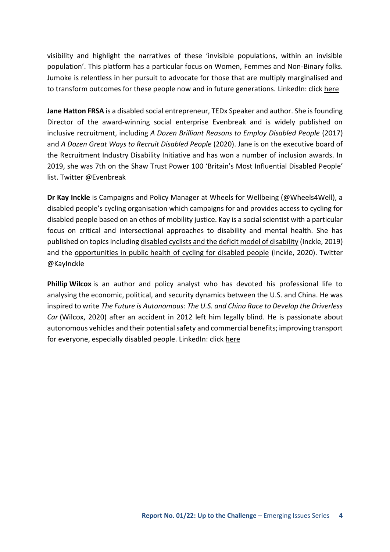visibility and highlight the narratives of these 'invisible populations, within an invisible population'. This platform has a particular focus on Women, Femmes and Non-Binary folks. Jumoke is relentless in her pursuit to advocate for those that are multiply marginalised and to transform outcomes for these people now and in future generations. LinkedIn: click here

**Jane Hatton FRSA** is a disabled social entrepreneur, TEDx Speaker and author. She is founding Director of the award-winning social enterprise Evenbreak and is widely published on inclusive recruitment, including *A Dozen Brilliant Reasons to Employ Disabled People* (2017) and *A Dozen Great Ways to Recruit Disabled People* (2020). Jane is on the executive board of the Recruitment Industry Disability Initiative and has won a number of inclusion awards. In 2019, she was 7th on the Shaw Trust Power 100 'Britain's Most Influential Disabled People' list. Twitter @Evenbreak

**Dr Kay Inckle** is Campaigns and Policy Manager at Wheels for Wellbeing (@Wheels4Well), a disabled people's cycling organisation which campaigns for and provides access to cycling for disabled people based on an ethos of mobility justice. Kay is a social scientist with a particular focus on critical and intersectional approaches to disability and mental health. She has published on topics includin[g disabled cyclists and the deficit model of disability](https://dsq-sds.org/article/view/6513/5468) (Inckle, 2019) and th[e opportunities in public health of cycling for disabled people](https://www.sjdr.se/articles/10.16993/sjdr.695/) (Inckle, 2020). Twitter @KayInckle

**Phillip Wilcox** is an author and policy analyst who has devoted his professional life to analysing the economic, political, and security dynamics between the U.S. and China. He was inspired to write *The Future is Autonomous: The U.S. and China Race to Develop the Driverless Car* (Wilcox, 2020) after an accident in 2012 left him legally blind. He is passionate about autonomous vehicles and their potential safety and commercial benefits; improving transport for everyone, especially disabled people. LinkedIn: click here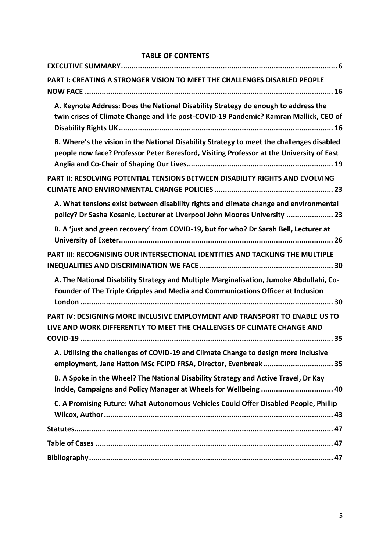### **TABLE OF CONTENTS**

| PART I: CREATING A STRONGER VISION TO MEET THE CHALLENGES DISABLED PEOPLE                                                                                                             |
|---------------------------------------------------------------------------------------------------------------------------------------------------------------------------------------|
| A. Keynote Address: Does the National Disability Strategy do enough to address the<br>twin crises of Climate Change and life post-COVID-19 Pandemic? Kamran Mallick, CEO of           |
| B. Where's the vision in the National Disability Strategy to meet the challenges disabled<br>people now face? Professor Peter Beresford, Visiting Professor at the University of East |
| <b>PART II: RESOLVING POTENTIAL TENSIONS BETWEEN DISABILITY RIGHTS AND EVOLVING</b>                                                                                                   |
| A. What tensions exist between disability rights and climate change and environmental<br>policy? Dr Sasha Kosanic, Lecturer at Liverpool John Moores University  23                   |
| B. A 'just and green recovery' from COVID-19, but for who? Dr Sarah Bell, Lecturer at                                                                                                 |
| PART III: RECOGNISING OUR INTERSECTIONAL IDENTITIES AND TACKLING THE MULTIPLE                                                                                                         |
| A. The National Disability Strategy and Multiple Marginalisation, Jumoke Abdullahi, Co-<br>Founder of The Triple Cripples and Media and Communications Officer at Inclusion           |
| PART IV: DESIGNING MORE INCLUSIVE EMPLOYMENT AND TRANSPORT TO ENABLE US TO<br>LIVE AND WORK DIFFERENTLY TO MEET THE CHALLENGES OF CLIMATE CHANGE AND                                  |
| A. Utilising the challenges of COVID-19 and Climate Change to design more inclusive<br>employment, Jane Hatton MSc FCIPD FRSA, Director, Evenbreak 35                                 |
| B. A Spoke in the Wheel? The National Disability Strategy and Active Travel, Dr Kay<br>Inckle, Campaigns and Policy Manager at Wheels for Wellbeing  40                               |
| C. A Promising Future: What Autonomous Vehicles Could Offer Disabled People, Phillip                                                                                                  |
|                                                                                                                                                                                       |
|                                                                                                                                                                                       |
|                                                                                                                                                                                       |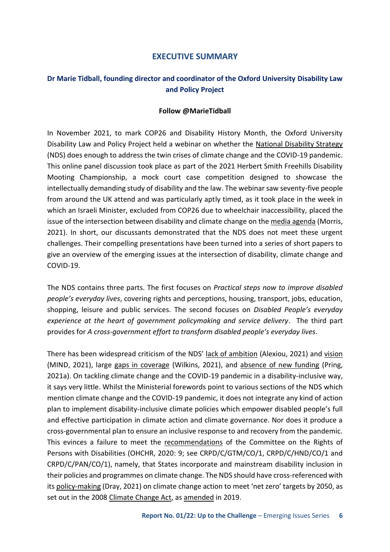### **EXECUTIVE SUMMARY**

### <span id="page-5-0"></span>**Dr Marie Tidball, founding director and coordinator of the Oxford University Disability Law and Policy Project**

### **Follow @MarieTidball**

In November 2021, to mark COP26 and Disability History Month, the Oxford University Disability Law and Policy Project held a webinar on whether the [National Disability Strategy](https://assets.publishing.service.gov.uk/government/uploads/system/uploads/attachment_data/file/1006098/National-Disability-Strategy_web-accesible-pdf.pdf)  (NDS) does enough to address the twin crises of climate change and the COVID-19 pandemic. This online panel discussion took place as part of the 2021 Herbert Smith Freehills Disability Mooting Championship, a mock court case competition designed to showcase the intellectually demanding study of disability and the law. The webinar saw seventy-five people from around the UK attend and was particularly aptly timed, as it took place in the week in which an Israeli Minister, excluded from COP26 due to wheelchair inaccessibility, placed the issue of the intersection between disability and climate change on the [media agenda](https://news-sky-com.cdn.ampproject.org/c/s/news.sky.com/story/amp/cop26-israeli-minister-excluded-from-glasgow-summit-due-to-wheelchair-inaccessibility-12457498) (Morris, 2021). In short, our discussants demonstrated that the NDS does not meet these urgent challenges. Their compelling presentations have been turned into a series of short papers to give an overview of the emerging issues at the intersection of disability, climate change and COVID-19.

The NDS contains three parts. The first focuses on *Practical steps now to improve disabled people's everyday lives*, covering rights and perceptions, housing, transport, jobs, education, shopping, leisure and public services. The second focuses on *Disabled People's everyday experience at the heart of government policymaking and service delivery*. The third part provides for *A cross-government effort to transform disabled people's everyday lives*.

There has been widespread criticism of the NDS' [lack of ambition](https://www.forbes.com/sites/gusalexiou/2021/07/29/uk-governments-national-disability-strategy-receives-lukewarm-response/?sh=39957d7c3eb9) (Alexiou, 2021) and [vision](https://www.mind.org.uk/news-campaigns/news/the-uk-government-s-national-disability-strategy-is-not-the-visionary-disabled-person-led-strategy-promised/)  (MIND, 2021), large [gaps in coverage](https://eachother.org.uk/what-did-the-government-miss-out-in-its-national-disability-strategy/) (Wilkins, 2021), and [absence of new funding](https://www.disabilitynewsservice.com/national-disability-strategy-new-analysis-shows-document-is-just-cynical-repackaging/) (Pring, 2021a). On tackling climate change and the COVID-19 pandemic in a disability-inclusive way, it says very little. Whilst the Ministerial forewords point to various sections of the NDS which mention climate change and the COVID-19 pandemic, it does not integrate any kind of action plan to implement disability-inclusive climate policies which empower disabled people's full and effective participation in climate action and climate governance. Nor does it produce a cross-governmental plan to ensure an inclusive response to and recovery from the pandemic. This evinces a failure to meet the [recommendations](https://docstore.ohchr.org/SelfServices/FilesHandler.ashx?enc=6QkG1d%2fPPRiCAqhKb7yhspqaGUxjv30oR%2feE3bkBIYo6dDu%2fV%2f9FnV0GRvQScsmPjEtGRNdOGApY7guffSL%2fD7UcoqvjLMwG9%2fUwczG%2bAWLPv4Al3hcCv5hT12ChRP79) of the Committee on the Rights of Persons with Disabilities (OHCHR, 2020: 9; see CRPD/C/GTM/CO/1, CRPD/C/HND/CO/1 and CRPD/C/PAN/CO/1), namely, that States incorporate and mainstream disability inclusion in their policies and programmes on climate change. The NDS should have cross-referenced with its [policy-making](https://lordslibrary.parliament.uk/climate-change-targets-the-road-to-net-zero/) (Dray, 2021) on climate change action to meet 'net zero' targets by 2050, as set out in the 2008 [Climate Change Act,](https://www.legislation.gov.uk/ukpga/2008/27/contents) as [amended](https://www.legislation.gov.uk/uksi/2019/1056/contents/made) in 2019.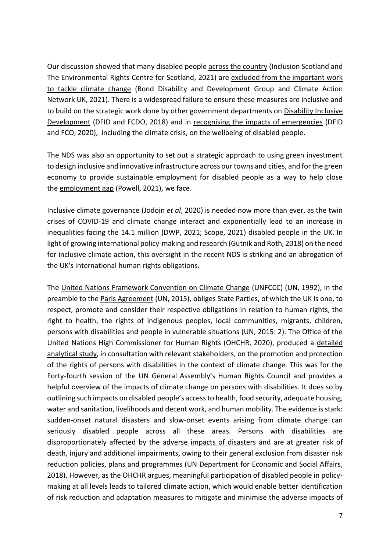Our discussion showed that many disabled people [across the country](https://www.ercs.scot/wp/wp-content/uploads/2021/10/HRHE-and-disabled-peoples-rights-Final-Sept-2021.pdf) (Inclusion Scotland and The Environmental Rights Centre for Scotland, 2021) are [excluded from the important work](https://www.bond.org.uk/sites/default/files/resource-documents/ddg_climate_brief-formatted-141021-final_-_20_oct_2021.pdf)  [to tackle climate change](https://www.bond.org.uk/sites/default/files/resource-documents/ddg_climate_brief-formatted-141021-final_-_20_oct_2021.pdf) (Bond Disability and Development Group and Climate Action Network UK, 2021). There is a widespread failure to ensure these measures are inclusive and to build on the strategic work done by other government departments on Disability Inclusive [Development](https://www.gov.uk/government/publications/dfids-disability-inclusion-strategy-2018-to-2023) (DFID and FCDO, 2018) and in [recognising the impacts of emergencies](https://www.gov.uk/government/publications/an-approach-and-theory-of-change-to-mental-health-and-psychosocial-support) (DFID and FCO, 2020), including the climate crisis, on the wellbeing of disabled people.

The NDS was also an opportunity to set out a strategic approach to using green investment to design inclusive and innovative infrastructure across our towns and cities, and for the green economy to provide sustainable employment for disabled people as a way to help close the [employment gap](https://researchbriefings.files.parliament.uk/documents/CBP-7540/CBP-7540.pdf) (Powell, 2021), we face.

[Inclusive climate governance](https://papers.ssrn.com/sol3/papers.cfm?abstract_id=3610193) (Jodoin *et al*, 2020) is needed now more than ever, as the twin crises of COVID-19 and climate change interact and exponentially lead to an increase in inequalities facing the [14.1 million](https://www.scope.org.uk/media/disability-facts-figures/) (DWP, 2021; Scope, 2021) disabled people in the UK. In light of growing international policy-making an[d research](https://www.ohchr.org/Documents/Issues/ClimateChange/Submissions/Disabilities/Humanity_and_Inclusion.pdf) (Gutnik and Roth, 2018) on the need for inclusive climate action, this oversight in the recent NDS is striking and an abrogation of the UK's international human rights obligations.

The [United Nations Framework Convention on Climate Change](https://unfccc.int/resource/docs/convkp/conveng.pdf) (UNFCCC) (UN, 1992), in the preamble to the [Paris Agreement](https://unfccc.int/sites/default/files/english_paris_agreement.pdf) (UN, 2015), obliges State Parties, of which the UK is one, to respect, promote and consider their respective obligations in relation to human rights, the right to health, the rights of indigenous peoples, local communities, migrants, children, persons with disabilities and people in vulnerable situations (UN, 2015: 2). The Office of the United Nations High Commissioner for Human Rights (OHCHR, 2020), produced a [detailed](https://undocs.org/A/HRC/44/30)  [analytical study,](https://undocs.org/A/HRC/44/30) in consultation with relevant stakeholders, on the promotion and protection of the rights of persons with disabilities in the context of climate change. This was for the Forty-fourth session of the UN General Assembly's Human Rights Council and provides a helpful overview of the impacts of climate change on persons with disabilities. It does so by outlining such impacts on disabled people's access to health, food security, adequate housing, water and sanitation, livelihoods and decent work, and human mobility. The evidence is stark: sudden-onset natural disasters and slow-onset events arising from climate change can seriously disabled people across all these areas. Persons with disabilities are disproportionately affected by the [adverse impacts of disasters](https://www.un.org/development/desa/disabilities/wp-content/uploads/sites/15/2019/10/UN-flagship-report-on-disability-and-development.pdf) and are at greater risk of death, injury and additional impairments, owing to their general exclusion from disaster risk reduction policies, plans and programmes (UN Department for Economic and Social Affairs, 2018). However, as the OHCHR argues, meaningful participation of disabled people in policymaking at all levels leads to tailored climate action, which would enable better identification of risk reduction and adaptation measures to mitigate and minimise the adverse impacts of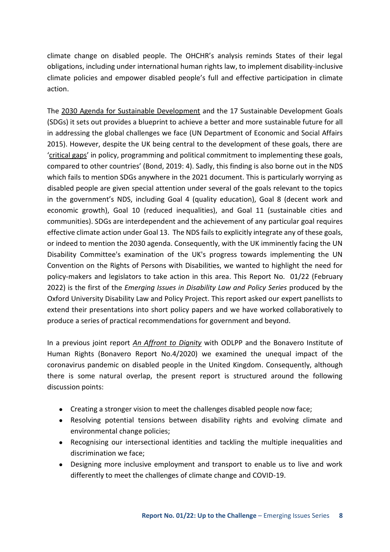climate change on disabled people. The OHCHR's analysis reminds States of their legal obligations, including under international human rights law, to implement disability-inclusive climate policies and empower disabled people's full and effective participation in climate action.

The [2030 Agenda for Sustainable Development](https://sdgs.un.org/2030agenda) and the 17 Sustainable Development Goals (SDGs) it sets out provides a blueprint to achieve a better and more sustainable future for all in addressing the global challenges we face (UN Department of Economic and Social Affairs 2015). However, despite the UK being central to the development of these goals, there are '[critical gaps](https://www.bond.org.uk/sites/default/files/bond_the_uks_global_contribution_to_the_sdgs_online_full_report.pdf)' in policy, programming and political commitment to implementing these goals, compared to other countries' (Bond, 2019: 4). Sadly, this finding is also borne out in the NDS which fails to mention SDGs anywhere in the 2021 document. This is particularly worrying as disabled people are given special attention under several of the goals relevant to the topics in the government's NDS, including Goal 4 (quality education), Goal 8 (decent work and economic growth), Goal 10 (reduced inequalities), and Goal 11 (sustainable cities and communities). SDGs are interdependent and the achievement of any particular goal requires effective climate action under Goal 13. The NDS fails to explicitly integrate any of these goals, or indeed to mention the 2030 agenda. Consequently, with the UK imminently facing the UN Disability Committee's examination of the UK's progress towards implementing the UN Convention on the Rights of Persons with Disabilities, we wanted to highlight the need for policy-makers and legislators to take action in this area. This Report No. 01/22 (February 2022) is the first of the *Emerging Issues in Disability Law and Policy Series* produced by the Oxford University Disability Law and Policy Project. This report asked our expert panellists to extend their presentations into short policy papers and we have worked collaboratively to produce a series of practical recommendations for government and beyond.

In a previous joint report *[An Affront to Dignity](https://www.law.ox.ac.uk/news/2020-07-02-affront-dignity-inclusion-and-equality-coronavirus-and-impact-law-policy-practice)* with ODLPP and the Bonavero Institute of Human Rights (Bonavero Report No.4/2020) we examined the unequal impact of the coronavirus pandemic on disabled people in the United Kingdom. Consequently, although there is some natural overlap, the present report is structured around the following discussion points:

- Creating a stronger vision to meet the challenges disabled people now face;
- Resolving potential tensions between disability rights and evolving climate and environmental change policies;
- Recognising our intersectional identities and tackling the multiple inequalities and discrimination we face;
- Designing more inclusive employment and transport to enable us to live and work differently to meet the challenges of climate change and COVID-19.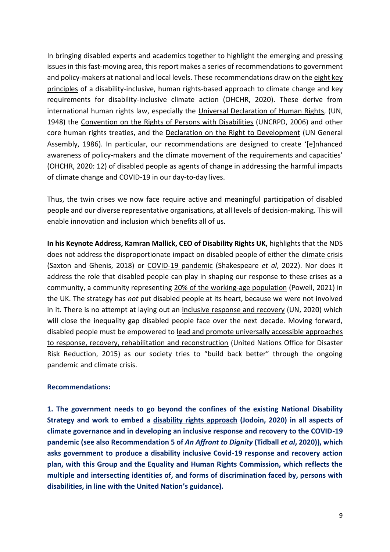In bringing disabled experts and academics together to highlight the emerging and pressing issues in this fast-moving area, this report makes a series of recommendations to government and policy-makers at national and local levels. These recommendations draw on th[e eight key](https://undocs.org/A/HRC/44/30)  [principles](https://undocs.org/A/HRC/44/30) of a disability-inclusive, human rights-based approach to climate change and key requirements for disability-inclusive climate action (OHCHR, 2020). These derive from international human rights law, especially the [Universal Declaration of Human Rights,](https://www.un.org/en/about-us/universal-declaration-of-human-rights) (UN, 1948) the [Convention on the Rights of Persons with Disabilities](https://www.un.org/development/desa/disabilities/convention-on-the-rights-of-persons-with-disabilities.html) (UNCRPD, 2006) and other core human rights treaties, and the [Declaration on the Right to Development](https://www.ohchr.org/en/professionalinterest/pages/righttodevelopment.aspx) (UN General Assembly, 1986). In particular, our recommendations are designed to create '[e]nhanced awareness of policy-makers and the climate movement of the requirements and capacities' (OHCHR, 2020: 12) of disabled people as agents of change in addressing the harmful impacts of climate change and COVID-19 in our day-to-day lives.

Thus, the twin crises we now face require active and meaningful participation of disabled people and our diverse representative organisations, at all levels of decision-making. This will enable innovation and inclusion which benefits all of us.

**In his Keynote Address, Kamran Mallick, CEO of Disability Rights UK,** highlights that the NDS does not address the disproportionate impact on disabled people of either the [climate crisis](http://journals.hw.ac.uk/index.php/IPED/article/view/43)  (Saxton and Ghenis, 2018) or [COVID-19 pandemic](https://onlinelibrary.wiley.com/doi/full/10.1111/spol.12758) (Shakespeare *et al*, 2022). Nor does it address the role that disabled people can play in shaping our response to these crises as a community, a community representing [20% of the working-age population](https://researchbriefings.files.parliament.uk/documents/CBP-7540/CBP-7540.pdf) (Powell, 2021) in the UK. The strategy has *not* put disabled people at its heart, because we were not involved in it. There is no attempt at laying out an [inclusive response and recovery](https://www.un.org/sites/un2.un.org/files/sg_policy_brief_on_persons_with_disabilities_final.pdf) (UN, 2020) which will close the inequality gap disabled people face over the next decade. Moving forward, disabled people must be empowered to [lead and promote universally accessible approaches](https://www.undrr.org/publication/sendai-framework-disaster-risk-reduction-2015-2030)  [to response, recovery, rehabilitation and reconstruction](https://www.undrr.org/publication/sendai-framework-disaster-risk-reduction-2015-2030) (United Nations Office for Disaster Risk Reduction, 2015) as our society tries to "build back better" through the ongoing pandemic and climate crisis.

#### **Recommendations:**

**1. The government needs to go beyond the confines of the existing National Disability Strategy and work to embed a [disability rights approach](https://papers.ssrn.com/sol3/papers.cfm?abstract_id=3610193) (Jodoin, 2020) in all aspects of climate governance and in developing an inclusive response and recovery to the COVID-19 pandemic (see also Recommendation 5 of** *An Affront to Dignity* **(Tidball** *et al***, 2020)), which asks government to produce a disability inclusive Covid-19 response and recovery action plan, with this Group and the Equality and Human Rights Commission, which reflects the multiple and intersecting identities of, and forms of discrimination faced by, persons with disabilities, in line with the United Nation's guidance).**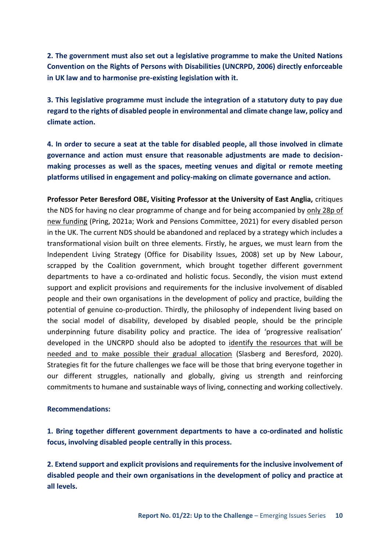**2. The government must also set out a legislative programme to make the United Nations Convention on the Rights of Persons with Disabilities (UNCRPD, 2006) directly enforceable in UK law and to harmonise pre-existing legislation with it.** 

**3. This legislative programme must include the integration of a statutory duty to pay due regard to the rights of disabled people in environmental and climate change law, policy and climate action.** 

**4. In order to secure a seat at the table for disabled people, all those involved in climate governance and action must ensure that reasonable adjustments are made to decisionmaking processes as well as the spaces, meeting venues and digital or remote meeting platforms utilised in engagement and policy-making on climate governance and action.** 

**Professor Peter Beresford OBE, Visiting Professor at the University of East Anglia,** critiques the NDS for having no clear programme of change and for being accompanied by [only 28p of](https://www.disabilitynewsservice.com/government-reveals-national-disability-strategy-offers-just-28p-per-person-in-new-funds/)  [new funding](https://www.disabilitynewsservice.com/government-reveals-national-disability-strategy-offers-just-28p-per-person-in-new-funds/) (Pring, 2021a; Work and Pensions Committee, 2021) for every disabled person in the UK. The current NDS should be abandoned and replaced by a strategy which includes a transformational vision built on three elements. Firstly, he argues, we must learn from the Independent Living Strategy (Office for Disability Issues, 2008) set up by New Labour, scrapped by the Coalition government, which brought together different government departments to have a co-ordinated and holistic focus. Secondly, the vision must extend support and explicit provisions and requirements for the inclusive involvement of disabled people and their own organisations in the development of policy and practice, building the potential of genuine co-production. Thirdly, the philosophy of independent living based on the social model of disability, developed by disabled people, should be the principle underpinning future disability policy and practice. The idea of 'progressive realisation' developed in the UNCRPD should also be adopted to [identify the resources that will be](http://ssrg.org.uk/wp-content/uploads/2018/02/Slasberg-Beresford.pdf)  [needed and to make possible their gradual allocation](http://ssrg.org.uk/wp-content/uploads/2018/02/Slasberg-Beresford.pdf) (Slasberg and Beresford, 2020). Strategies fit for the future challenges we face will be those that bring everyone together in our different struggles, nationally and globally, giving us strength and reinforcing commitments to humane and sustainable ways of living, connecting and working collectively.

#### **Recommendations:**

**1. Bring together different government departments to have a co-ordinated and holistic focus, involving disabled people centrally in this process.** 

**2. Extend support and explicit provisions and requirements for the inclusive involvement of disabled people and their own organisations in the development of policy and practice at all levels.**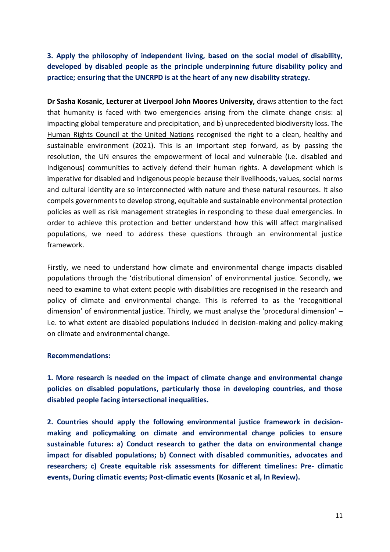### **3. Apply the philosophy of independent living, based on the social model of disability, developed by disabled people as the principle underpinning future disability policy and practice; ensuring that the UNCRPD is at the heart of any new disability strategy.**

**Dr Sasha Kosanic, Lecturer at Liverpool John Moores University,** draws attention to the fact that humanity is faced with two emergencies arising from the climate change crisis: a) impacting global temperature and precipitation, and b) unprecedented biodiversity loss. The [Human Rights Council at the United Nations](https://www.unep.org/news-and-stories/story/landmark-un-resolution-confirms-healthy-environment-human-right) recognised the right to a clean, healthy and sustainable environment (2021). This is an important step forward, as by passing the resolution, the UN ensures the empowerment of local and vulnerable (i.e. disabled and Indigenous) communities to actively defend their human rights. A development which is imperative for disabled and Indigenous people because their livelihoods, values, social norms and cultural identity are so interconnected with nature and these natural resources. It also compels governments to develop strong, equitable and sustainable environmental protection policies as well as risk management strategies in responding to these dual emergencies. In order to achieve this protection and better understand how this will affect marginalised populations, we need to address these questions through an environmental justice framework.

Firstly, we need to understand how climate and environmental change impacts disabled populations through the 'distributional dimension' of environmental justice. Secondly, we need to examine to what extent people with disabilities are recognised in the research and policy of climate and environmental change. This is referred to as the 'recognitional dimension' of environmental justice. Thirdly, we must analyse the 'procedural dimension' – i.e. to what extent are disabled populations included in decision-making and policy-making on climate and environmental change.

### **Recommendations:**

**1. More research is needed on the impact of climate change and environmental change policies on disabled populations, particularly those in developing countries, and those disabled people facing intersectional inequalities.** 

**2. Countries should apply the following environmental justice framework in decisionmaking and policymaking on climate and environmental change policies to ensure sustainable futures: a) Conduct research to gather the data on environmental change impact for disabled populations; b) Connect with disabled communities, advocates and researchers; c) Create equitable risk assessments for different timelines: Pre- climatic events, During climatic events; Post-climatic events (Kosanic et al, In Review).**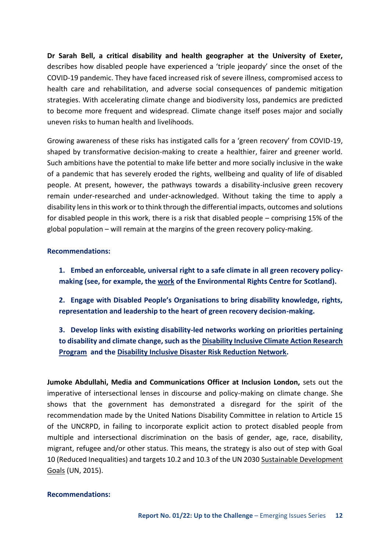**Dr Sarah Bell, a critical disability and health geographer at the University of Exeter,** describes how disabled people have experienced a 'triple jeopardy' since the onset of the COVID-19 pandemic. They have faced increased risk of severe illness, compromised access to health care and rehabilitation, and adverse social consequences of pandemic mitigation strategies. With accelerating climate change and biodiversity loss, pandemics are predicted to become more frequent and widespread. Climate change itself poses major and socially uneven risks to human health and livelihoods.

Growing awareness of these risks has instigated calls for a 'green recovery' from COVID-19, shaped by transformative decision-making to create a healthier, fairer and greener world. Such ambitions have the potential to make life better and more socially inclusive in the wake of a pandemic that has severely eroded the rights, wellbeing and quality of life of disabled people. At present, however, the pathways towards a disability-inclusive green recovery remain under-researched and under-acknowledged. Without taking the time to apply a disability lens in this work or to think through the differential impacts, outcomes and solutions for disabled people in this work, there is a risk that disabled people – comprising 15% of the global population – will remain at the margins of the green recovery policy-making.

### **Recommendations:**

- **1. Embed an enforceable***,* **universal right to a safe climate in all green recovery policymaking (see, for example, th[e work](https://www.ercs.scot/news/press-release-petition-for-an-enforceable-human-right-to-a-healthy-environment-launched-today/) of the Environmental Rights Centre for Scotland).**
- **2. Engage with Disabled People's Organisations to bring disability knowledge, rights, representation and leadership to the heart of green recovery decision-making.**
- **3. Develop links with existing disability-led networks working on priorities pertaining to disability and climate change, such as th[e Disability Inclusive Climate Action Research](https://www.disabilityinclusiveclimate.org/)  [Program](https://www.disabilityinclusiveclimate.org/) and th[e Disability Inclusive Disaster Risk Reduction Network.](http://www.didrrn.net/)**

**Jumoke Abdullahi, Media and Communications Officer at Inclusion London,** sets out the imperative of intersectional lenses in discourse and policy-making on climate change. She shows that the government has demonstrated a disregard for the spirit of the recommendation made by the United Nations Disability Committee in relation to Article 15 of the UNCRPD, in failing to incorporate explicit action to protect disabled people from multiple and intersectional discrimination on the basis of gender, age, race, disability, migrant, refugee and/or other status. This means, the strategy is also out of step with Goal 10 (Reduced Inequalities) and targets 10.2 and 10.3 of the UN 2030 [Sustainable Development](https://sdgs.un.org/goals)  [Goals](https://sdgs.un.org/goals) (UN, 2015).

#### **Recommendations:**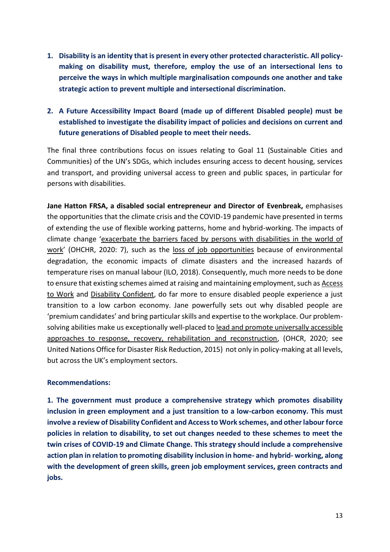**1. Disability is an identity that is present in every other protected characteristic. All policymaking on disability must, therefore, employ the use of an intersectional lens to perceive the ways in which multiple marginalisation compounds one another and take strategic action to prevent multiple and intersectional discrimination.** 

### **2. A Future Accessibility Impact Board (made up of different Disabled people) must be established to investigate the disability impact of policies and decisions on current and future generations of Disabled people to meet their needs.**

The final three contributions focus on issues relating to Goal 11 (Sustainable Cities and Communities) of the UN's SDGs, which includes ensuring access to decent housing, services and transport, and providing universal access to green and public spaces, in particular for persons with disabilities.

**Jane Hatton FRSA, a disabled social entrepreneur and Director of Evenbreak,** emphasises the opportunities that the climate crisis and the COVID-19 pandemic have presented in terms of extending the use of flexible working patterns, home and hybrid-working. The impacts of climate change '[exacerbate the barriers faced by persons with disabilities in the world of](https://undocs.org/A/HRC/44/30)  [work](https://undocs.org/A/HRC/44/30)' (OHCHR, 2020: 7), such as the [loss of job opportunities](https://www.ilo.org/wcmsp5/groups/public/---ed_emp/documents/publication/wcms_645572.pdf) because of environmental degradation, the economic impacts of climate disasters and the increased hazards of temperature rises on manual labour (ILO, 2018). Consequently, much more needs to be done to ensure that existing schemes aimed at raising and maintaining employment, such as [Access](https://www.gov.uk/access-to-work)  [to Work](https://www.gov.uk/access-to-work) and [Disability Confident,](https://assets.publishing.service.gov.uk/government/uploads/system/uploads/attachment_data/file/830085/disability-confident-welcome-guide-new-members.pdf) do far more to ensure disabled people experience a just transition to a low carbon economy. Jane powerfully sets out why disabled people are 'premium candidates' and bring particular skills and expertise to the workplace. Our problemsolving abilities make us exceptionally well-placed to [lead and promote universally accessible](https://www.undrr.org/publication/sendai-framework-disaster-risk-reduction-2015-2030)  [approaches to response, recovery, rehabilitation and reconstruction,](https://www.undrr.org/publication/sendai-framework-disaster-risk-reduction-2015-2030) (OHCR, 2020; see United Nations Office for Disaster Risk Reduction, 2015) not only in policy-making at all levels, but across the UK's employment sectors.

### **Recommendations:**

**1. The government must produce a comprehensive strategy which promotes disability inclusion in green employment and a just transition to a low-carbon economy. This must involve a review of Disability Confident and Access to Work schemes, and other labour force policies in relation to disability, to set out changes needed to these schemes to meet the twin crises of COVID-19 and Climate Change. This strategy should include a comprehensive action plan in relation to promoting disability inclusion in home- and hybrid- working, along with the development of green skills, green job employment services, green contracts and jobs.**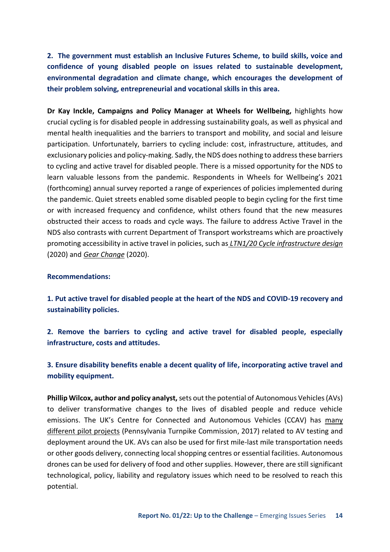**2. The government must establish an Inclusive Futures Scheme, to build skills, voice and confidence of young disabled people on issues related to sustainable development, environmental degradation and climate change, which encourages the development of their problem solving, entrepreneurial and vocational skills in this area.** 

**Dr Kay Inckle, Campaigns and Policy Manager at Wheels for Wellbeing,** highlights how crucial cycling is for disabled people in addressing sustainability goals, as well as physical and mental health inequalities and the barriers to transport and mobility, and social and leisure participation. Unfortunately, barriers to cycling include: cost, infrastructure, attitudes, and exclusionary policies and policy-making. Sadly, the NDS does nothing to address these barriers to cycling and active travel for disabled people. There is a missed opportunity for the NDS to learn valuable lessons from the pandemic. Respondents in Wheels for Wellbeing's 2021 (forthcoming) annual survey reported a range of experiences of policies implemented during the pandemic. Quiet streets enabled some disabled people to begin cycling for the first time or with increased frequency and confidence, whilst others found that the new measures obstructed their access to roads and cycle ways. The failure to address Active Travel in the NDS also contrasts with current Department of Transport workstreams which are proactively promoting accessibility in active travel in policies, such a[s](https://www.gov.uk/government/publications/cycle-infrastructure-design-ltn-120) *[LTN1/20 Cycle infrastructure design](https://www.gov.uk/government/publications/cycle-infrastructure-design-ltn-120)* (2020) an[d](https://assets.publishing.service.gov.uk/government/uploads/system/uploads/attachment_data/file/904146/gear-change-a-bold-vision-for-cycling-and-walking.pdf) *[Gear Change](https://assets.publishing.service.gov.uk/government/uploads/system/uploads/attachment_data/file/904146/gear-change-a-bold-vision-for-cycling-and-walking.pdf)* (2020).

#### **Recommendations:**

**1. Put active travel for disabled people at the heart of the NDS and COVID-19 recovery and sustainability policies.** 

**2. Remove the barriers to cycling and active travel for disabled people, especially infrastructure, costs and attitudes.** 

**3. Ensure disability benefits enable a decent quality of life, incorporating active travel and mobility equipment.** 

**Phillip Wilcox, author and policy analyst,** sets out the potential of Autonomous Vehicles (AVs) to deliver transformative changes to the lives of disabled people and reduce vehicle emissions. The UK's Centre for Connected and Autonomous Vehicles (CCAV) has [many](https://transportationops.org/sites/transops/files/PA%20Turnpike_CAV_Program_Roadmap.pdf)  [different pilot projects](https://transportationops.org/sites/transops/files/PA%20Turnpike_CAV_Program_Roadmap.pdf) (Pennsylvania Turnpike Commission, 2017) related to AV testing and deployment around the UK. AVs can also be used for first mile-last mile transportation needs or other goods delivery, connecting local shopping centres or essential facilities. Autonomous drones can be used for delivery of food and other supplies. However, there are still significant technological, policy, liability and regulatory issues which need to be resolved to reach this potential.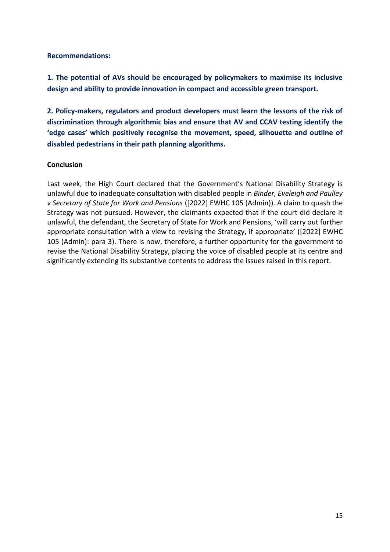### **Recommendations:**

**1. The potential of AVs should be encouraged by policymakers to maximise its inclusive design and ability to provide innovation in compact and accessible green transport.** 

**2. Policy-makers, regulators and product developers must learn the lessons of the risk of discrimination through algorithmic bias and ensure that AV and CCAV testing identify the 'edge cases' which positively recognise the movement, speed, silhouette and outline of disabled pedestrians in their path planning algorithms.** 

### **Conclusion**

Last week, the High Court declared that the Government's National Disability Strategy is unlawful due to inadequate consultation with disabled people in *Binder, Eveleigh and Paulley v Secretary of State for Work and Pensions* ([2022] EWHC 105 (Admin)). A claim to quash the Strategy was not pursued. However, the claimants expected that if the court did declare it unlawful, the defendant, the Secretary of State for Work and Pensions, 'will carry out further appropriate consultation with a view to revising the Strategy, if appropriate' ([2022] EWHC 105 (Admin): para 3). There is now, therefore, a further opportunity for the government to revise the National Disability Strategy, placing the voice of disabled people at its centre and significantly extending its substantive contents to address the issues raised in this report.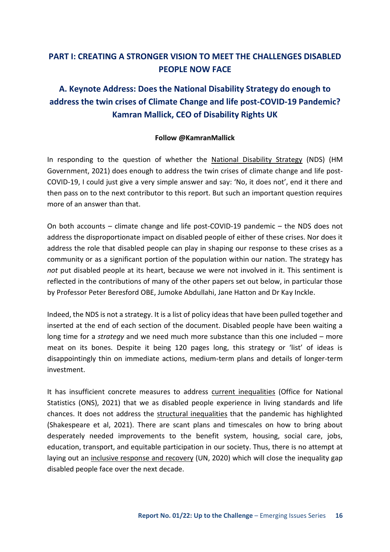### <span id="page-15-0"></span>**PART I: CREATING A STRONGER VISION TO MEET THE CHALLENGES DISABLED PEOPLE NOW FACE**

# <span id="page-15-1"></span>**A. Keynote Address: Does the National Disability Strategy do enough to address the twin crises of Climate Change and life post-COVID-19 Pandemic? Kamran Mallick, CEO of Disability Rights UK**

### **Follow @KamranMallick**

In responding to the question of whether the [National Disability Strategy](https://assets.publishing.service.gov.uk/government/uploads/system/uploads/attachment_data/file/1006098/National-Disability-Strategy_web-accesible-pdf.pdf) (NDS) (HM Government, 2021) does enough to address the twin crises of climate change and life post-COVID-19, I could just give a very simple answer and say: 'No, it does not', end it there and then pass on to the next contributor to this report. But such an important question requires more of an answer than that.

On both accounts – climate change and life post-COVID-19 pandemic – the NDS does not address the disproportionate impact on disabled people of either of these crises. Nor does it address the role that disabled people can play in shaping our response to these crises as a community or as a significant portion of the population within our nation. The strategy has *not* put disabled people at its heart, because we were not involved in it. This sentiment is reflected in the contributions of many of the other papers set out below, in particular those by Professor Peter Beresford OBE, Jumoke Abdullahi, Jane Hatton and Dr Kay Inckle.

Indeed, the NDS is not a strategy. It is a list of policy ideas that have been pulled together and inserted at the end of each section of the document. Disabled people have been waiting a long time for a *strategy* and we need much more substance than this one included – more meat on its bones. Despite it being 120 pages long, this strategy or 'list' of ideas is disappointingly thin on immediate actions, medium-term plans and details of longer-term investment.

It has insufficient concrete measures to address [current inequalities](https://www.ons.gov.uk/peoplepopulationandcommunity/healthandsocialcare/disability/articles/outcomesfordisabledpeopleintheuk/2020) (Office for National Statistics (ONS), 2021) that we as disabled people experience in living standards and life chances. It does not address the [structural inequalities](https://www.ncbi.nlm.nih.gov/pmc/articles/PMC8446989/) that the pandemic has highlighted (Shakespeare et al, 2021). There are scant plans and timescales on how to bring about desperately needed improvements to the benefit system, housing, social care, jobs, education, transport, and equitable participation in our society. Thus, there is no attempt at laying out an [inclusive response and recovery](https://www.un.org/sites/un2.un.org/files/sg_policy_brief_on_persons_with_disabilities_final.pdf) (UN, 2020) which will close the inequality gap disabled people face over the next decade.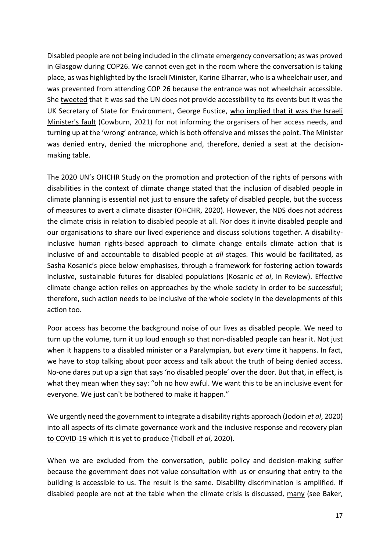Disabled people are not being included in the climate emergency conversation; as was proved in Glasgow during COP26. We cannot even get in the room where the conversation is taking place, as was highlighted by the Israeli Minister, Karine Elharrar, who is a wheelchair user, and was prevented from attending COP 26 because the entrance was not wheelchair accessible. She [tweeted](https://twitter.com/KElharrar) that it was sad the UN does not provide accessibility to its events but it was the UK Secretary of State for Environment, George Eustice, who implied that it was the Israeli [Minister's fault](https://www.independent.co.uk/news/uk/politics/george-eustice-cop26-disabled-minister-b1949664.html) (Cowburn, 2021) for not informing the organisers of her access needs, and turning up at the 'wrong' entrance, which is both offensive and misses the point. The Minister was denied entry, denied the microphone and, therefore, denied a seat at the decisionmaking table.

The 2020 UN's [OHCHR Study](https://undocs.org/A/HRC/44/30) on the promotion and protection of the rights of persons with disabilities in the context of climate change stated that the inclusion of disabled people in climate planning is essential not just to ensure the safety of disabled people, but the success of measures to avert a climate disaster (OHCHR, 2020). However, the NDS does not address the climate crisis in relation to disabled people at all. Nor does it invite disabled people and our organisations to share our lived experience and discuss solutions together. A disabilityinclusive human rights-based approach to climate change entails climate action that is inclusive of and accountable to disabled people at *all* stages. This would be facilitated, as Sasha Kosanic's piece below emphasises, through a framework for fostering action towards inclusive, sustainable futures for disabled populations (Kosanic *et al*, In Review). Effective climate change action relies on approaches by the whole society in order to be successful; therefore, such action needs to be inclusive of the whole society in the developments of this action too.

Poor access has become the background noise of our lives as disabled people. We need to turn up the volume, turn it up loud enough so that non-disabled people can hear it. Not just when it happens to a disabled minister or a Paralympian, but *every* time it happens. In fact, we have to stop talking about poor access and talk about the truth of being denied access. No-one dares put up a sign that says 'no disabled people' over the door. But that, in effect, is what they mean when they say: "oh no how awful. We want this to be an inclusive event for everyone. We just can't be bothered to make it happen."

We urgently need the government to integrate a [disability rights approach \(](https://papers.ssrn.com/sol3/papers.cfm?abstract_id=3610193)Jodoin *et al*, 2020) into all aspects of its climate governance work and the [inclusive response and recovery plan](https://www.law.ox.ac.uk/news/2020-07-02-affront-dignity-inclusion-and-equality-coronavirus-and-impact-law-policy-practice)  [to COVID-19](https://www.law.ox.ac.uk/news/2020-07-02-affront-dignity-inclusion-and-equality-coronavirus-and-impact-law-policy-practice) which it is yet to produce (Tidball *et al*, 2020).

When we are excluded from the conversation, public policy and decision-making suffer because the government does not value consultation with us or ensuring that entry to the building is accessible to us. The result is the same. Disability discrimination is amplified. If disabled people are not at the table when the climate crisis is discussed, [many](https://www.bbc.co.uk/sounds/play/p0b0ylhs) (see Baker,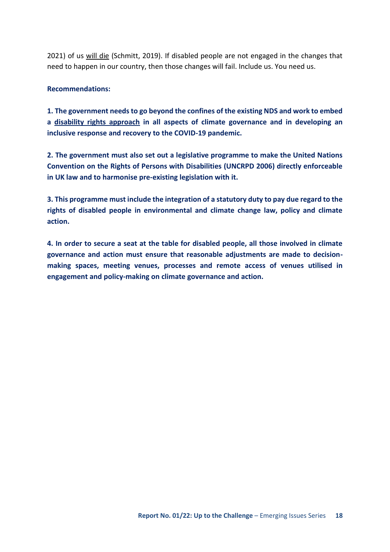2021) of us [will die](https://www.pressdemocrat.com/article/news/santa-rosa-man-on-oxygen-dies-after-pge-shut-off/) (Schmitt, 2019). If disabled people are not engaged in the changes that need to happen in our country, then those changes will fail. Include us. You need us.

### **Recommendations:**

**1. The government needs to go beyond the confines of the existing NDS and work to embed a [disability rights approach](https://papers.ssrn.com/sol3/papers.cfm?abstract_id=3610193) in all aspects of climate governance and in developing an inclusive response and recovery to the COVID-19 pandemic.** 

**2. The government must also set out a legislative programme to make the United Nations Convention on the Rights of Persons with Disabilities (UNCRPD 2006) directly enforceable in UK law and to harmonise pre-existing legislation with it.** 

**3. This programme must include the integration of a statutory duty to pay due regard to the rights of disabled people in environmental and climate change law, policy and climate action.** 

**4. In order to secure a seat at the table for disabled people, all those involved in climate governance and action must ensure that reasonable adjustments are made to decisionmaking spaces, meeting venues, processes and remote access of venues utilised in engagement and policy-making on climate governance and action.**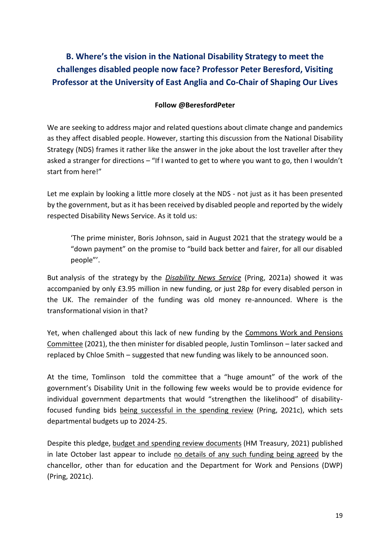<span id="page-18-0"></span>**B. Where's the vision in the National Disability Strategy to meet the challenges disabled people now face? Professor Peter Beresford, Visiting Professor at the University of East Anglia and Co-Chair of Shaping Our Lives**

### **Follow @BeresfordPeter**

We are seeking to address major and related questions about climate change and pandemics as they affect disabled people. However, starting this discussion from the National Disability Strategy (NDS) frames it rather like the answer in the joke about the lost traveller after they asked a stranger for directions – "If I wanted to get to where you want to go, then I wouldn't start from here!"

Let me explain by looking a little more closely at the NDS - not just as it has been presented by the government, but as it has been received by disabled people and reported by the widely respected Disability News Service. As it told us:

'The prime minister, Boris Johnson, said in August 2021 that the strategy would be a "down payment" on the promise to "build back better and fairer, for all our disabled people"'.

But analysis of the strategy by the *[Disability News Service](https://www.disabilitynewsservice.com/government-reveals-national-disability-strategy-offers-just-28p-per-person-in-new-funds/)* (Pring, 2021a) showed it was accompanied by only £3.95 million in new funding, or just 28p for every disabled person in the UK. The remainder of the funding was old money re-announced. Where is the transformational vision in that?

Yet, when challenged about this lack of new funding by the Commons Work and Pensions [Committee](https://www.parliamentlive.tv/Event/Index/5539d892-94b0-433a-8126-b95d34ff43f8) (2021), the then minister for disabled people, Justin Tomlinson – later sacked and replaced by Chloe Smith – suggested that new funding was likely to be announced soon.

At the time, Tomlinson told the committee that a "huge amount" of the work of the government's Disability Unit in the following few weeks would be to provide evidence for individual government departments that would "strengthen the likelihood" of disabilityfocused funding bids [being successful in the spending review](https://www.disabilitynewsservice.com/dwp-appears-to-confirm-that-spending-review-came-up-almost-empty-on-disability/) (Pring, 2021c), which sets departmental budgets up to 2024-25.

Despite this pledge, [budget and spending review documents \(](https://www.gov.uk/government/publications/autumn-budget-and-spending-review-2021-documents)HM Treasury, 2021) published in late October last appear to include [no details of any such funding being agreed](https://www.disabilitynewsservice.com/spending-review-and-budget-come-up-nearly-empty-on-disability-strategy-funding/) by the chancellor, other than for education and the Department for Work and Pensions (DWP) (Pring, 2021c).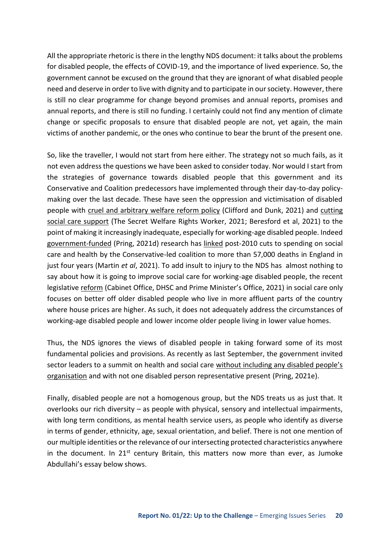All the appropriate rhetoric is there in the lengthy NDS document: it talks about the problems for disabled people, the effects of COVID-19, and the importance of lived experience. So, the government cannot be excused on the ground that they are ignorant of what disabled people need and deserve in order to live with dignity and to participate in our society. However, there is still no clear programme for change beyond promises and annual reports, promises and annual reports, and there is still no funding. I certainly could not find any mention of climate change or specific proposals to ensure that disabled people are not, yet again, the main victims of another pandemic, or the ones who continue to bear the brunt of the present one.

So, like the traveller, I would not start from here either. The strategy not so much fails, as it not even address the questions we have been asked to consider today. Nor would I start from the strategies of governance towards disabled people that this government and its Conservative and Coalition predecessors have implemented through their day-to-day policymaking over the last decade. These have seen the oppression and victimisation of disabled people with [cruel and arbitrary welfare reform policy](https://www.centreforwelfarereform.org/uploads/attachment/668/influences-and-consequences.pdf) (Clifford and Dunk, 2021) and [cutting](https://policy.bristoluniversitypress.co.uk/covid-19-and-coproduction-in-health-and-social-care)  [social care support](https://policy.bristoluniversitypress.co.uk/covid-19-and-coproduction-in-health-and-social-care) (The Secret Welfare Rights Worker, 2021; Beresford et al, 2021) to the point of making it increasingly inadequate, especially for working-age disabled people. Indeed [government-funded](https://www.disabilitynewsservice.com/austerity-cuts-to-social-care-and-health-caused-57000-deaths-research-suggests/) (Pring, 2021d) research has [linked](https://bmjopen.bmj.com/content/11/10/e046417.info) post-2010 cuts to spending on social care and health by the Conservative-led coalition to more than 57,000 deaths in England in just four years (Martin *et al*, 2021). To add insult to injury to the NDS has almost nothing to say about how it is going to improve social care for working-age disabled people, the recent legislative [reform](https://www.gov.uk/government/publications/build-back-better-our-plan-for-health-and-social-care/adult-social-care-charging-reform-further-details) (Cabinet Office, DHSC and Prime Minister's Office, 2021) in social care only focuses on better off older disabled people who live in more affluent parts of the country where house prices are higher. As such, it does not adequately address the circumstances of working-age disabled people and lower income older people living in lower value homes.

Thus, the NDS ignores the views of disabled people in taking forward some of its most fundamental policies and provisions. As recently as last September, the government invited sector leaders to a summit on health and social care [without including any disabled people's](https://www.disabilitynewsservice.com/minister-invited-44-leaders-to-care-summit-but-not-one-disabled-peoples-organisation/)  [organisation](https://www.disabilitynewsservice.com/minister-invited-44-leaders-to-care-summit-but-not-one-disabled-peoples-organisation/) and with not one disabled person representative present (Pring, 2021e).

Finally, disabled people are not a homogenous group, but the NDS treats us as just that. It overlooks our rich diversity – as people with physical, sensory and intellectual impairments, with long term conditions, as mental health service users, as people who identify as diverse in terms of gender, ethnicity, age, sexual orientation, and belief. There is not one mention of our multiple identities or the relevance of our intersecting protected characteristics anywhere in the document. In  $21^{st}$  century Britain, this matters now more than ever, as Jumoke Abdullahi's essay below shows.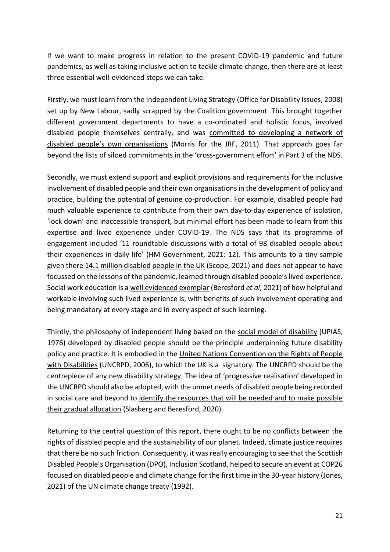If we want to make progress in relation to the present COVID-19 pandemic and future pandemics, as well as taking inclusive action to tackle climate change, then there are at least three essential well-evidenced steps we can take.

Firstly, we must learn from the Independent Living Strategy (Office for Disability Issues, 2008) set up by New Labour, sadly scrapped by the Coalition government. This brought together different government departments to have a co-ordinated and holistic focus, involved disabled people themselves centrally, and was [committed to developing a network of](https://www.jrf.org.uk/sites/default/files/jrf/migrated/files/disability-policy-equality-summary.pdf)  [disabled people's own organisations](https://www.jrf.org.uk/sites/default/files/jrf/migrated/files/disability-policy-equality-summary.pdf) (Morris for the JRF, 2011). That approach goes far beyond the lists of siloed commitments in the 'cross-government effort' in Part 3 of the NDS.

Secondly, we must extend support and explicit provisions and requirements for the inclusive involvement of disabled people and their own organisations in the development of policy and practice, building the potential of genuine co-production. For example, disabled people had much valuable experience to contribute from their own day-to-day experience of isolation, 'lock down' and inaccessible transport, but minimal effort has been made to learn from this expertise and lived experience under COVID-19. The NDS says that its programme of engagement included '11 roundtable discussions with a total of 98 disabled people about their experiences in daily life' (HM Government, 2021: 12). This amounts to a tiny sample given ther[e 14.1 million disabled people in the UK](https://www.scope.org.uk/media/disability-facts-figures/) (Scope, 2021) and does not appear to have focussed on the lessons of the pandemic, learned through disabled people's lived experience. Social work education is [a well evidenced exemplar \(](https://policy.bristoluniversitypress.co.uk/covid-19-and-coproduction-in-health-and-social-care)Beresford *et al*, 2021) of how helpful and workable involving such lived experience is, with benefits of such involvement operating and being mandatory at every stage and in every aspect of such learning.

Thirdly, the philosophy of independent living based on the [social model of disability](https://disability-studies.leeds.ac.uk/wp-content/uploads/sites/40/library/UPIAS-fundamental-principles.pdf) (UPIAS, 1976) developed by disabled people should be the principle underpinning future disability policy and practice. It is embodied in the [United Nations Convention on the Rights of People](https://www.un.org/development/desa/disabilities/convention-on-the-rights-of-persons-with-disabilities.html)  [with Disabilities](https://www.un.org/development/desa/disabilities/convention-on-the-rights-of-persons-with-disabilities.html) (UNCRPD, 2006), to which the UK is a signatory. The UNCRPD should be the centrepiece of any new disability strategy. The idea of 'progressive realisation' developed in the UNCRPD should also be adopted, with the unmet needs of disabled people being recorded in social care and beyond to [identify the resources that will be needed and to make possible](http://ssrg.org.uk/wp-content/uploads/2018/02/Slasberg-Beresford.pdf)  [their gradual allocation](http://ssrg.org.uk/wp-content/uploads/2018/02/Slasberg-Beresford.pdf) (Slasberg and Beresford, 2020).

Returning to the central question of this report, there ought to be no conflicts between the rights of disabled people and the sustainability of our planet. Indeed, climate justice requires that there be no such friction. Consequently, it was really encouraging to see that the Scottish Disabled People's Organisation (DPO), Inclusion Scotland, helped to secure an event at COP26 focused on disabled people and climate change for th[e first time in the 30-year history \(](https://tfn.scot/news/international-first-for-disabled-people-at-cop-26)Jones, 2021) of the [UN climate change treaty](https://treaties.un.org/pages/ViewDetailsIII.aspx?src=TREATY&mtdsg_no=XXVII-7&chapter=27&Temp=mtdsg3&clang=_en) (1992).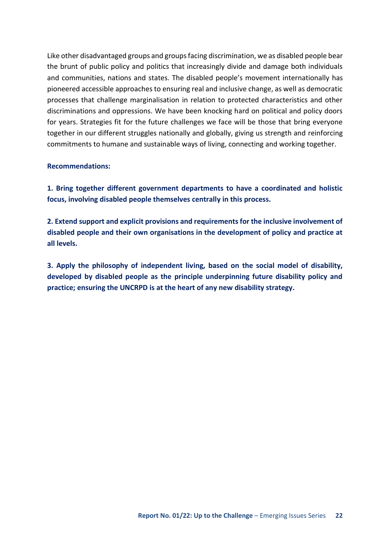Like other disadvantaged groups and groups facing discrimination, we as disabled people bear the brunt of public policy and politics that increasingly divide and damage both individuals and communities, nations and states. The disabled people's movement internationally has pioneered accessible approaches to ensuring real and inclusive change, as well as democratic processes that challenge marginalisation in relation to protected characteristics and other discriminations and oppressions. We have been knocking hard on political and policy doors for years. Strategies fit for the future challenges we face will be those that bring everyone together in our different struggles nationally and globally, giving us strength and reinforcing commitments to humane and sustainable ways of living, connecting and working together.

#### **Recommendations:**

**1. Bring together different government departments to have a coordinated and holistic focus, involving disabled people themselves centrally in this process.** 

**2. Extend support and explicit provisions and requirements for the inclusive involvement of disabled people and their own organisations in the development of policy and practice at all levels.** 

**3. Apply the philosophy of independent living, based on the social model of disability, developed by disabled people as the principle underpinning future disability policy and practice; ensuring the UNCRPD is at the heart of any new disability strategy.**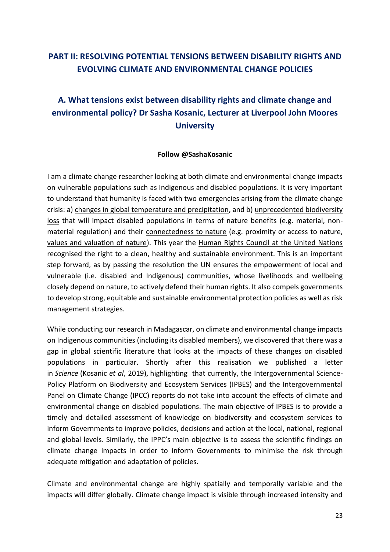# <span id="page-22-0"></span>**PART II: RESOLVING POTENTIAL TENSIONS BETWEEN DISABILITY RIGHTS AND EVOLVING CLIMATE AND ENVIRONMENTAL CHANGE POLICIES**

# <span id="page-22-1"></span>**A. What tensions exist between disability rights and climate change and environmental policy? Dr Sasha Kosanic, Lecturer at Liverpool John Moores University**

#### **Follow @SashaKosanic**

I am a climate change researcher looking at both climate and environmental change impacts on vulnerable populations such as Indigenous and disabled populations. It is very important to understand that humanity is faced with two emergencies arising from the climate change crisis: a) [changes in global temperature and precipitation,](https://www.ipcc.ch/report/sr15/summary-for-policymakers/) and b[\) unprecedented biodiversity](https://www.pnas.org/content/118/17/e2023483118#:~:text=Even%2012%2C000%20y%20ago%2C%20nearly,and%2090%25%20of%20tropical%20woodlands.)  [loss](https://www.pnas.org/content/118/17/e2023483118#:~:text=Even%2012%2C000%20y%20ago%2C%20nearly,and%2090%25%20of%20tropical%20woodlands.) that will impact disabled populations in terms of nature benefits (e.g. material, nonmaterial regulation) and their [connectedness to nature](https://www.sciencedirect.com/science/article/pii/S187734351400116X) (e.g. proximity or access to nature, [values and valuation of nature\)](https://royalsociety.org/topics-policy/projects/biodiversity/plural-valuation-of-nature-matters-for-environmental-sustainability-and-justice/). This year the [Human Rights Council at the United Nations](https://www.unep.org/news-and-stories/story/landmark-un-resolution-confirms-healthy-environment-human-right)  recognised the right to a clean, healthy and sustainable environment. This is an important step forward, as by passing the resolution the UN ensures the empowerment of local and vulnerable (i.e. disabled and Indigenous) communities, whose livelihoods and wellbeing closely depend on nature, to actively defend their human rights. It also compels governments to develop strong, equitable and sustainable environmental protection policies as well as risk management strategies.

While conducting our research in Madagascar, on climate and environmental change impacts on Indigenous communities (including its disabled members), we discovered that there was a gap in global scientific literature that looks at the impacts of these changes on disabled populations in particular. Shortly after this realisation we published a letter in *Science* [\(Kosanic](https://www.science.org/doi/10.1126/science.aaz9045) *et al*, 2019), highlighting that currently, the [Intergovernmental Science-](https://ipbes.net/node/36665)[Policy Platform on Biodiversity and Ecosystem Services \(IPBES\)](https://ipbes.net/node/36665) and the [Intergovernmental](https://www.ipcc.ch/report/sr15/summary-for-policymakers/)  [Panel on Climate Change \(IPCC\)](https://www.ipcc.ch/report/sr15/summary-for-policymakers/) reports do not take into account the effects of climate and environmental change on disabled populations. The main objective of IPBES is to provide a timely and detailed assessment of knowledge on biodiversity and ecosystem services to inform Governments to improve policies, decisions and action at the local, national, regional and global levels. Similarly, the IPPC's main objective is to assess the scientific findings on climate change impacts in order to inform Governments to minimise the risk through adequate mitigation and adaptation of policies.

Climate and environmental change are highly spatially and temporally variable and the impacts will differ globally. Climate change impact is visible through increased intensity and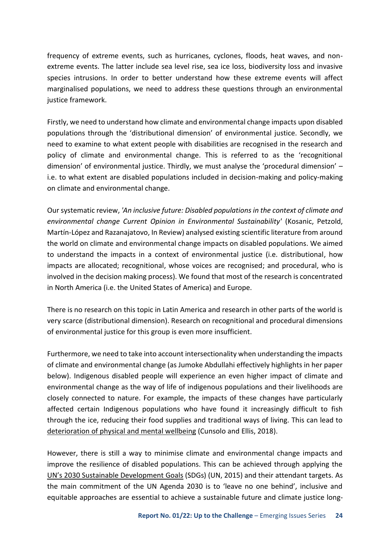frequency of extreme events, such as hurricanes, cyclones, floods, heat waves, and nonextreme events. The latter include sea level rise, sea ice loss, biodiversity loss and invasive species intrusions. In order to better understand how these extreme events will affect marginalised populations, we need to address these questions through an environmental justice framework.

Firstly, we need to understand how climate and environmental change impacts upon disabled populations through the 'distributional dimension' of environmental justice. Secondly, we need to examine to what extent people with disabilities are recognised in the research and policy of climate and environmental change. This is referred to as the 'recognitional dimension' of environmental justice. Thirdly, we must analyse the 'procedural dimension' – i.e. to what extent are disabled populations included in decision-making and policy-making on climate and environmental change.

Our systematic review, *'An inclusive future: Disabled populations in the context of climate and environmental change Current Opinion in Environmental Sustainability'* (Kosanic, Petzold, Martín-López and Razanajatovo, In Review) analysed existing scientific literature from around the world on climate and environmental change impacts on disabled populations. We aimed to understand the impacts in a context of environmental justice (i.e. distributional, how impacts are allocated; recognitional, whose voices are recognised; and procedural, who is involved in the decision making process). We found that most of the research is concentrated in North America (i.e. the United States of America) and Europe.

There is no research on this topic in Latin America and research in other parts of the world is very scarce (distributional dimension). Research on recognitional and procedural dimensions of environmental justice for this group is even more insufficient.

Furthermore, we need to take into account intersectionality when understanding the impacts of climate and environmental change (as Jumoke Abdullahi effectively highlights in her paper below). Indigenous disabled people will experience an even higher impact of climate and environmental change as the way of life of indigenous populations and their livelihoods are closely connected to nature. For example, the impacts of these changes have particularly affected certain Indigenous populations who have found it increasingly difficult to fish through the ice, reducing their food supplies and traditional ways of living. This can lead to [deterioration of physical and mental wellbeing](https://www.nature.com/articles/s41558-018-0092-2) (Cunsolo and Ellis, 2018).

However, there is still a way to minimise climate and environmental change impacts and improve the resilience of disabled populations. This can be achieved through applying the [UN's 2030 Sustainable Development](https://sdgs.un.org/goals) Goals (SDGs) (UN, 2015) and their attendant targets. As the main commitment of the UN Agenda 2030 is to 'leave no one behind', inclusive and equitable approaches are essential to achieve a sustainable future and climate justice long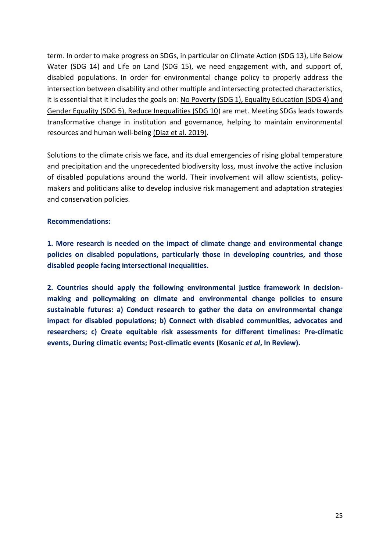term. In order to make progress on SDGs, in particular on Climate Action (SDG 13), Life Below Water (SDG 14) and Life on Land (SDG 15), we need engagement with, and support of, disabled populations. In order for environmental change policy to properly address the intersection between disability and other multiple and intersecting protected characteristics, it is essential that it includes the goals on[: No Poverty \(SDG 1\), Equality Education \(SDG 4\) and](https://www.tandfonline.com/doi/full/10.3109/09638288.2014.972589?casa_token=zmZGooHEfx8AAAAA%3AH2X-YKLhYOwaehXvarE9qK59fLUO3-O7k2oE6VkzD5anUdOE4ifBtSI_2hNMVfi4x-7DYnjNxUg)  [Gender Equality \(SDG 5\), Reduce Inequalities \(SDG 10\)](https://www.tandfonline.com/doi/full/10.3109/09638288.2014.972589?casa_token=zmZGooHEfx8AAAAA%3AH2X-YKLhYOwaehXvarE9qK59fLUO3-O7k2oE6VkzD5anUdOE4ifBtSI_2hNMVfi4x-7DYnjNxUg) are met. Meeting SDGs leads towards transformative change in institution and governance, helping to maintain environmental resources and human well-bein[g \(Diaz et al. 2019\).](https://www.science.org/doi/10.1126/science.aax3100)

Solutions to the climate crisis we face, and its dual emergencies of rising global temperature and precipitation and the unprecedented biodiversity loss, must involve the active inclusion of disabled populations around the world. Their involvement will allow scientists, policymakers and politicians alike to develop inclusive risk management and adaptation strategies and conservation policies.

### **Recommendations:**

**1. More research is needed on the impact of climate change and environmental change policies on disabled populations, particularly those in developing countries, and those disabled people facing intersectional inequalities.** 

**2. Countries should apply the following environmental justice framework in decisionmaking and policymaking on climate and environmental change policies to ensure sustainable futures: a) Conduct research to gather the data on environmental change impact for disabled populations; b) Connect with disabled communities, advocates and researchers; c) Create equitable risk assessments for different timelines: Pre-climatic events, During climatic events; Post-climatic events (Kosanic** *et al***, In Review).**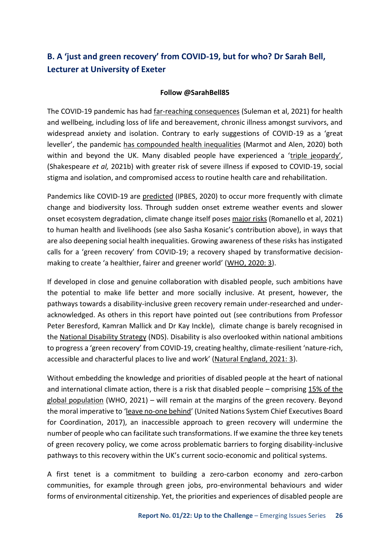# <span id="page-25-0"></span>**B. A 'just and green recovery' from COVID-19, but for who? Dr Sarah Bell, Lecturer at University of Exeter**

### **Follow @SarahBell85**

The COVID-19 pandemic has ha[d far-reaching consequences](https://www.health.org.uk/publications/reports/unequal-pandemic-fairer-recovery) (Suleman et al, 2021) for health and wellbeing, including loss of life and bereavement, chronic illness amongst survivors, and widespread anxiety and isolation. Contrary to early suggestions of COVID-19 as a 'great leveller', the pandemi[c has compounded health inequalities](https://jech.bmj.com/content/74/9/681) (Marmot and Alen, 2020) both within and beyond the UK. Many disabled people have experienced a ['triple jeopardy'](https://www.thelancet.com/journals/lancet/article/PIIS0140-6736(21)00625-5/fulltext), (Shakespeare *et al,* 2021b) with greater risk of severe illness if exposed to COVID-19, social stigma and isolation, and compromised access to routine health care and rehabilitation.

Pandemics like COVID-19 ar[e predicted](https://ipbes.net/sites/default/files/2020-12/IPBES%20Workshop%20on%20Biodiversity%20and%20Pandemics%20Report_0.pdf) (IPBES, 2020) to occur more frequently with climate change and biodiversity loss. Through sudden onset extreme weather events and slower onset ecosystem degradation, climate change itself pose[s major risks](https://www.thelancet.com/countdown-health-climate) (Romanello et al, 2021) to human health and livelihoods (see also Sasha Kosanic's contribution above), in ways that are also deepening social health inequalities. Growing awareness of these risks has instigated calls for a 'green recovery' from COVID-19; a recovery shaped by transformative decisionmaking to create 'a healthier, fairer and greener world' ([WHO, 2020: 3\)](https://www.who.int/news-room/feature-stories/detail/who-manifesto-for-a-healthy-recovery-from-covid-19).

If developed in close and genuine collaboration with disabled people, such ambitions have the potential to make life better and more socially inclusive. At present, however, the pathways towards a disability-inclusive green recovery remain under-researched and underacknowledged. As others in this report have pointed out (see contributions from Professor Peter Beresford, Kamran Mallick and Dr Kay Inckle), climate change is barely recognised in th[e National Disability Strategy](https://assets.publishing.service.gov.uk/government/uploads/system/uploads/attachment_data/file/1006098/National-Disability-Strategy_web-accesible-pdf.pdf) (NDS). Disability is also overlooked within national ambitions to progress a 'green recovery' from COVID-19, creating healthy, climate-resilient 'nature-rich, accessible and characterful places to live and work' ([Natural England, 2021: 3\)](https://assets.publishing.service.gov.uk/government/uploads/system/uploads/attachment_data/file/993244/natural-england-action-plan-2021-2022.pdf).

Without embedding the knowledge and priorities of disabled people at the heart of national and international climate action, there is a risk that disabled people – comprising 15% of the [global population](https://www.who.int/news-room/fact-sheets/detail/disability-and-health) (WHO, 2021) – will remain at the margins of the green recovery. Beyond the moral imperative to '[leave no-one behind](https://unsdg.un.org/2030-agenda/universal-values/leave-no-one-behind)' (United Nations System Chief Executives Board for Coordination, 2017), an inaccessible approach to green recovery will undermine the number of people who can facilitate such transformations. If we examine the three key tenets of green recovery policy, we come across problematic barriers to forging disability-inclusive pathways to this recovery within the UK's current socio-economic and political systems.

A first tenet is a commitment to building a zero-carbon economy and zero-carbon communities, for example through green jobs, pro-environmental behaviours and wider forms of environmental citizenship. Yet, the priorities and experiences of disabled people are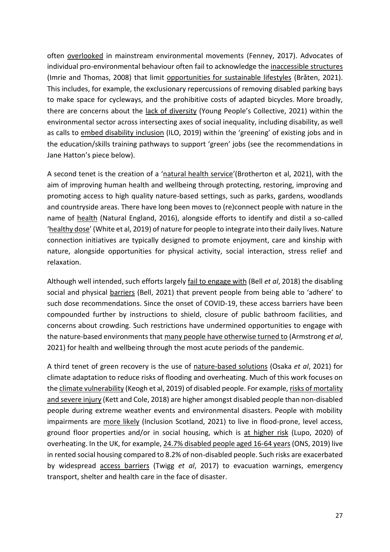ofte[n overlooked](https://www.ingentaconnect.com/content/whp/ev/2017/00000026/00000004/art00007) in mainstream environmental movements (Fenney, 2017). Advocates of individual pro-environmental behaviour often fail to acknowledge th[e inaccessible structures](https://www.tandfonline.com/doi/abs/10.1080/13549830802259748)  (Imrie and Thomas, 2008) that limit [opportunities for sustainable lifestyles](https://www.sum.uio.no/english/sdg/blog/guest/the-disableisation-of-environmental-governance-l.html) (Bråten, 2021). This includes, for example, the exclusionary repercussions of removing disabled parking bays to make space for cycleways, and the prohibitive costs of adapted bicycles. More broadly, there are concerns about th[e lack of diversity](https://esmeefairbairn.org.uk/latest-news/addressing-lack-diversity-environment-sector/) (Young People's Collective, 2021) within the environmental sector across intersecting axes of social inequality, including disability, as well as calls t[o embed disability inclusion](https://www.ilo.org/wcmsp5/groups/public/---ed_emp/---ifp_skills/documents/publication/wcms_727084.pdf) (ILO, 2019) within the 'greening' of existing jobs and in the education/skills training pathways to support 'green' jobs (see the recommendations in Jane Hatton's piece below).

A second tenet is the creation of a '[natural health service](https://jncc.gov.uk/our-role/the-uk/nature-positive-2030/)'(Brotherton et al, 2021), with the aim of improving human health and wellbeing through protecting, restoring, improving and promoting access to high quality nature-based settings, such as parks, gardens, woodlands and countryside areas. There have long been moves to (re)connect people with nature in the name o[f health](http://publications.naturalengland.org.uk/publication/4792791243161600) (Natural England, 2016), alongside efforts to identify and distil a so-called '[healthy dose](https://beyondgreenspace.net/2019/06/13/120-minutes-in-nature-the-5-a-day-equivalent/)' (White et al, 2019) of nature for people to integrate into their daily lives. Nature connection initiatives are typically designed to promote enjoyment, care and kinship with nature, alongside opportunities for physical activity, social interaction, stress relief and relaxation.

Although well intended, such efforts largel[y fail to engage with](https://onlinelibrary.wiley.com/doi/full/10.1111/gec3.12415) (Bell *et al*, 2018) the disabling social and physica[l barriers](https://sweep.ac.uk/beyond-ramps-and-handrails-designing-with-and-for-the-senses/) (Bell, 2021) that prevent people from being able to 'adhere' to such dose recommendations. Since the onset of COVID-19, these access barriers have been compounded further by instructions to shield, closure of public bathroom facilities, and concerns about crowding. Such restrictions have undermined opportunities to engage with the nature-based environments tha[t many people have otherwise turned to](https://www.forestresearch.gov.uk/documents/8053/Why_Society_Needs_Nature_4FUC2GT.PDF) (Armstrong *et al*, 2021) for health and wellbeing through the most acute periods of the pandemic.

A third tenet of green recovery is the use o[f nature-based solutions](https://wires.onlinelibrary.wiley.com/doi/10.1002/wcc.729) (Osaka *et al*, 2021) for climate adaptation to reduce risks of flooding and overheating. Much of this work focuses on th[e climate vulnerability](https://www.ohchr.org/Documents/Issues/ClimateChange/Submissions/Disabilities/CBMGlobalclimate_change_report.pdf) (Keogh et al, 2019) of disabled people. For example, risks of mortality [and severe injury](https://www.gov.uk/research-for-development-outputs/disability-and-climate-resilience-research-report) (Kett and Cole, 2018) are higher amongst disabled people than non-disabled people during extreme weather events and environmental disasters. People with mobility impairments ar[e more likely](https://inclusionscotland.org/home-page-news/inclusion-scotland-publishes-climate-change-report-ahead-of-cop-26) (Inclusion Scotland, 2021) to live in flood-prone, level access, ground floor properties and/or in social housing, which i[s at higher risk](https://www.iema.net/resources/blog/2020/08/19/overheating-risk-in-social-housing) (Lupo, 2020) of overheating. In the UK, for example[, 24.7% disabled people aged 16-64 years \(](https://www.ons.gov.uk/peoplepopulationandcommunity/healthandsocialcare/disability/bulletins/disabilityandhousinguk/2019)ONS, 2019) live in rented social housing compared to 8.2% of non-disabled people. Such risks are exacerbated by widesprea[d access barriers](https://odi.org/en/publications/disability-and-climate-resilience-a-literature-review/) (Twigg *et al*, 2017) to evacuation warnings, emergency transport, shelter and health care in the face of disaster.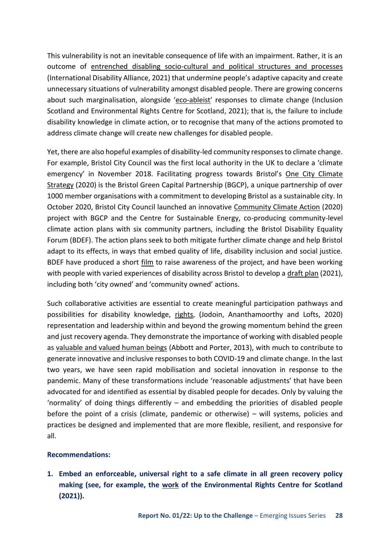This vulnerability is not an inevitable consequence of life with an impairment. Rather, it is an outcome o[f entrenched disabling socio-cultural and political structures and processes](https://www.internationaldisabilityalliance.org/sites/default/files/cop26_advocacy_paper_0.pdf)  (International Disability Alliance, 2021) that undermine people's adaptive capacity and create unnecessary situations of vulnerability amongst disabled people. There are growing concerns about such marginalisation, alongside '[eco-ableist](https://www.ercs.scot/wp/wp-content/uploads/2021/10/HRHE-and-disabled-peoples-rights-Final-Sept-2021.pdf)' responses to climate change (Inclusion Scotland and Environmental Rights Centre for Scotland, 2021); that is, the failure to include disability knowledge in climate action, or to recognise that many of the actions promoted to address climate change will create new challenges for disabled people.

Yet, there are also hopeful examples of disability-led community responses to climate change. For example, Bristol City Council was the first local authority in the UK to declare a 'climate emergency' in November 2018. Facilitating progress towards Bristol's One City Climate [Strategy](https://www.bristolonecity.com/wp-content/uploads/2020/02/one-city-climate-strategy.pdf) (2020) is the Bristol Green Capital Partnership (BGCP), a unique partnership of over 1000 member organisations with a commitment to developing Bristol as a sustainable city. In October 2020, Bristol City Council launched an innovativ[e Community Climate Action](https://bristolgreencapital.org/project_cat/community-climate-action/) (2020) project with BGCP and the Centre for Sustainable Energy, co-producing community-level climate action plans with six community partners, including the Bristol Disability Equality Forum (BDEF). The action plans seek to both mitigate further climate change and help Bristol adapt to its effects, in ways that embed quality of life, disability inclusion and social justice. BDEF have produced a shor[t film](https://bristoldef.org.uk/community-climate-action/) to raise awareness of the project, and have been working with people with varied experiences of disability across Bristol to develop [a draft plan](https://bristoldef.org.uk/draft-plan/) (2021), including both 'city owned' and 'community owned' actions.

Such collaborative activities are essential to create meaningful participation pathways and possibilities for disability knowledge[, rights,](https://www.ecologylawquarterly.org/wp-content/uploads/2020/11/2_47.1_Jodoin_Final_Internet.pdf) (Jodoin, Ananthamoorthy and Lofts, 2020) representation and leadership within and beyond the growing momentum behind the green and just recovery agenda. They demonstrate the importance of working with disabled people a[s valuable and valued human beings](https://www.tandfonline.com/doi/abs/10.1080/09687599.2013.802222?journalCode=cdso20) (Abbott and Porter, 2013), with much to contribute to generate innovative and inclusive responses to both COVID-19 and climate change. In the last two years, we have seen rapid mobilisation and societal innovation in response to the pandemic. Many of these transformations include 'reasonable adjustments' that have been advocated for and identified as essential by disabled people for decades. Only by valuing the 'normality' of doing things differently – and embedding the priorities of disabled people before the point of a crisis (climate, pandemic or otherwise) – will systems, policies and practices be designed and implemented that are more flexible, resilient, and responsive for all.

### **Recommendations:**

**1. Embed an enforceable, universal right to a safe climate in all green recovery policy making (see, for example, the [work](https://www.ercs.scot/news/press-release-petition-for-an-enforceable-human-right-to-a-healthy-environment-launched-today/) of the Environmental Rights Centre for Scotland (2021)).**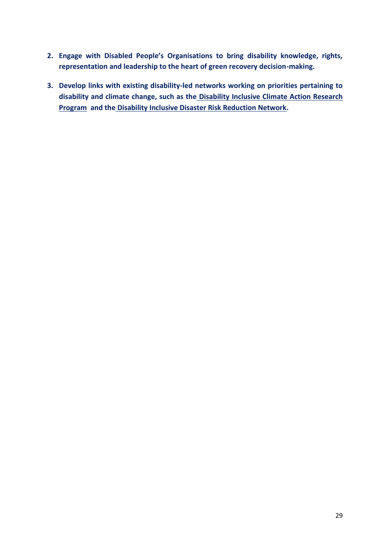- **2. Engage with Disabled People's Organisations to bring disability knowledge, rights, representation and leadership to the heart of green recovery decision-making.**
- **3. Develop links with existing disability-led networks working on priorities pertaining to disability and climate change, such as th[e Disability Inclusive Climate Action Research](https://www.disabilityinclusiveclimate.org/)  [Program](https://www.disabilityinclusiveclimate.org/) and th[e Disability Inclusive Disaster Risk Reduction Network.](http://www.didrrn.net/)**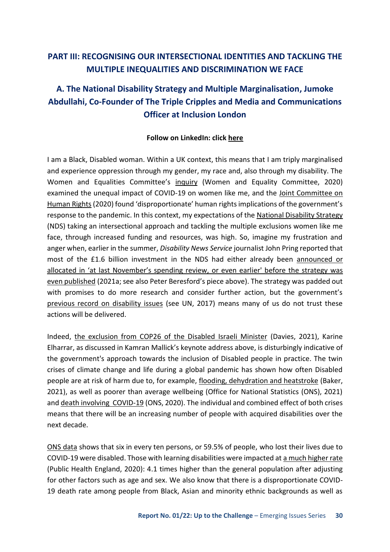### <span id="page-29-0"></span>**PART III: RECOGNISING OUR INTERSECTIONAL IDENTITIES AND TACKLING THE MULTIPLE INEQUALITIES AND DISCRIMINATION WE FACE**

# <span id="page-29-1"></span>**A. The National Disability Strategy and Multiple Marginalisation, Jumoke Abdullahi, Co-Founder of The Triple Cripples and Media and Communications Officer at Inclusion London**

### **Follow on LinkedIn: click [here](https://www.linkedin.com/in/zainab-jumoke-abdullahi/)**

I am a Black, Disabled woman. Within a UK context, this means that I am triply marginalised and experience oppression through my gender, my race and, also through my disability. The Women and Equalities Committee's [inquiry](https://committees.parliament.uk/work/227/unequal-impact-coronavirus-covid19-and-the-impact-on-people-with-protected-characteristics/publications/) (Women and Equality Committee, 2020) examined the unequal impact of COVID-19 on women like me, and the [Joint Committee on](https://committees.parliament.uk/publications/2649/documents/26914/default/)  [Human Rights \(](https://committees.parliament.uk/publications/2649/documents/26914/default/)2020) found 'disproportionate' human rights implications of the government's response to the pandemic. In this context, my expectations of the [National Disability Strategy](https://assets.publishing.service.gov.uk/government/uploads/system/uploads/attachment_data/file/1006098/National-Disability-Strategy_web-accesible-pdf.pdf)  (NDS) taking an intersectional approach and tackling the multiple exclusions women like me face, through increased funding and resources, was high. So, imagine my frustration and anger when, earlier in the summer, *Disability News Service* journalist John Pring reported that most of the £1.6 billion investment in the NDS had either already been [announced or](https://www.disabilitynewsservice.com/government-reveals-national-disability-strategy-offers-just-28p-per-person-in-new-funds/)  [allocated in 'at last November's spending review, or even earl](https://www.disabilitynewsservice.com/government-reveals-national-disability-strategy-offers-just-28p-per-person-in-new-funds/)ier' before the strategy was [even published](https://www.disabilitynewsservice.com/government-reveals-national-disability-strategy-offers-just-28p-per-person-in-new-funds/) (2021a; see also Peter Beresford's piece above). The strategy was padded out with promises to do more research and consider further action, but the government's [previous record on disability issues](https://tbinternet.ohchr.org/_layouts/15/treatybodyexternal/Download.aspx?symbolno=CRPD%2fC%2fGBR%2fCO%2f1&Lang=en) (see UN, 2017) means many of us do not trust these actions will be delivered.

Indeed, [the exclusion from COP26 of the Disabled Israeli Minister](https://www.theguardian.com/environment/2021/nov/02/wheelchair-using-minister-denied-entry-to-cop26-venue) (Davies, 2021), Karine Elharrar, as discussed in Kamran Mallick's keynote address above, is disturbingly indicative of the government's approach towards the inclusion of Disabled people in practice. The twin crises of climate change and life during a global pandemic has shown how often Disabled people are at risk of harm due to, for example, [flooding, dehydration and heatstroke](https://www.bbc.co.uk/news/disability-59042087) (Baker, 2021), as well as poorer than average wellbeing (Office for National Statistics (ONS), 2021) an[d death involving COVID-19 \(](https://www.ons.gov.uk/peoplepopulationandcommunity/birthsdeathsandmarriages/deaths/datasets/ratesofdeathsinvolvingcovid19bydisabilitystatusenglandandwales)ONS, 2020). The individual and combined effect of both crises means that there will be an increasing number of people with acquired disabilities over the next decade.

[ONS data](https://www.ons.gov.uk/peoplepopulationandcommunity/birthsdeathsandmarriages/deaths/articles/coronaviruscovid19relateddeathsbydisabilitystatusenglandandwales/2marchto14july2020#coronavirus-covid-19-related-deaths-by-disability-status-data) shows that six in every ten persons, or 59.5% of people, who lost their lives due to COVID-19 were disabled. Those with learning disabilities were impacted a[t a much higher rate](https://www.gov.uk/government/news/people-with-learning-disabilities-had-higher-death-rate-from-covid-19)  (Public Health England, 2020): 4.1 times higher than the general population after adjusting for other factors such as age and sex. We also know that there is a disproportionate COVID-19 death rate among people from Black, Asian and minority ethnic backgrounds as well as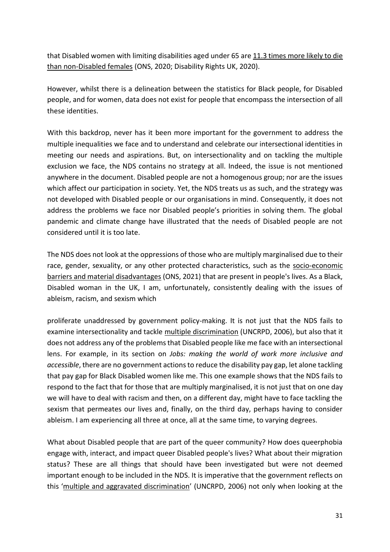that Disabled women with limiting disabilities aged under 65 are [11.3 times more likely to die](https://www.disabilityrightsuk.org/news/2020/june/disabled-women-over-11-times-more-likely-die-coronavirus)  [than non-Disabled females](https://www.disabilityrightsuk.org/news/2020/june/disabled-women-over-11-times-more-likely-die-coronavirus) (ONS, 2020; Disability Rights UK, 2020).

However, whilst there is a delineation between the statistics for Black people, for Disabled people, and for women, data does not exist for people that encompass the intersection of all these identities.

With this backdrop, never has it been more important for the government to address the multiple inequalities we face and to understand and celebrate our intersectional identities in meeting our needs and aspirations. But, on intersectionality and on tackling the multiple exclusion we face, the NDS contains no strategy at all. Indeed, the issue is not mentioned anywhere in the document. Disabled people are not a homogenous group; nor are the issues which affect our participation in society. Yet, the NDS treats us as such, and the strategy was not developed with Disabled people or our organisations in mind. Consequently, it does not address the problems we face nor Disabled people's priorities in solving them. The global pandemic and climate change have illustrated that the needs of Disabled people are not considered until it is too late.

The NDS does not look at the oppressions of those who are multiply marginalised due to their race, gender, sexuality, or any other protected characteristics, such as the [socio-economic](https://www.ons.gov.uk/peoplepopulationandcommunity/healthandsocialcare/disability/articles/outcomesfordisabledpeopleintheuk/2020)  [barriers and material disadvantages](https://www.ons.gov.uk/peoplepopulationandcommunity/healthandsocialcare/disability/articles/outcomesfordisabledpeopleintheuk/2020) (ONS, 2021) that are present in people's lives. As a Black, Disabled woman in the UK, I am, unfortunately, consistently dealing with the issues of ableism, racism, and sexism which

proliferate unaddressed by government policy-making. It is not just that the NDS fails to examine intersectionality and tackle [multiple discrimination](https://www.un.org/development/desa/disabilities/convention-on-the-rights-of-persons-with-disabilities/article-6-women-with-disabilities.html) (UNCRPD, 2006), but also that it does not address any of the problems that Disabled people like me face with an intersectional lens. For example, in its section on *Jobs: making the world of work more inclusive and accessible*, there are no government actions to reduce the disability pay gap, let alone tackling that pay gap for Black Disabled women like me. This one example shows that the NDS fails to respond to the fact that for those that are multiply marginalised, it is not just that on one day we will have to deal with racism and then, on a different day, might have to face tackling the sexism that permeates our lives and, finally, on the third day, perhaps having to consider ableism. I am experiencing all three at once, all at the same time, to varying degrees.

What about Disabled people that are part of the queer community? How does queerphobia engage with, interact, and impact queer Disabled people's lives? What about their migration status? These are all things that should have been investigated but were not deemed important enough to be included in the NDS. It is imperative that the government reflects on this '[multiple and aggravated discrimination](https://www.un.org/disabilities/documents/convention/convention_accessible_pdf.pdf)' (UNCRPD, 2006) not only when looking at the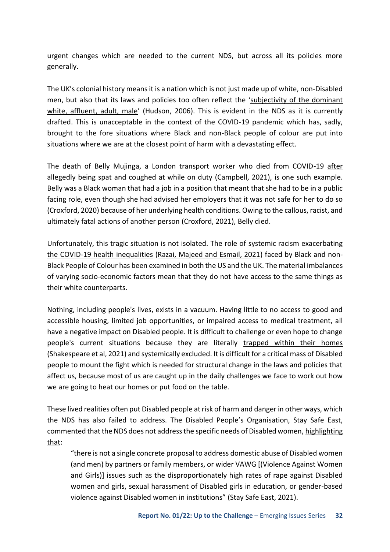urgent changes which are needed to the current NDS, but across all its policies more generally.

The UK's colonial history means it is a nation which is not just made up of white, non-Disabled men, but also that its laws and policies too often reflect the '[subjectivity of the dominant](https://journals.sagepub.com/doi/10.1177/1362480606059981)  [white, affluent, adult, male](https://journals.sagepub.com/doi/10.1177/1362480606059981)' (Hudson, 2006). This is evident in the NDS as it is currently drafted. This is unacceptable in the context of the COVID-19 pandemic which has, sadly, brought to the fore situations where Black and non-Black people of colour are put into situations where we are at the closest point of harm with a devastating effect.

The death of Belly Mujinga, a London transport worker who died from COVID-19 [after](https://www.theguardian.com/world/2021/apr/05/belly-mujinga-family-still-seeking-justice-one-year-after-covid-death)  [allegedly being spat and coughed at while on duty](https://www.theguardian.com/world/2021/apr/05/belly-mujinga-family-still-seeking-justice-one-year-after-covid-death) (Campbell, 2021), is one such example. Belly was a Black woman that had a job in a position that meant that she had to be in a public facing role, even though she had advised her employers that it was [not safe for her to do so](https://www.bbc.co.uk/news/uk-54435703)  (Croxford, 2020) because of her underlying health conditions. Owing to th[e callous, racist, and](https://www.bbc.co.uk/news/uk-england-london-57023228)  [ultimately fatal actions of another person](https://www.bbc.co.uk/news/uk-england-london-57023228) (Croxford, 2021), Belly died.

Unfortunately, this tragic situation is not isolated. The role of [systemic racism exacerbating](https://www.manchester.ac.uk/discover/news/role-of-systemic-racism-in-exacerbating-covid-19-health-inequalities--examined/)  [the COVID-19 health inequalities](https://www.manchester.ac.uk/discover/news/role-of-systemic-racism-in-exacerbating-covid-19-health-inequalities--examined/) [\(Razai, Majeed and Esmail, 2021\)](https://doi.org/10.1136/bmj.n938) faced by Black and non-Black People of Colour has been examined in both the US and the UK. The material imbalances of varying socio-economic factors mean that they do not have access to the same things as their white counterparts.

Nothing, including people's lives, exists in a vacuum. Having little to no access to good and accessible housing, limited job opportunities, or impaired access to medical treatment, all have a negative impact on Disabled people. It is difficult to challenge or even hope to change people's current situations because they are literally trapped within their homes (Shakespeare et al, 2021) and systemically excluded. It is difficult for a critical mass of Disabled people to mount the fight which is needed for structural change in the laws and policies that affect us, because most of us are caught up in the daily challenges we face to work out how we are going to heat our homes or put food on the table.

These lived realities often put Disabled people at risk of harm and danger in other ways, which the NDS has also failed to address. The Disabled People's Organisation, Stay Safe East, commented that the NDS does not address the specific needs of Disabled women, [highlighting](https://www.inclusionlondon.org.uk/news/statement-from-stay-safe-east-on-the-governments-new-violence-against-women-and-girls-vawg-strategy-2021-2024/)  [that:](https://www.inclusionlondon.org.uk/news/statement-from-stay-safe-east-on-the-governments-new-violence-against-women-and-girls-vawg-strategy-2021-2024/)

"there is not a single concrete proposal to address domestic abuse of Disabled women (and men) by partners or family members, or wider VAWG [(Violence Against Women and Girls)] issues such as the disproportionately high rates of rape against Disabled women and girls, sexual harassment of Disabled girls in education, or gender-based violence against Disabled women in institutions" (Stay Safe East, 2021).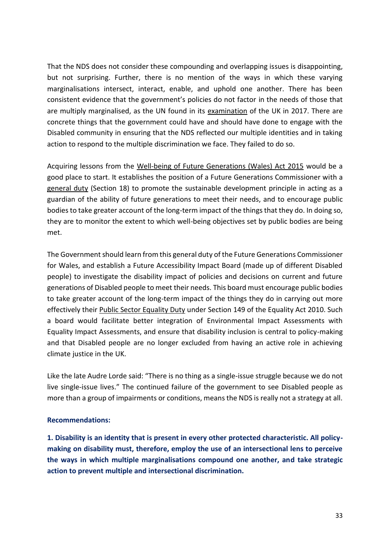That the NDS does not consider these compounding and overlapping issues is disappointing, but not surprising. Further, there is no mention of the ways in which these varying marginalisations intersect, interact, enable, and uphold one another. There has been consistent evidence that the government's policies do not factor in the needs of those that are multiply marginalised, as the UN found in its [examination](https://tbinternet.ohchr.org/_layouts/15/treatybodyexternal/Download.aspx?symbolno=CRPD%2fC%2fGBR%2fCO%2f1&Lang=en) of the UK in 2017. There are concrete things that the government could have and should have done to engage with the Disabled community in ensuring that the NDS reflected our multiple identities and in taking action to respond to the multiple discrimination we face. They failed to do so.

Acquiring lessons from the [Well-being of Future Generations \(Wales\) Act 2015](https://www.legislation.gov.uk/anaw/2015/2/contents/enacted) would be a good place to start. It establishes the position of a Future Generations Commissioner with a [general duty](https://www.legislation.gov.uk/anaw/2015/2/section/18/enacted) (Section 18) to promote the sustainable development principle in acting as a guardian of the ability of future generations to meet their needs, and to encourage public bodies to take greater account of the long-term impact of the things that they do. In doing so, they are to monitor the extent to which well-being objectives set by public bodies are being met.

The Government should learn from this general duty of the Future Generations Commissioner for Wales, and establish a Future Accessibility Impact Board (made up of different Disabled people) to investigate the disability impact of policies and decisions on current and future generations of Disabled people to meet their needs. This board must encourage public bodies to take greater account of the long-term impact of the things they do in carrying out more effectively their [Public Sector Equality Duty](https://www.legislation.gov.uk/ukpga/2010/15/section/149) under Section 149 of the Equality Act 2010. Such a board would facilitate better integration of Environmental Impact Assessments with Equality Impact Assessments, and ensure that disability inclusion is central to policy-making and that Disabled people are no longer excluded from having an active role in achieving climate justice in the UK.

Like the late Audre Lorde said: "There is no thing as a single-issue struggle because we do not live single-issue lives." The continued failure of the government to see Disabled people as more than a group of impairments or conditions, means the NDS is really not a strategy at all.

### **Recommendations:**

**1. Disability is an identity that is present in every other protected characteristic. All policymaking on disability must, therefore, employ the use of an intersectional lens to perceive the ways in which multiple marginalisations compound one another, and take strategic action to prevent multiple and intersectional discrimination.**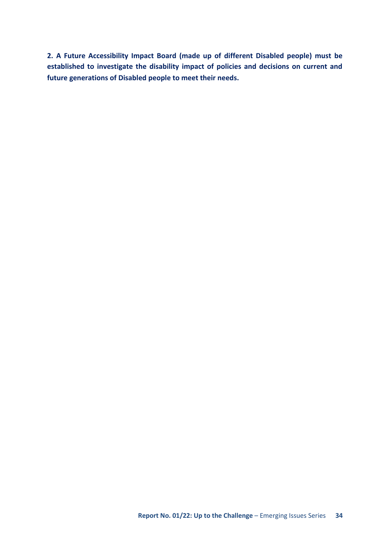**2. A Future Accessibility Impact Board (made up of different Disabled people) must be established to investigate the disability impact of policies and decisions on current and future generations of Disabled people to meet their needs.**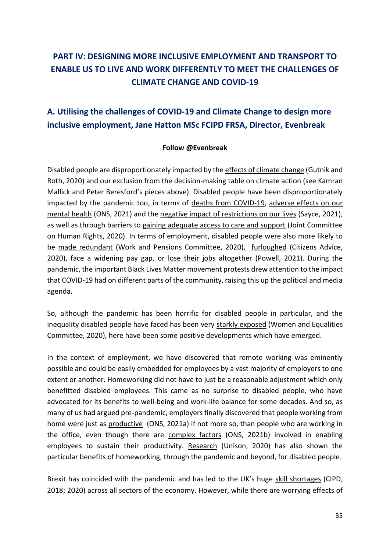# <span id="page-34-0"></span>**PART IV: DESIGNING MORE INCLUSIVE EMPLOYMENT AND TRANSPORT TO ENABLE US TO LIVE AND WORK DIFFERENTLY TO MEET THE CHALLENGES OF CLIMATE CHANGE AND COVID-19**

# <span id="page-34-1"></span>**A. Utilising the challenges of COVID-19 and Climate Change to design more inclusive employment, Jane Hatton MSc FCIPD FRSA, Director, Evenbreak**

### **Follow @Evenbreak**

Disabled people are disproportionately impacted by th[e effects of climate change \(](https://www.ohchr.org/Documents/Issues/ClimateChange/Submissions/Disabilities/Humanity_and_Inclusion.pdf)Gutnik and Roth, 2020) and our exclusion from the decision-making table on climate action (see Kamran Mallick and Peter Beresford's pieces above). Disabled people have been disproportionately impacted by the pandemic too, in terms of [deaths from COVID-19,](https://www.ons.gov.uk/peoplepopulationandcommunity/birthsdeathsandmarriages/deaths/articles/coronaviruscovid19relateddeathsbydisabilitystatusenglandandwales/2marchto14july2020#coronavirus-covid-19-related-deaths-by-disability-status-data) [adverse effects on our](https://www.ons.gov.uk/peoplepopulationandcommunity/healthandsocialcare/disability/articles/coronavirusandthesocialimpactsondisabledpeopleingreatbritain/february2021)  [mental health](https://www.ons.gov.uk/peoplepopulationandcommunity/healthandsocialcare/disability/articles/coronavirusandthesocialimpactsondisabledpeopleingreatbritain/february2021) (ONS, 2021) and the [negative impact of restrictions on our lives](https://www.health.org.uk/news-and-comment/blogs/the-forgotten-crisis-exploring-the-disproportionate-impact-of-the-pandemic) (Sayce, 2021), as well as through barriers to [gaining adequate access to care and support](https://committees.parliament.uk/publications/2649/documents/26914/default/) (Joint Committee on Human Rights, 2020). In terms of employment, disabled people were also more likely to be [made redundant](https://publications.parliament.uk/pa/cm5802/cmselect/cmworpen/189/18908.htm) (Work and Pensions Committee, 2020), [furloughed](https://www.citizensadvice.org.uk/Global/CitizensAdvice/Work%20Publications/An%20unequal%20crisis%20-%20final%20(1).pdf) (Citizens Advice, 2020), face a widening pay gap, or [lose their jobs](https://researchbriefings.files.parliament.uk/documents/CBP-7540/CBP-7540.pdf) altogether (Powell, 2021). During the pandemic, the important Black Lives Matter movement protests drew attention to the impact that COVID-19 had on different parts of the community, raising this up the political and media agenda.

So, although the pandemic has been horrific for disabled people in particular, and the inequality disabled people have faced has been very [starkly exposed](https://committees.parliament.uk/work/320/unequal-impact-coronavirus-disability-and-access-to-services/publications/) (Women and Equalities Committee, 2020), here have been some positive developments which have emerged.

In the context of employment, we have discovered that remote working was eminently possible and could be easily embedded for employees by a vast majority of employers to one extent or another. Homeworking did not have to just be a reasonable adjustment which only benefitted disabled employees. This came as no surprise to disabled people, who have advocated for its benefits to well-being and work-life balance for some decades. And so, as many of us had argued pre-pandemic, employers finally discovered that people working from home were just as [productive](https://www.ons.gov.uk/businessindustryandtrade/business/businessservices/bulletins/businessinsightsandimpactontheukeconomy/8april2021) (ONS, 2021a) if not more so, than people who are working in the office, even though there are [complex factors](https://www.ons.gov.uk/employmentandlabourmarket/peopleinwork/labourproductivity/articles/homeworkinghoursrewardsandopportunitiesintheuk2011to2020/2021-04-19) (ONS, 2021b) involved in enabling employees to sustain their productivity. [Research](https://www.unison.org.uk/content/uploads/2020/07/C19-disability-and-homeworking-report-FINAL.docx) (Unison, 2020) has also shown the particular benefits of homeworking, through the pandemic and beyond, for disabled people.

Brexit has coincided with the pandemic and has led to the UK's huge [skill shortages](https://www.cipd.co.uk/knowledge/brexit-hub/workforce-trends#gref) (CIPD, 2018; 2020) across all sectors of the economy. However, while there are worrying effects of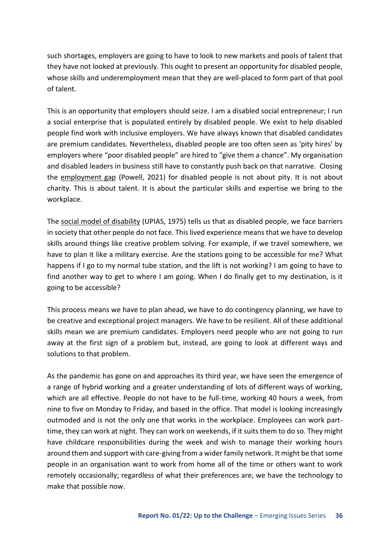such shortages, employers are going to have to look to new markets and pools of talent that they have not looked at previously. This ought to present an opportunity for disabled people, whose skills and underemployment mean that they are well-placed to form part of that pool of talent.

This is an opportunity that employers should seize. I am a disabled social entrepreneur; I run a social enterprise that is populated entirely by disabled people. We exist to help disabled people find work with inclusive employers. We have always known that disabled candidates are premium candidates. Nevertheless, disabled people are too often seen as 'pity hires' by employers where "poor disabled people" are hired to "give them a chance". My organisation and disabled leaders in business still have to constantly push back on that narrative. Closing the [employment gap](https://researchbriefings.files.parliament.uk/documents/CBP-7540/CBP-7540.pdf) (Powell, 2021) for disabled people is not about pity. It is not about charity. This is about talent. It is about the particular skills and expertise we bring to the workplace.

The [social model of disability](https://disability-studies.leeds.ac.uk/wp-content/uploads/sites/40/library/UPIAS-fundamental-principles.pdf) (UPIAS, 1975) tells us that as disabled people, we face barriers in society that other people do not face. This lived experience means that we have to develop skills around things like creative problem solving. For example, if we travel somewhere, we have to plan it like a military exercise. Are the stations going to be accessible for me? What happens if I go to my normal tube station, and the lift is not working? I am going to have to find another way to get to where I am going. When I do finally get to my destination, is it going to be accessible?

This process means we have to plan ahead, we have to do contingency planning, we have to be creative and exceptional project managers. We have to be resilient. All of these additional skills mean we are premium candidates. Employers need people who are not going to run away at the first sign of a problem but, instead, are going to look at different ways and solutions to that problem.

As the pandemic has gone on and approaches its third year, we have seen the emergence of a range of hybrid working and a greater understanding of lots of different ways of working, which are all effective. People do not have to be full-time, working 40 hours a week, from nine to five on Monday to Friday, and based in the office. That model is looking increasingly outmoded and is not the only one that works in the workplace. Employees can work parttime, they can work at night. They can work on weekends, if it suits them to do so. They might have childcare responsibilities during the week and wish to manage their working hours around them and support with care-giving from a wider family network. It might be that some people in an organisation want to work from home all of the time or others want to work remotely occasionally; regardless of what their preferences are, we have the technology to make that possible now.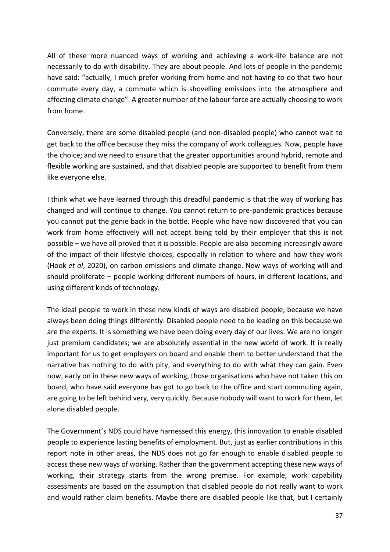All of these more nuanced ways of working and achieving a work-life balance are not necessarily to do with disability. They are about people. And lots of people in the pandemic have said: "actually, I much prefer working from home and not having to do that two hour commute every day, a commute which is shovelling emissions into the atmosphere and affecting climate change". A greater number of the labour force are actually choosing to work from home.

Conversely, there are some disabled people (and non-disabled people) who cannot wait to get back to the office because they miss the company of work colleagues. Now, people have the choice; and we need to ensure that the greater opportunities around hybrid, remote and flexible working are sustained, and that disabled people are supported to benefit from them like everyone else.

I think what we have learned through this dreadful pandemic is that the way of working has changed and will continue to change. You cannot return to pre-pandemic practices because you cannot put the genie back in the bottle. People who have now discovered that you can work from home effectively will not accept being told by their employer that this is not possible – we have all proved that it is possible. People are also becoming increasingly aware of the impact of their lifestyle choices, [especially in relation to where and how they work](https://iopscience.iop.org/article/10.1088/1748-9326/ab8a84)  (Hook *et al*, 2020), on carbon emissions and climate change. New ways of working will and should proliferate – people working different numbers of hours, in different locations, and using different kinds of technology.

The ideal people to work in these new kinds of ways are disabled people, because we have always been doing things differently. Disabled people need to be leading on this because we are the experts. It is something we have been doing every day of our lives. We are no longer just premium candidates; we are absolutely essential in the new world of work. It is really important for us to get employers on board and enable them to better understand that the narrative has nothing to do with pity, and everything to do with what they can gain. Even now, early on in these new ways of working, those organisations who have not taken this on board, who have said everyone has got to go back to the office and start commuting again, are going to be left behind very, very quickly. Because nobody will want to work for them, let alone disabled people.

The Government's NDS could have harnessed this energy, this innovation to enable disabled people to experience lasting benefits of employment. But, just as earlier contributions in this report note in other areas, the NDS does not go far enough to enable disabled people to access these new ways of working. Rather than the government accepting these new ways of working, their strategy starts from the wrong premise. For example, work capability assessments are based on the assumption that disabled people do not really want to work and would rather claim benefits. Maybe there are disabled people like that, but I certainly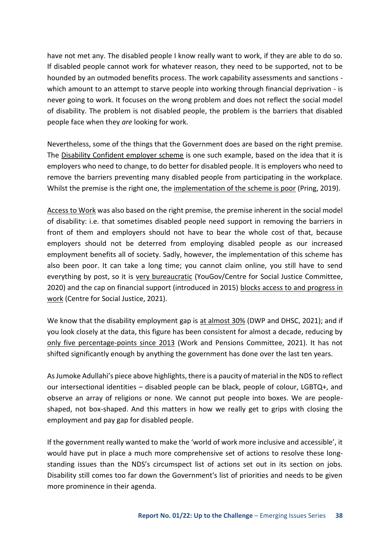have not met any. The disabled people I know really want to work, if they are able to do so. If disabled people cannot work for whatever reason, they need to be supported, not to be hounded by an outmoded benefits process. The work capability assessments and sanctions which amount to an attempt to starve people into working through financial deprivation - is never going to work. It focuses on the wrong problem and does not reflect the social model of disability. The problem is not disabled people, the problem is the barriers that disabled people face when they *are* looking for work.

Nevertheless, some of the things that the Government does are based on the right premise. The [Disability Confident employer scheme](https://www.gov.uk/government/collections/disability-confident-campaign) is one such example, based on the idea that it is employers who need to change, to do better for disabled people. It is employers who need to remove the barriers preventing many disabled people from participating in the workplace. Whilst the premise is the right one, the [implementation of the scheme is poor](https://www.disabilitynewsservice.com/dismal-job-figures-show-failure-of-disability-confident-says-de-cordova/#:~:text=David%20Gillon%2C%20a%20disabled%20campaigner,in%20five%20of%20the%20workforce.) (Pring, 2019).

[Access to Work w](https://www.gov.uk/access-to-work)as also based on the right premise, the premise inherent in the social model of disability: i.e. that sometimes disabled people need support in removing the barriers in front of them and employers should not have to bear the whole cost of that, because employers should not be deterred from employing disabled people as our increased employment benefits all of society. Sadly, however, the implementation of this scheme has also been poor. It can take a long time; you cannot claim online, you still have to send everything by post, so it is [very bureaucratic](https://yougov.co.uk/topics/health/explore/topic/Disability?content=all) (YouGov/Centre for Social Justice Committee, 2020) and the cap on financial support (introduced in 2015) [blocks access to and progress in](https://www.centreforsocialjustice.org.uk/wp-content/uploads/2021/03/CSJJ8819-Disability-Report-190408.pdf)  [work](https://www.centreforsocialjustice.org.uk/wp-content/uploads/2021/03/CSJJ8819-Disability-Report-190408.pdf) (Centre for Social Justice, 2021).

We know that the disability employment gap is [at almost 30%](https://assets.publishing.service.gov.uk/government/uploads/system/uploads/attachment_data/file/875199/employment-of-disabled-people-2019.pdf) (DWP and DHSC, 2021); and if you look closely at the data, this figure has been consistent for almost a decade, reducing by [only five percentage-points since 2013](https://committees.parliament.uk/publications/7005/documents/72950/default/) (Work and Pensions Committee, 2021). It has not shifted significantly enough by anything the government has done over the last ten years.

As Jumoke Adullahi's piece above highlights, there is a paucity of material in the NDS to reflect our intersectional identities – disabled people can be black, people of colour, LGBTQ+, and observe an array of religions or none. We cannot put people into boxes. We are peopleshaped, not box-shaped. And this matters in how we really get to grips with closing the employment and pay gap for disabled people.

If the government really wanted to make the 'world of work more inclusive and accessible', it would have put in place a much more comprehensive set of actions to resolve these longstanding issues than the NDS's circumspect list of actions set out in its section on jobs. Disability still comes too far down the Government's list of priorities and needs to be given more prominence in their agenda.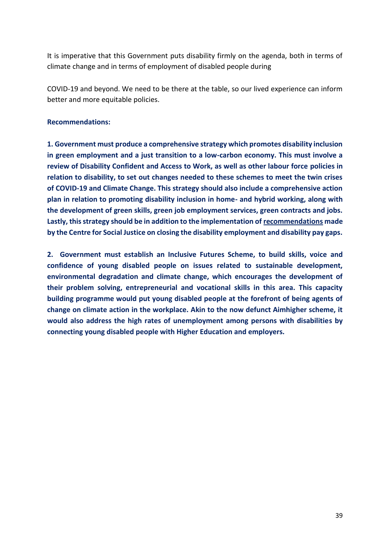It is imperative that this Government puts disability firmly on the agenda, both in terms of climate change and in terms of employment of disabled people during

COVID-19 and beyond. We need to be there at the table, so our lived experience can inform better and more equitable policies.

### **Recommendations:**

**1. Government must produce a comprehensive strategy which promotes disability inclusion in green employment and a just transition to a low-carbon economy. This must involve a review of Disability Confident and Access to Work, as well as other labour force policies in relation to disability, to set out changes needed to these schemes to meet the twin crises of COVID-19 and Climate Change. This strategy should also include a comprehensive action plan in relation to promoting disability inclusion in home- and hybrid working, along with the development of green skills, green job employment services, green contracts and jobs. Lastly, this strategy should be in addition to the implementation of [recommendations](https://www.centreforsocialjustice.org.uk/wp-content/uploads/2021/03/CSJJ8819-Disability-Report-190408.pdf) made by the Centre for Social Justice on closing the disability employment and disability pay gaps.** 

**2. Government must establish an Inclusive Futures Scheme, to build skills, voice and confidence of young disabled people on issues related to sustainable development, environmental degradation and climate change, which encourages the development of their problem solving, entrepreneurial and vocational skills in this area. This capacity building programme would put young disabled people at the forefront of being agents of change on climate action in the workplace. Akin to the now defunct Aimhigher scheme, it would also address the high rates of unemployment among persons with disabilities by connecting young disabled people with Higher Education and employers.**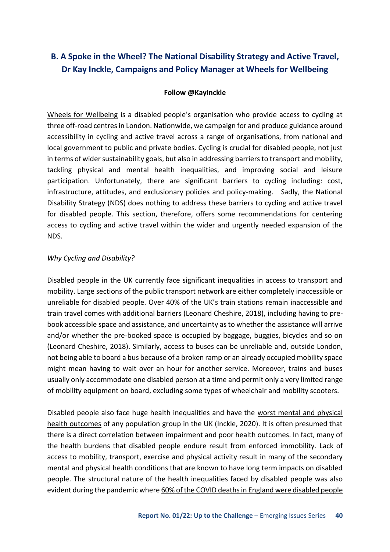### <span id="page-39-0"></span>**B. A Spoke in the Wheel? The National Disability Strategy and Active Travel, Dr Kay Inckle, Campaigns and Policy Manager at Wheels for Wellbeing**

### **Follow @KayInckle**

[Wheels for Wellbeing](https://wheelsforwellbeing.org.uk/) is a disabled people's organisation who provide access to cycling at three off-road centres in London. Nationwide, we campaign for and produce guidance around accessibility in cycling and active travel across a range of organisations, from national and local government to public and private bodies. Cycling is crucial for disabled people, not just in terms of wider sustainability goals, but also in addressing barriers to transport and mobility, tackling physical and mental health inequalities, and improving social and leisure participation. Unfortunately, there are significant barriers to cycling including: cost, infrastructure, attitudes, and exclusionary policies and policy-making. Sadly, the National Disability Strategy (NDS) does nothing to address these barriers to cycling and active travel for disabled people. This section, therefore, offers some recommendations for centering access to cycling and active travel within the wider and urgently needed expansion of the NDS.

#### *Why Cycling and Disability?*

Disabled people in the UK currently face significant inequalities in access to transport and mobility. Large sections of the public transport network are either completely inaccessible or unreliable for disabled people. Over 40% of the UK's train stations remain inaccessible and [train travel comes with additional barriers](https://www.leonardcheshire.org/about-us/our-news/press-releases/disabled-people-cant-use-over-40-train-stations) (Leonard Cheshire, 2018), including having to prebook accessible space and assistance, and uncertainty as to whether the assistance will arrive and/or whether the pre-booked space is occupied by baggage, buggies, bicycles and so on (Leonard Cheshire, 2018). Similarly, access to buses can be unreliable and, outside London, not being able to board a bus because of a broken ramp or an already occupied mobility space might mean having to wait over an hour for another service. Moreover, trains and buses usually only accommodate one disabled person at a time and permit only a very limited range of mobility equipment on board, excluding some types of wheelchair and mobility scooters.

Disabled people also face huge health inequalities and have the [worst mental and physical](https://www.sjdr.se/articles/10.16993/sjdr.695/)  [health outcomes](https://www.sjdr.se/articles/10.16993/sjdr.695/) of any population group in the UK (Inckle, 2020). It is often presumed that there is a direct correlation between impairment and poor health outcomes. In fact, many of the health burdens that disabled people endure result from enforced immobility. Lack of access to mobility, transport, exercise and physical activity result in many of the secondary mental and physical health conditions that are known to have long term impacts on disabled people. The structural nature of the health inequalities faced by disabled people was also evident during the pandemic where [60% of the COVID deaths in England were disabled people](https://www.health.org.uk/news-and-comment/news/6-out-of-10-people-who-have-died-from-covid-19-are-disabled)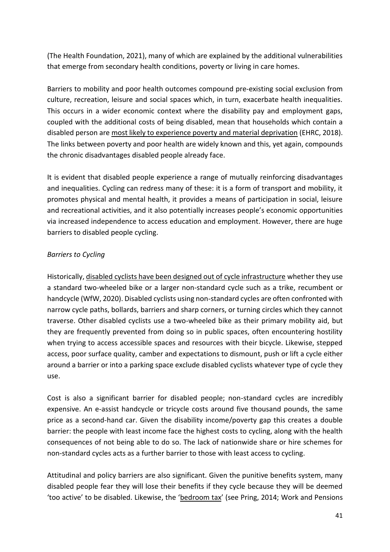(The Health Foundation, 2021), many of which are explained by the additional vulnerabilities that emerge from secondary health conditions, poverty or living in care homes.

Barriers to mobility and poor health outcomes compound pre-existing social exclusion from culture, recreation, leisure and social spaces which, in turn, exacerbate health inequalities. This occurs in a wider economic context where the disability pay and employment gaps, coupled with the additional costs of being disabled, mean that households which contain a disabled person are [most likely to experience poverty and material deprivation](https://www.equalityhumanrights.com/sites/default/files/progress-on-disability-rights-in-the-uk-crpd-shadow-report-2018_0.pdf) (EHRC, 2018). The links between poverty and poor health are widely known and this, yet again, compounds the chronic disadvantages disabled people already face.

It is evident that disabled people experience a range of mutually reinforcing disadvantages and inequalities. Cycling can redress many of these: it is a form of transport and mobility, it promotes physical and mental health, it provides a means of participation in social, leisure and recreational activities, and it also potentially increases people's economic opportunities via increased independence to access education and employment. However, there are huge barriers to disabled people cycling.

### *Barriers to Cycling*

Historically[, disabled cyclists have been designed out of cycle infrastructure](https://wheelsforwellbeing.org.uk/campaigning/guide/) whether they use a standard two-wheeled bike or a larger non-standard cycle such as a trike, recumbent or handcycle (WfW, 2020). Disabled cyclists using non-standard cycles are often confronted with narrow cycle paths, bollards, barriers and sharp corners, or turning circles which they cannot traverse. Other disabled cyclists use a two-wheeled bike as their primary mobility aid, but they are frequently prevented from doing so in public spaces, often encountering hostility when trying to access accessible spaces and resources with their bicycle. Likewise, stepped access, poor surface quality, camber and expectations to dismount, push or lift a cycle either around a barrier or into a parking space exclude disabled cyclists whatever type of cycle they use.

Cost is also a significant barrier for disabled people; non-standard cycles are incredibly expensive. An e-assist handcycle or tricycle costs around five thousand pounds, the same price as a second-hand car. Given the disability income/poverty gap this creates a double barrier: the people with least income face the highest costs to cycling, along with the health consequences of not being able to do so. The lack of nationwide share or hire schemes for non-standard cycles acts as a further barrier to those with least access to cycling.

Attitudinal and policy barriers are also significant. Given the punitive benefits system, many disabled people fear they will lose their benefits if they cycle because they will be deemed 'too active' to be disabled. Likewise, the '[bedroom tax](https://www.disabilitynewsservice.com/bedroom-tax-is-causing-severe-financial-hardship-say-mps/)' (see Pring, 2014; Work and Pensions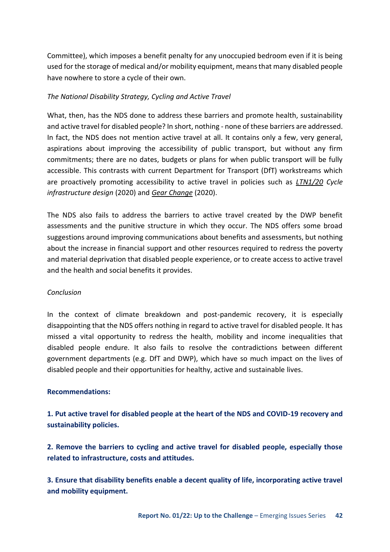Committee), which imposes a benefit penalty for any unoccupied bedroom even if it is being used for the storage of medical and/or mobility equipment, means that many disabled people have nowhere to store a cycle of their own.

### *The National Disability Strategy, Cycling and Active Travel*

What, then, has the NDS done to address these barriers and promote health, sustainability and active travel for disabled people? In short, nothing - none of these barriers are addressed. In fact, the NDS does not mention active travel at all. It contains only a few, very general, aspirations about improving the accessibility of public transport, but without any firm commitments; there are no dates, budgets or plans for when public transport will be fully accessible. This contrasts with current Department for Transport (DfT) workstreams which are proactively promoting accessibility to active travel in policies such a[s](https://www.gov.uk/government/publications/cycle-infrastructure-design-ltn-120) *[LTN1/20](https://www.gov.uk/government/publications/cycle-infrastructure-design-ltn-120) Cycle infrastructure design* (2020) an[d](https://assets.publishing.service.gov.uk/government/uploads/system/uploads/attachment_data/file/904146/gear-change-a-bold-vision-for-cycling-and-walking.pdf) *[Gear Change](https://assets.publishing.service.gov.uk/government/uploads/system/uploads/attachment_data/file/904146/gear-change-a-bold-vision-for-cycling-and-walking.pdf)* (2020).

The NDS also fails to address the barriers to active travel created by the DWP benefit assessments and the punitive structure in which they occur. The NDS offers some broad suggestions around improving communications about benefits and assessments, but nothing about the increase in financial support and other resources required to redress the poverty and material deprivation that disabled people experience, or to create access to active travel and the health and social benefits it provides.

### *Conclusion*

In the context of climate breakdown and post-pandemic recovery, it is especially disappointing that the NDS offers nothing in regard to active travel for disabled people. It has missed a vital opportunity to redress the health, mobility and income inequalities that disabled people endure. It also fails to resolve the contradictions between different government departments (e.g. DfT and DWP), which have so much impact on the lives of disabled people and their opportunities for healthy, active and sustainable lives.

### **Recommendations:**

**1. Put active travel for disabled people at the heart of the NDS and COVID-19 recovery and sustainability policies.** 

**2. Remove the barriers to cycling and active travel for disabled people, especially those related to infrastructure, costs and attitudes.** 

**3. Ensure that disability benefits enable a decent quality of life, incorporating active travel and mobility equipment.**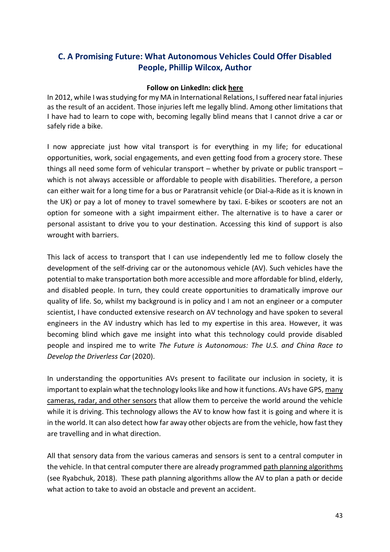### <span id="page-42-0"></span>**C. A Promising Future: What Autonomous Vehicles Could Offer Disabled People, Phillip Wilcox, Author**

### **Follow on LinkedIn: click [here](https://www.linkedin.com/in/phillip-wilcox/)**

In 2012, while I was studying for my MA in International Relations, I suffered near fatal injuries as the result of an accident. Those injuries left me legally blind. Among other limitations that I have had to learn to cope with, becoming legally blind means that I cannot drive a car or safely ride a bike.

I now appreciate just how vital transport is for everything in my life; for educational opportunities, work, social engagements, and even getting food from a grocery store. These things all need some form of vehicular transport – whether by private or public transport – which is not always accessible or affordable to people with disabilities. Therefore, a person can either wait for a long time for a bus or Paratransit vehicle (or Dial-a-Ride as it is known in the UK) or pay a lot of money to travel somewhere by taxi. E-bikes or scooters are not an option for someone with a sight impairment either. The alternative is to have a carer or personal assistant to drive you to your destination. Accessing this kind of support is also wrought with barriers.

This lack of access to transport that I can use independently led me to follow closely the development of the self-driving car or the autonomous vehicle (AV). Such vehicles have the potential to make transportation both more accessible and more affordable for blind, elderly, and disabled people. In turn, they could create opportunities to dramatically improve our quality of life. So, whilst my background is in policy and I am not an engineer or a computer scientist, I have conducted extensive research on AV technology and have spoken to several engineers in the AV industry which has led to my expertise in this area. However, it was becoming blind which gave me insight into what this technology could provide disabled people and inspired me to write *The Future is Autonomous: The U.S. and China Race to Develop the Driverless Car* (2020).

In understanding the opportunities AVs present to facilitate our inclusion in society, it is important to explain what the technology looks like and how it functions. AVs have GPS[, many](https://blogs.nvidia.com/blog/2019/04/15/how-does-a-self-driving-car-see/)  [cameras, radar, and other sensors](https://blogs.nvidia.com/blog/2019/04/15/how-does-a-self-driving-car-see/) that allow them to perceive the world around the vehicle while it is driving. This technology allows the AV to know how fast it is going and where it is in the world. It can also detect how far away other objects are from the vehicle, how fast they are travelling and in what direction.

All that sensory data from the various cameras and sensors is sent to a central computer in the vehicle. In that central computer there are already programmed [path planning algorithms](https://dzone.com/articles/how-does-path-planning-for-autonomous-vehicles-wor)  (see Ryabchuk, 2018). These path planning algorithms allow the AV to plan a path or decide what action to take to avoid an obstacle and prevent an accident.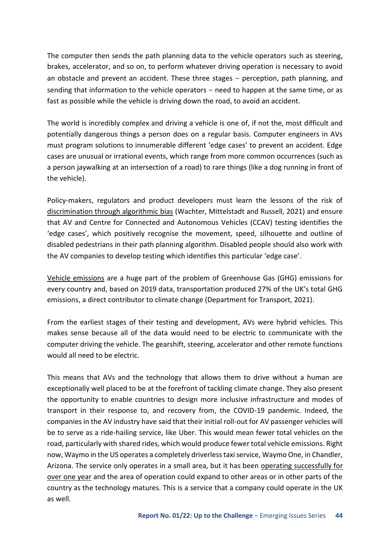The computer then sends the path planning data to the vehicle operators such as steering, brakes, accelerator, and so on, to perform whatever driving operation is necessary to avoid an obstacle and prevent an accident. These three stages – perception, path planning, and sending that information to the vehicle operators – need to happen at the same time, or as fast as possible while the vehicle is driving down the road, to avoid an accident.

The world is incredibly complex and driving a vehicle is one of, if not the, most difficult and potentially dangerous things a person does on a regular basis. Computer engineers in AVs must program solutions to innumerable different 'edge cases' to prevent an accident. Edge cases are unusual or irrational events, which range from more common occurrences (such as a person jaywalking at an intersection of a road) to rare things (like a dog running in front of the vehicle).

Policy-makers, regulators and product developers must learn the lessons of the risk of [discrimination through algorithmic bias](https://papers.ssrn.com/sol3/papers.cfm?abstract_id=3792772) (Wachter, Mittelstadt and Russell, 2021) and ensure that AV and Centre for Connected and Autonomous Vehicles (CCAV) testing identifies the 'edge cases', which positively recognise the movement, speed, silhouette and outline of disabled pedestrians in their path planning algorithm. Disabled people should also work with the AV companies to develop testing which identifies this particular 'edge case'.

[Vehicle emissions](https://assets.publishing.service.gov.uk/government/uploads/system/uploads/attachment_data/file/984685/transport-and-environment-statistics-2021.pdf) are a huge part of the problem of Greenhouse Gas (GHG) emissions for every country and, based on 2019 data, transportation produced 27% of the UK's total GHG emissions, a direct contributor to climate change (Department for Transport, 2021).

From the earliest stages of their testing and development, AVs were hybrid vehicles. This makes sense because all of the data would need to be electric to communicate with the computer driving the vehicle. The gearshift, steering, accelerator and other remote functions would all need to be electric.

This means that AVs and the technology that allows them to drive without a human are exceptionally well placed to be at the forefront of tackling climate change. They also present the opportunity to enable countries to design more inclusive infrastructure and modes of transport in their response to, and recovery from, the COVID-19 pandemic. Indeed, the companies in the AV industry have said that their initial roll-out for AV passenger vehicles will be to serve as a ride-hailing service, like Uber. This would mean fewer total vehicles on the road, particularly with shared rides, which would produce fewer total vehicle emissions. Right now, Waymo in the US operates a completely driverless taxi service, Waymo One, in Chandler, Arizona. The service only operates in a small area, but it has been operating successfully for [over one year](https://twitter.com/waymo/status/1446506053101887492?ref_src=twsrc%5Etfw) and the area of operation could expand to other areas or in other parts of the country as the technology matures. This is a service that a company could operate in the UK as well.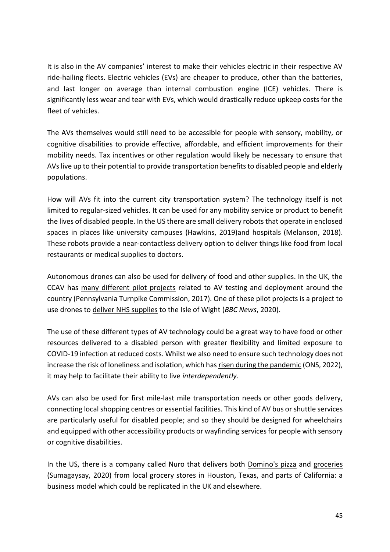It is also in the AV companies' interest to make their vehicles electric in their respective AV ride-hailing fleets. Electric vehicles (EVs) are cheaper to produce, other than the batteries, and last longer on average than internal combustion engine (ICE) vehicles. There is significantly less wear and tear with EVs, which would drastically reduce upkeep costs for the fleet of vehicles.

The AVs themselves would still need to be accessible for people with sensory, mobility, or cognitive disabilities to provide effective, affordable, and efficient improvements for their mobility needs. Tax incentives or other regulation would likely be necessary to ensure that AVs live up to their potential to provide transportation benefits to disabled people and elderly populations.

How will AVs fit into the current city transportation system? The technology itself is not limited to regular-sized vehicles. It can be used for any mobility service or product to benefit the lives of disabled people. In the US there are small delivery robots that operate in enclosed spaces in places like [university campuses](https://www.theverge.com/2019/8/20/20812184/starship-delivery-robot-expansion-college-campus) (Hawkins, 2019)and [hospitals](https://aethon.com/mobile-robots-for-healthcare/) (Melanson, 2018). These robots provide a near-contactless delivery option to deliver things like food from local restaurants or medical supplies to doctors.

Autonomous drones can also be used for delivery of food and other supplies. In the UK, the CCAV has [many different pilot projects](https://transportationops.org/sites/transops/files/PA%20Turnpike_CAV_Program_Roadmap.pdf) related to AV testing and deployment around the country (Pennsylvania Turnpike Commission, 2017). One of these pilot projects is a project to use drones to [deliver NHS supplies](https://www.bbc.com/news/technology-52419705) to the Isle of Wight (*BBC News*, 2020).

The use of these different types of AV technology could be a great way to have food or other resources delivered to a disabled person with greater flexibility and limited exposure to COVID-19 infection at reduced costs. Whilst we also need to ensure such technology does not increase the risk of loneliness and isolation, which ha[s risen during the pandemic](https://www.ons.gov.uk/peoplepopulationandcommunity/healthandsocialcare/disability/articles/coronavirusandthesocialimpactsondisabledpeopleingreatbritain/latest) (ONS, 2022), it may help to facilitate their ability to live *interdependently*.

AVs can also be used for first mile-last mile transportation needs or other goods delivery, connecting local shopping centres or essential facilities. This kind of AV bus or shuttle services are particularly useful for disabled people; and so they should be designed for wheelchairs and equipped with other accessibility products or wayfinding services for people with sensory or cognitive disabilities.

In the US, there is a company called Nuro that delivers both [Domino's pizza](https://selfdrivingdelivery.dominos.com/en) and [groceries](https://www.protocol.com/dave-ferguson-nuro-coronavirus-interview)  (Sumagaysay, 2020) from local grocery stores in Houston, Texas, and parts of California: a business model which could be replicated in the UK and elsewhere.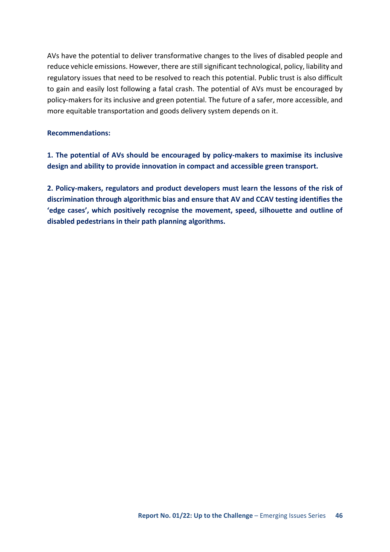AVs have the potential to deliver transformative changes to the lives of disabled people and reduce vehicle emissions. However, there are still significant technological, policy, liability and regulatory issues that need to be resolved to reach this potential. Public trust is also difficult to gain and easily lost following a fatal crash. The potential of AVs must be encouraged by policy-makers for its inclusive and green potential. The future of a safer, more accessible, and more equitable transportation and goods delivery system depends on it.

### **Recommendations:**

**1. The potential of AVs should be encouraged by policy-makers to maximise its inclusive design and ability to provide innovation in compact and accessible green transport.** 

**2. Policy-makers, regulators and product developers must learn the lessons of the risk of discrimination through algorithmic bias and ensure that AV and CCAV testing identifies the 'edge cases', which positively recognise the movement, speed, silhouette and outline of disabled pedestrians in their path planning algorithms.**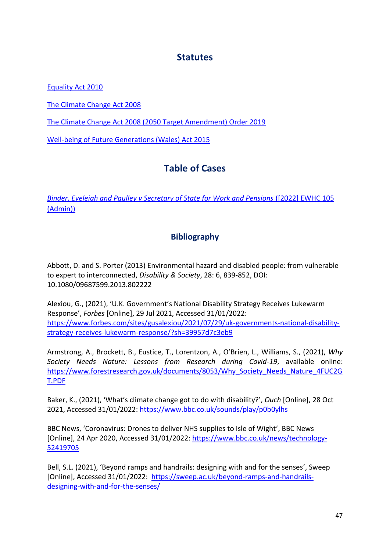### **Statutes**

<span id="page-46-0"></span>[Equality Act 2010](https://www.legislation.gov.uk/ukpga/2010/15/contents)

[The Climate Change Act 2008](https://www.legislation.gov.uk/ukpga/2008/27/contents)

[The Climate Change Act 2008 \(2050 Target Amendment\) Order 2019](https://www.legislation.gov.uk/uksi/2019/1056/contents/made)

<span id="page-46-1"></span>[Well-being of Future Generations \(Wales\) Act 2015](https://www.legislation.gov.uk/anaw/2015/2/contents/enacted)

# **Table of Cases**

<span id="page-46-2"></span>*[Binder, Eveleigh and Paulley v Secretary of State for Work and Pensions](https://www.bindmans.com/uploads/files/documents/Binder_v_SoS_for_Work_and_Pensions_2022_EWHC_105_(Admin).pdf)* ([2022] EWHC 105 [\(Admin\)\)](https://www.bindmans.com/uploads/files/documents/Binder_v_SoS_for_Work_and_Pensions_2022_EWHC_105_(Admin).pdf)

### **Bibliography**

Abbott, D. and S. Porter (2013) Environmental hazard and disabled people: from vulnerable to expert to interconnected, *Disability & Society*, 28: 6, 839-852, DOI: 10.1080/09687599.2013.802222

Alexiou, G., (2021), 'U.K. Government's National Disability Strategy Receives Lukewarm Response', *Forbes* [Online], 29 Jul 2021, Accessed 31/01/2022: [https://www.forbes.com/sites/gusalexiou/2021/07/29/uk-governments-national-disability](https://www.forbes.com/sites/gusalexiou/2021/07/29/uk-governments-national-disability-strategy-receives-lukewarm-response/?sh=39957d7c3eb9)[strategy-receives-lukewarm-response/?sh=39957d7c3eb9](https://www.forbes.com/sites/gusalexiou/2021/07/29/uk-governments-national-disability-strategy-receives-lukewarm-response/?sh=39957d7c3eb9) 

Armstrong, A., Brockett, B., Eustice, T., Lorentzon, A., O'Brien, L., Williams, S., (2021), *Why Society Needs Nature: Lessons from Research during Covid-19*, available online: [https://www.forestresearch.gov.uk/documents/8053/Why\\_Society\\_Needs\\_Nature\\_4FUC2G](https://www.forestresearch.gov.uk/documents/8053/Why_Society_Needs_Nature_4FUC2GT.PDF) [T.PDF](https://www.forestresearch.gov.uk/documents/8053/Why_Society_Needs_Nature_4FUC2GT.PDF) 

Baker, K., (2021), 'What's climate change got to do with disability?', *Ouch* [Online], 28 Oct 2021, Accessed 31/01/2022:<https://www.bbc.co.uk/sounds/play/p0b0ylhs>

BBC News, 'Coronavirus: Drones to deliver NHS supplies to Isle of Wight', BBC News [Online], 24 Apr 2020, Accessed 31/01/2022: [https://www.bbc.co.uk/news/technology-](https://www.bbc.co.uk/news/technology-52419705)[52419705](https://www.bbc.co.uk/news/technology-52419705) 

Bell, S.L. (2021), 'Beyond ramps and handrails: designing with and for the senses', Sweep [Online], Accessed 31/01/2022: [https://sweep.ac.uk/beyond-ramps-and-handrails](https://sweep.ac.uk/beyond-ramps-and-handrails-designing-with-and-for-the-senses/)[designing-with-and-for-the-senses/](https://sweep.ac.uk/beyond-ramps-and-handrails-designing-with-and-for-the-senses/)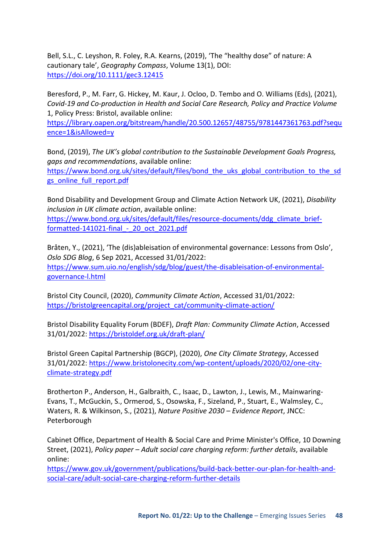Bell, S.L., C. Leyshon, R. Foley, R.A. Kearns, (2019), 'The "healthy dose" of nature: A cautionary tale', *Geography Compass*, Volume 13(1), DOI: <https://doi.org/10.1111/gec3.12415>

Beresford, P., M. Farr, G. Hickey, M. Kaur, J. Ocloo, D. Tembo and O. Williams (Eds), (2021), *Covid-19 and Co-production in Health and Social Care Research, Policy and Practice Volume*  1, Policy Press: Bristol, available online:

[https://library.oapen.org/bitstream/handle/20.500.12657/48755/9781447361763.pdf?sequ](https://library.oapen.org/bitstream/handle/20.500.12657/48755/9781447361763.pdf?sequence=1&isAllowed=y) [ence=1&isAllowed=y](https://library.oapen.org/bitstream/handle/20.500.12657/48755/9781447361763.pdf?sequence=1&isAllowed=y) 

Bond, (2019), *The UK's global contribution to the Sustainable Development Goals Progress, gaps and recommendations*, available online:

[https://www.bond.org.uk/sites/default/files/bond\\_the\\_uks\\_global\\_contribution\\_to\\_the\\_sd](https://www.bond.org.uk/sites/default/files/bond_the_uks_global_contribution_to_the_sdgs_online_full_report.pdf) gs\_online\_full\_report.pdf

Bond Disability and Development Group and Climate Action Network UK, (2021), *Disability inclusion in UK climate action*, available online: [https://www.bond.org.uk/sites/default/files/resource-documents/ddg\\_climate\\_brief](https://www.bond.org.uk/sites/default/files/resource-documents/ddg_climate_brief-formatted-141021-final_-_20_oct_2021.pdf)[formatted-141021-final\\_-\\_20\\_oct\\_2021.pdf](https://www.bond.org.uk/sites/default/files/resource-documents/ddg_climate_brief-formatted-141021-final_-_20_oct_2021.pdf) 

Bråten, Y., (2021), 'The (dis)ableisation of environmental governance: Lessons from Oslo', *Oslo SDG Blog*, 6 Sep 2021, Accessed 31/01/2022: [https://www.sum.uio.no/english/sdg/blog/guest/the-disableisation-of-environmental](https://www.sum.uio.no/english/sdg/blog/guest/the-disableisation-of-environmental-governance-l.html)[governance-l.html](https://www.sum.uio.no/english/sdg/blog/guest/the-disableisation-of-environmental-governance-l.html) 

Bristol City Council, (2020), *Community Climate Action*, Accessed 31/01/2022: [https://bristolgreencapital.org/project\\_cat/community-climate-action/](https://bristolgreencapital.org/project_cat/community-climate-action/) 

Bristol Disability Equality Forum (BDEF), *Draft Plan: Community Climate Action*, Accessed 31/01/2022:<https://bristoldef.org.uk/draft-plan/>

Bristol Green Capital Partnership (BGCP), (2020), *One City Climate Strategy*, Accessed 31/01/2022: [https://www.bristolonecity.com/wp-content/uploads/2020/02/one-city](https://www.bristolonecity.com/wp-content/uploads/2020/02/one-city-climate-strategy.pdf)[climate-strategy.pdf](https://www.bristolonecity.com/wp-content/uploads/2020/02/one-city-climate-strategy.pdf) 

Brotherton P., Anderson, H., Galbraith, C., Isaac, D., Lawton, J., Lewis, M., Mainwaring-Evans, T., McGuckin, S., Ormerod, S., Osowska, F., Sizeland, P., Stuart, E., Walmsley, C., Waters, R. & Wilkinson, S., (2021), *Nature Positive 2030 – Evidence Report*, JNCC: Peterborough

Cabinet Office, Department of Health & Social Care and Prime Minister's Office, 10 Downing Street, (2021), *Policy paper – Adult social care charging reform: further details*, available online:

[https://www.gov.uk/government/publications/build-back-better-our-plan-for-health-and](https://www.gov.uk/government/publications/build-back-better-our-plan-for-health-and-social-care/adult-social-care-charging-reform-further-details)[social-care/adult-social-care-charging-reform-further-details](https://www.gov.uk/government/publications/build-back-better-our-plan-for-health-and-social-care/adult-social-care-charging-reform-further-details)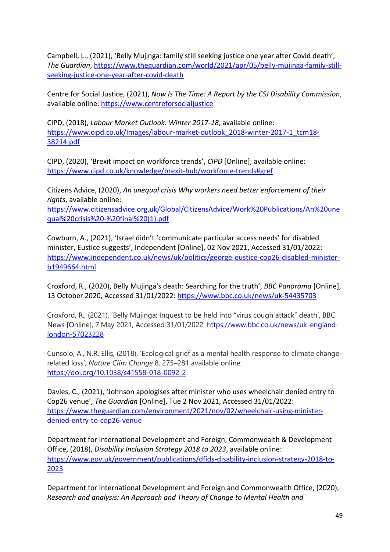Campbell, L., (2021), 'Belly Mujinga: family still seeking justice one year after Covid death', *The Guardian*, [https://www.theguardian.com/world/2021/apr/05/belly-mujinga-family-still](https://www.theguardian.com/world/2021/apr/05/belly-mujinga-family-still-seeking-justice-one-year-after-covid-death)[seeking-justice-one-year-after-covid-death](https://www.theguardian.com/world/2021/apr/05/belly-mujinga-family-still-seeking-justice-one-year-after-covid-death) 

Centre for Social Justice, (2021), *Now Is The Time: A Report by the CSJ Disability Commission*, available online: [https://www.centreforsocialjustice](https://www.centreforsocialjustice/)

CIPD, (2018), *Labour Market Outlook: Winter 2017-18*, available online: [https://www.cipd.co.uk/Images/labour-market-outlook\\_2018-winter-2017-1\\_tcm18-](https://www.cipd.co.uk/Images/labour-market-outlook_2018-winter-2017-1_tcm18-38214.pdf) [38214.pdf](https://www.cipd.co.uk/Images/labour-market-outlook_2018-winter-2017-1_tcm18-38214.pdf) 

CIPD, (2020), 'Brexit impact on workforce trends', *CIPD* [Online], available online: <https://www.cipd.co.uk/knowledge/brexit-hub/workforce-trends#gref>

Citizens Advice, (2020), *An unequal crisis Why workers need better enforcement of their rights*, available online:

[https://www.citizensadvice.org.uk/Global/CitizensAdvice/Work%20Publications/An%20une](https://www.citizensadvice.org.uk/Global/CitizensAdvice/Work%20Publications/An%20unequal%20crisis%20-%20final%20(1).pdf) [qual%20crisis%20-%20final%20\(1\).pdf](https://www.citizensadvice.org.uk/Global/CitizensAdvice/Work%20Publications/An%20unequal%20crisis%20-%20final%20(1).pdf) 

Cowburn, A., (2021), 'Israel didn't 'communicate particular access needs' for disabled minister, Eustice suggests', Independent [Online], 02 Nov 2021, Accessed 31/01/2022: [https://www.independent.co.uk/news/uk/politics/george-eustice-cop26-disabled-minister](https://www.independent.co.uk/news/uk/politics/george-eustice-cop26-disabled-minister-b1949664.html)[b1949664.html](https://www.independent.co.uk/news/uk/politics/george-eustice-cop26-disabled-minister-b1949664.html) 

Croxford, R., (2020), Belly Mujinga's death: Searching for the truth', *BBC Panorama* [Online], 13 October 2020, Accessed 31/01/2022[: https://www.bbc.co.uk/news/uk-54435703](https://www.bbc.co.uk/news/uk-54435703) 

Croxford, R., (2021), 'Belly Mujinga: Inquest to be held into "virus cough attack" death', BBC News [Online], 7 May 2021, Accessed 31/01/2022: [https://www.bbc.co.uk/news/uk-england](https://www.bbc.co.uk/news/uk-england-london-57023228)[london-57023228](https://www.bbc.co.uk/news/uk-england-london-57023228) 

Cunsolo, A., N.R. Ellis, (2018), 'Ecological grief as a mental health response to climate changerelated loss', *Nature Clim Change* 8, 275–281 available online: <https://doi.org/10.1038/s41558-018-0092-2>

Davies, C., (2021), 'Johnson apologises after minister who uses wheelchair denied entry to Cop26 venue', *The Guardian* [Online], Tue 2 Nov 2021, Accessed 31/01/2022: [https://www.theguardian.com/environment/2021/nov/02/wheelchair-using-minister](https://www.theguardian.com/environment/2021/nov/02/wheelchair-using-minister-denied-entry-to-cop26-venue)[denied-entry-to-cop26-venue](https://www.theguardian.com/environment/2021/nov/02/wheelchair-using-minister-denied-entry-to-cop26-venue) 

Department for International Development and Foreign, Commonwealth & Development Office, (2018), *Disability Inclusion Strategy 2018 to 2023*, available online: [https://www.gov.uk/government/publications/dfids-disability-inclusion-strategy-2018-to-](https://www.gov.uk/government/publications/dfids-disability-inclusion-strategy-2018-to-2023)[2023](https://www.gov.uk/government/publications/dfids-disability-inclusion-strategy-2018-to-2023) 

Department for International Development and Foreign and Commonwealth Office, (2020), *Research and analysis: An Approach and Theory of Change to Mental Health and*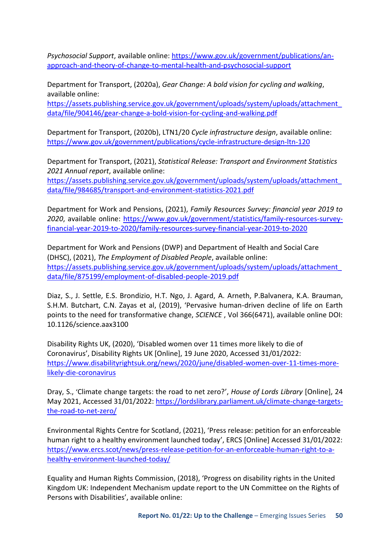*Psychosocial Support*, available online: [https://www.gov.uk/government/publications/an](https://www.gov.uk/government/publications/an-approach-and-theory-of-change-to-mental-health-and-psychosocial-support)[approach-and-theory-of-change-to-mental-health-and-psychosocial-support](https://www.gov.uk/government/publications/an-approach-and-theory-of-change-to-mental-health-and-psychosocial-support) 

Department for Transport, (2020a), *Gear Change: A bold vision for cycling and walking*, available online:

[https://assets.publishing.service.gov.uk/government/uploads/system/uploads/attachment\\_](https://assets.publishing.service.gov.uk/government/uploads/system/uploads/attachment_data/file/904146/gear-change-a-bold-vision-for-cycling-and-walking.pdf) [data/file/904146/gear-change-a-bold-vision-for-cycling-and-walking.pdf](https://assets.publishing.service.gov.uk/government/uploads/system/uploads/attachment_data/file/904146/gear-change-a-bold-vision-for-cycling-and-walking.pdf)

Department for Transport, (2020b), LTN1/20 *Cycle infrastructure design*, available online: <https://www.gov.uk/government/publications/cycle-infrastructure-design-ltn-120>

Department for Transport, (2021), *Statistical Release: Transport and Environment Statistics 2021 Annual report*, available online: [https://assets.publishing.service.gov.uk/government/uploads/system/uploads/attachment\\_](https://assets.publishing.service.gov.uk/government/uploads/system/uploads/attachment_data/file/984685/transport-and-environment-statistics-2021.pdf) [data/file/984685/transport-and-environment-statistics-2021.pdf](https://assets.publishing.service.gov.uk/government/uploads/system/uploads/attachment_data/file/984685/transport-and-environment-statistics-2021.pdf) 

Department for Work and Pensions, (2021), *Family Resources Survey: financial year 2019 to 2020*, available online: [https://www.gov.uk/government/statistics/family-resources-survey](https://www.gov.uk/government/statistics/family-resources-survey-financial-year-2019-to-2020/family-resources-survey-financial-year-2019-to-2020)[financial-year-2019-to-2020/family-resources-survey-financial-year-2019-to-2020](https://www.gov.uk/government/statistics/family-resources-survey-financial-year-2019-to-2020/family-resources-survey-financial-year-2019-to-2020) 

Department for Work and Pensions (DWP) and Department of Health and Social Care (DHSC), (2021), *The Employment of Disabled People*, available online: [https://assets.publishing.service.gov.uk/government/uploads/system/uploads/attachment\\_](https://assets.publishing.service.gov.uk/government/uploads/system/uploads/attachment_data/file/875199/employment-of-disabled-people-2019.pdf) [data/file/875199/employment-of-disabled-people-2019.pdf](https://assets.publishing.service.gov.uk/government/uploads/system/uploads/attachment_data/file/875199/employment-of-disabled-people-2019.pdf) 

Diaz, S., J. Settle, E.S. Brondizio, H.T. Ngo, J. Agard, A. Arneth, P.Balvanera, K.A. Brauman, S.H.M. Butchart, C.N. Zayas et al, (2019), 'Pervasive human-driven decline of life on Earth points to the need for transformative change, *SCIENCE* , Vol 366(6471), available online DOI: 10.1126/science.aax3100

Disability Rights UK, (2020), 'Disabled women over 11 times more likely to die of Coronavirus', Disability Rights UK [Online], 19 June 2020, Accessed 31/01/2022: [https://www.disabilityrightsuk.org/news/2020/june/disabled-women-over-11-times-more](https://www.disabilityrightsuk.org/news/2020/june/disabled-women-over-11-times-more-likely-die-coronavirus)[likely-die-coronavirus](https://www.disabilityrightsuk.org/news/2020/june/disabled-women-over-11-times-more-likely-die-coronavirus) 

Dray, S., 'Climate change targets: the road to net zero?', *House of Lords Library* [Online], 24 May 2021, Accessed 31/01/2022: [https://lordslibrary.parliament.uk/climate-change-targets](https://lordslibrary.parliament.uk/climate-change-targets-the-road-to-net-zero/)[the-road-to-net-zero/](https://lordslibrary.parliament.uk/climate-change-targets-the-road-to-net-zero/) 

Environmental Rights Centre for Scotland, (2021), 'Press release: petition for an enforceable human right to a healthy environment launched today', ERCS [Online] Accessed 31/01/2022: [https://www.ercs.scot/news/press-release-petition-for-an-enforceable-human-right-to-a](https://www.ercs.scot/news/press-release-petition-for-an-enforceable-human-right-to-a-healthy-environment-launched-today/)[healthy-environment-launched-today/](https://www.ercs.scot/news/press-release-petition-for-an-enforceable-human-right-to-a-healthy-environment-launched-today/) 

Equality and Human Rights Commission, (2018), 'Progress on disability rights in the United Kingdom UK: Independent Mechanism update report to the UN Committee on the Rights of Persons with Disabilities', available online: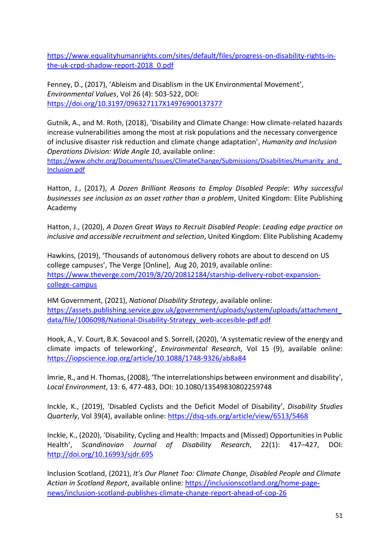[https://www.equalityhumanrights.com/sites/default/files/progress-on-disability-rights-in](https://www.equalityhumanrights.com/sites/default/files/progress-on-disability-rights-in-the-uk-crpd-shadow-report-2018_0.pdf)[the-uk-crpd-shadow-report-2018\\_0.pdf](https://www.equalityhumanrights.com/sites/default/files/progress-on-disability-rights-in-the-uk-crpd-shadow-report-2018_0.pdf) 

Fenney, D., (2017), 'Ableism and Disablism in the UK Environmental Movement', *Environmental Values*, Vol 26 (4): 503-522, DOI: <https://doi.org/10.3197/096327117X14976900137377>

Gutnik, A., and M. Roth, (2018), 'Disability and Climate Change: How climate-related hazards increase vulnerabilities among the most at risk populations and the necessary convergence of inclusive disaster risk reduction and climate change adaptation', *Humanity and Inclusion Operations Division: Wide Angle 10*, available online:

[https://www.ohchr.org/Documents/Issues/ClimateChange/Submissions/Disabilities/Humanity\\_and\\_](https://www.ohchr.org/Documents/Issues/ClimateChange/Submissions/Disabilities/Humanity_and_Inclusion.pdf) [Inclusion.pdf](https://www.ohchr.org/Documents/Issues/ClimateChange/Submissions/Disabilities/Humanity_and_Inclusion.pdf) 

Hatton, J., (2017), *A Dozen Brilliant Reasons to Employ Disabled People*: *Why successful businesses see inclusion as an asset rather than a problem*, United Kingdom: Elite Publishing Academy

Hatton, J., (2020), *A Dozen Great Ways to Recruit Disabled People*: *Leading edge practice on inclusive and accessible recruitment and selection*, United Kingdom: Elite Publishing Academy

Hawkins, (2019), 'Thousands of autonomous delivery robots are about to descend on US college campuses', The Verge [Online], Aug 20, 2019, available online: [https://www.theverge.com/2019/8/20/20812184/starship-delivery-robot-expansion](https://www.theverge.com/2019/8/20/20812184/starship-delivery-robot-expansion-college-campus)[college-campus](https://www.theverge.com/2019/8/20/20812184/starship-delivery-robot-expansion-college-campus) 

HM Government, (2021), *National Disability Strategy*, available online: [https://assets.publishing.service.gov.uk/government/uploads/system/uploads/attachment\\_](https://assets.publishing.service.gov.uk/government/uploads/system/uploads/attachment_data/file/1006098/National-Disability-Strategy_web-accesible-pdf.pdf) [data/file/1006098/National-Disability-Strategy\\_web-accesible-pdf.pdf](https://assets.publishing.service.gov.uk/government/uploads/system/uploads/attachment_data/file/1006098/National-Disability-Strategy_web-accesible-pdf.pdf) 

Hook, A., V. Court, B.K. Sovacool and S. Sorrell, (2020), 'A systematic review of the energy and climate impacts of teleworking', *Environmental Research*, Vol 15 (9), available online: <https://iopscience.iop.org/article/10.1088/1748-9326/ab8a84>

Imrie, R., and H. Thomas, (2008), 'The interrelationships between environment and disability', *Local Environment*, 13: 6, 477-483, DOI: 10.1080/13549830802259748

Inckle, K., (2019), 'Disabled Cyclists and the Deficit Model of Disability', *Disability Studies Quarterly*, Vol 39(4), available online:<https://dsq-sds.org/article/view/6513/5468>

Inckle, K., (2020), 'Disability, Cycling and Health: Impacts and (Missed) Opportunities in Public Health', *Scandinavian Journal of Disability Research*, 22(1): 417–427, DOI: <http://doi.org/10.16993/sjdr.695>

Inclusion Scotland, (2021), *It's Our Planet Too: Climate Change, Disabled People and Climate Action in Scotland Report*, available online: [https://inclusionscotland.org/home-page](https://inclusionscotland.org/home-page-news/inclusion-scotland-publishes-climate-change-report-ahead-of-cop-26)[news/inclusion-scotland-publishes-climate-change-report-ahead-of-cop-26](https://inclusionscotland.org/home-page-news/inclusion-scotland-publishes-climate-change-report-ahead-of-cop-26)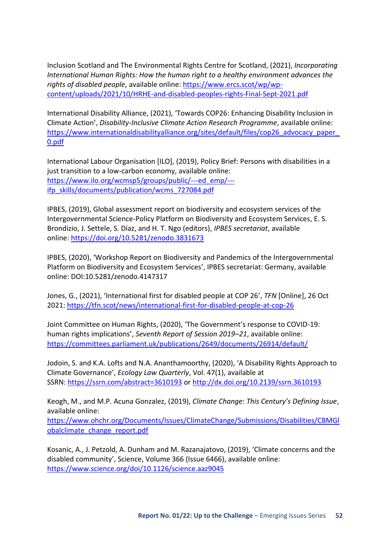Inclusion Scotland and The Environmental Rights Centre for Scotland, (2021), *Incorporating International Human Rights: How the human right to a healthy environment advances the rights of disabled people*, available online: [https://www.ercs.scot/wp/wp](https://www.ercs.scot/wp/wp-content/uploads/2021/10/HRHE-and-disabled-peoples-rights-Final-Sept-2021.pdf)[content/uploads/2021/10/HRHE-and-disabled-peoples-rights-Final-Sept-2021.pdf](https://www.ercs.scot/wp/wp-content/uploads/2021/10/HRHE-and-disabled-peoples-rights-Final-Sept-2021.pdf) 

International Disability Alliance, (2021), 'Towards COP26: Enhancing Disability Inclusion in Climate Action', *Disability-Inclusive Climate Action Research Programme*, available online: https://www.internationaldisabilityalliance.org/sites/default/files/cop26 advocacy paper [0.pdf](https://www.internationaldisabilityalliance.org/sites/default/files/cop26_advocacy_paper_0.pdf) 

International Labour Organisation [ILO], (2019), Policy Brief: Persons with disabilities in a just transition to a low-carbon economy, available online: [https://www.ilo.org/wcmsp5/groups/public/---ed\\_emp/--](https://www.ilo.org/wcmsp5/groups/public/---ed_emp/---ifp_skills/documents/publication/wcms_727084.pdf) [ifp\\_skills/documents/publication/wcms\\_727084.pdf](https://www.ilo.org/wcmsp5/groups/public/---ed_emp/---ifp_skills/documents/publication/wcms_727084.pdf)

IPBES, (2019), Global assessment report on biodiversity and ecosystem services of the Intergovernmental Science-Policy Platform on Biodiversity and Ecosystem Services, E. S. Brondizio, J. Settele, S. Díaz, and H. T. Ngo (editors), *IPBES secretariat*, available online:<https://doi.org/10.5281/zenodo.3831673>

IPBES, (2020), 'Workshop Report on Biodiversity and Pandemics of the Intergovernmental Platform on Biodiversity and Ecosystem Services', IPBES secretariat: Germany, available online: DOI:10.5281/zenodo.4147317

Jones, G., (2021), 'International first for disabled people at COP 26', *TFN* [Online], 26 Oct 2021:<https://tfn.scot/news/international-first-for-disabled-people-at-cop-26>

Joint Committee on Human Rights, (2020), 'The Government's response to COVID-19: human rights implications', *Seventh Report of Session 2019–21*, available online: <https://committees.parliament.uk/publications/2649/documents/26914/default/>

Jodoin, S. and K.A. Lofts and N.A. Ananthamoorthy, (2020), 'A Disability Rights Approach to Climate Governance', *Ecology Law Quarterly*, Vol. 47(1), available at SSRN:<https://ssrn.com/abstract=3610193> or [http://dx.doi.org/10.2139/ssrn.3610193](https://dx.doi.org/10.2139/ssrn.3610193)

Keogh, M., and M.P. Acuna Gonzalez, (2019), *Climate Change: This Century's Defining Issue*, available online:

[https://www.ohchr.org/Documents/Issues/ClimateChange/Submissions/Disabilities/CBMGl](https://www.ohchr.org/Documents/Issues/ClimateChange/Submissions/Disabilities/CBMGlobalclimate_change_report.pdf) [obalclimate\\_change\\_report.pdf](https://www.ohchr.org/Documents/Issues/ClimateChange/Submissions/Disabilities/CBMGlobalclimate_change_report.pdf) 

Kosanic, A., J. Petzold, A. Dunham and M. Razanajatovo, (2019), 'Climate concerns and the disabled community', Science, Volume 366 (Issue 6466), available online: <https://www.science.org/doi/10.1126/science.aaz9045>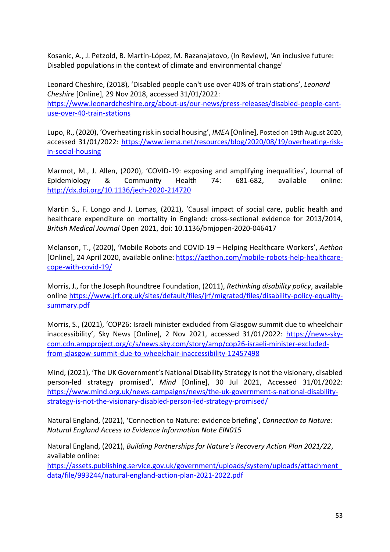Kosanic, A., J. Petzold, B. Martín-López, M. Razanajatovo, (In Review), 'An inclusive future: Disabled populations in the context of climate and environmental change'

Leonard Cheshire, (2018), 'Disabled people can't use over 40% of train stations', *Leonard Cheshire* [Online], 29 Nov 2018, accessed 31/01/2022: [https://www.leonardcheshire.org/about-us/our-news/press-releases/disabled-people-cant](https://www.leonardcheshire.org/about-us/our-news/press-releases/disabled-people-cant-use-over-40-train-stations)[use-over-40-train-stations](https://www.leonardcheshire.org/about-us/our-news/press-releases/disabled-people-cant-use-over-40-train-stations) 

Lupo, R., (2020), 'Overheating risk in social housing', *IMEA* [Online], Posted on 19th August 2020, accessed 31/01/2022: [https://www.iema.net/resources/blog/2020/08/19/overheating-risk](https://www.iema.net/resources/blog/2020/08/19/overheating-risk-in-social-housing)[in-social-housing](https://www.iema.net/resources/blog/2020/08/19/overheating-risk-in-social-housing) 

Marmot, M., J. Allen, (2020), 'COVID-19: exposing and amplifying inequalities', Journal of Epidemiology & Community Health 74: 681-682, available online: <http://dx.doi.org/10.1136/jech-2020-214720>

Martin S., F. Longo and J. Lomas, (2021), 'Causal impact of social care, public health and healthcare expenditure on mortality in England: cross-sectional evidence for 2013/2014, *British Medical Journal* Open 2021, doi: 10.1136/bmjopen-2020-046417

Melanson, T., (2020), 'Mobile Robots and COVID-19 – Helping Healthcare Workers', *Aethon* [Online], 24 April 2020, available online[: https://aethon.com/mobile-robots-help-healthcare](https://aethon.com/mobile-robots-help-healthcare-cope-with-covid-19/)[cope-with-covid-19/](https://aethon.com/mobile-robots-help-healthcare-cope-with-covid-19/) 

Morris, J., for the Joseph Roundtree Foundation, (2011), *Rethinking disability policy*, available online [https://www.jrf.org.uk/sites/default/files/jrf/migrated/files/disability-policy-equality](https://www.jrf.org.uk/sites/default/files/jrf/migrated/files/disability-policy-equality-summary.pdf)[summary.pdf](https://www.jrf.org.uk/sites/default/files/jrf/migrated/files/disability-policy-equality-summary.pdf) 

Morris, S., (2021), 'COP26: Israeli minister excluded from Glasgow summit due to wheelchair inaccessibility', Sky News [Online], 2 Nov 2021, accessed 31/01/2022: [https://news-sky](https://news-sky-com.cdn.ampproject.org/c/s/news.sky.com/story/amp/cop26-israeli-minister-excluded-from-glasgow-summit-due-to-wheelchair-inaccessibility-12457498)[com.cdn.ampproject.org/c/s/news.sky.com/story/amp/cop26-israeli-minister-excluded](https://news-sky-com.cdn.ampproject.org/c/s/news.sky.com/story/amp/cop26-israeli-minister-excluded-from-glasgow-summit-due-to-wheelchair-inaccessibility-12457498)[from-glasgow-summit-due-to-wheelchair-inaccessibility-12457498](https://news-sky-com.cdn.ampproject.org/c/s/news.sky.com/story/amp/cop26-israeli-minister-excluded-from-glasgow-summit-due-to-wheelchair-inaccessibility-12457498) 

Mind, (2021), 'The UK Government's National Disability Strategy is not the visionary, disabled person-led strategy promised', *Mind* [Online], 30 Jul 2021, Accessed 31/01/2022: [https://www.mind.org.uk/news-campaigns/news/the-uk-government-s-national-disability](https://www.mind.org.uk/news-campaigns/news/the-uk-government-s-national-disability-strategy-is-not-the-visionary-disabled-person-led-strategy-promised/)[strategy-is-not-the-visionary-disabled-person-led-strategy-promised/](https://www.mind.org.uk/news-campaigns/news/the-uk-government-s-national-disability-strategy-is-not-the-visionary-disabled-person-led-strategy-promised/) 

Natural England, (2021), 'Connection to Nature: evidence briefing', *Connection to Nature: Natural England Access to Evidence Information Note EIN015*

Natural England, (2021), *Building Partnerships for Nature's Recovery Action Plan 2021/22*, available online:

[https://assets.publishing.service.gov.uk/government/uploads/system/uploads/attachment\\_](https://assets.publishing.service.gov.uk/government/uploads/system/uploads/attachment_data/file/993244/natural-england-action-plan-2021-2022.pdf) [data/file/993244/natural-england-action-plan-2021-2022.pdf](https://assets.publishing.service.gov.uk/government/uploads/system/uploads/attachment_data/file/993244/natural-england-action-plan-2021-2022.pdf)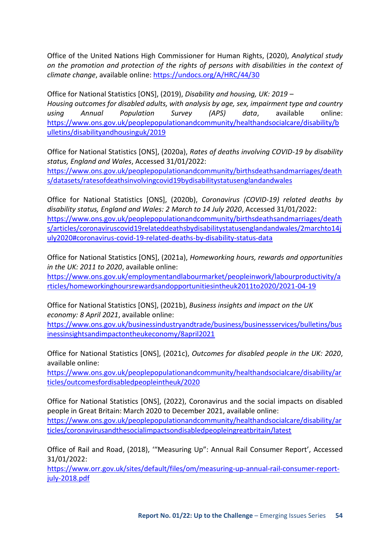Office of the United Nations High Commissioner for Human Rights, (2020), *Analytical study on the promotion and protection of the rights of persons with disabilities in the context of climate change*, available online:<https://undocs.org/A/HRC/44/30>

Office for National Statistics [ONS], (2019), *Disability and housing, UK: 2019 – Housing outcomes for disabled adults, with analysis by age, sex, impairment type and country using Annual Population Survey (APS) data*, available online: [https://www.ons.gov.uk/peoplepopulationandcommunity/healthandsocialcare/disability/b](https://www.ons.gov.uk/peoplepopulationandcommunity/healthandsocialcare/disability/bulletins/disabilityandhousinguk/2019) [ulletins/disabilityandhousinguk/2019](https://www.ons.gov.uk/peoplepopulationandcommunity/healthandsocialcare/disability/bulletins/disabilityandhousinguk/2019) 

Office for National Statistics [ONS], (2020a), *Rates of deaths involving COVID-19 by disability status, England and Wales*, Accessed 31/01/2022: [https://www.ons.gov.uk/peoplepopulationandcommunity/birthsdeathsandmarriages/death](https://www.ons.gov.uk/peoplepopulationandcommunity/birthsdeathsandmarriages/deaths/datasets/ratesofdeathsinvolvingcovid19bydisabilitystatusenglandandwales) [s/datasets/ratesofdeathsinvolvingcovid19bydisabilitystatusenglandandwales](https://www.ons.gov.uk/peoplepopulationandcommunity/birthsdeathsandmarriages/deaths/datasets/ratesofdeathsinvolvingcovid19bydisabilitystatusenglandandwales) 

Office for National Statistics [ONS], (2020b), *Coronavirus (COVID-19) related deaths by disability status, England and Wales: 2 March to 14 July 2020*, Accessed 31/01/2022: [https://www.ons.gov.uk/peoplepopulationandcommunity/birthsdeathsandmarriages/death](https://www.ons.gov.uk/peoplepopulationandcommunity/birthsdeathsandmarriages/deaths/articles/coronaviruscovid19relateddeathsbydisabilitystatusenglandandwales/2marchto14july2020#coronavirus-covid-19-related-deaths-by-disability-status-data) [s/articles/coronaviruscovid19relateddeathsbydisabilitystatusenglandandwales/2marchto14j](https://www.ons.gov.uk/peoplepopulationandcommunity/birthsdeathsandmarriages/deaths/articles/coronaviruscovid19relateddeathsbydisabilitystatusenglandandwales/2marchto14july2020#coronavirus-covid-19-related-deaths-by-disability-status-data) [uly2020#coronavirus-covid-19-related-deaths-by-disability-status-data](https://www.ons.gov.uk/peoplepopulationandcommunity/birthsdeathsandmarriages/deaths/articles/coronaviruscovid19relateddeathsbydisabilitystatusenglandandwales/2marchto14july2020#coronavirus-covid-19-related-deaths-by-disability-status-data) 

Office for National Statistics [ONS], (2021a), *Homeworking hours, rewards and opportunities in the UK: 2011 to 2020*, available online:

[https://www.ons.gov.uk/employmentandlabourmarket/peopleinwork/labourproductivity/a](https://www.ons.gov.uk/employmentandlabourmarket/peopleinwork/labourproductivity/articles/homeworkinghoursrewardsandopportunitiesintheuk2011to2020/2021-04-19) [rticles/homeworkinghoursrewardsandopportunitiesintheuk2011to2020/2021-04-19](https://www.ons.gov.uk/employmentandlabourmarket/peopleinwork/labourproductivity/articles/homeworkinghoursrewardsandopportunitiesintheuk2011to2020/2021-04-19) 

Office for National Statistics [ONS], (2021b), *Business insights and impact on the UK economy: 8 April 2021*, available online:

[https://www.ons.gov.uk/businessindustryandtrade/business/businessservices/bulletins/bus](https://www.ons.gov.uk/businessindustryandtrade/business/businessservices/bulletins/businessinsightsandimpactontheukeconomy/8april2021) [inessinsightsandimpactontheukeconomy/8april2021](https://www.ons.gov.uk/businessindustryandtrade/business/businessservices/bulletins/businessinsightsandimpactontheukeconomy/8april2021) 

Office for National Statistics [ONS], (2021c), *Outcomes for disabled people in the UK: 2020*, available online:

[https://www.ons.gov.uk/peoplepopulationandcommunity/healthandsocialcare/disability/ar](https://www.ons.gov.uk/peoplepopulationandcommunity/healthandsocialcare/disability/articles/outcomesfordisabledpeopleintheuk/2020) [ticles/outcomesfordisabledpeopleintheuk/2020](https://www.ons.gov.uk/peoplepopulationandcommunity/healthandsocialcare/disability/articles/outcomesfordisabledpeopleintheuk/2020) 

Office for National Statistics [ONS], (2022), Coronavirus and the social impacts on disabled people in Great Britain: March 2020 to December 2021, available online: [https://www.ons.gov.uk/peoplepopulationandcommunity/healthandsocialcare/disability/ar](https://www.ons.gov.uk/peoplepopulationandcommunity/healthandsocialcare/disability/articles/coronavirusandthesocialimpactsondisabledpeopleingreatbritain/latest) [ticles/coronavirusandthesocialimpactsondisabledpeopleingreatbritain/latest](https://www.ons.gov.uk/peoplepopulationandcommunity/healthandsocialcare/disability/articles/coronavirusandthesocialimpactsondisabledpeopleingreatbritain/latest) 

Office of Rail and Road, (2018), '"Measuring Up": Annual Rail Consumer Report', Accessed 31/01/2022:

[https://www.orr.gov.uk/sites/default/files/om/measuring-up-annual-rail-consumer-report](https://www.orr.gov.uk/sites/default/files/om/measuring-up-annual-rail-consumer-report-july-2018.pdf)[july-2018.pdf](https://www.orr.gov.uk/sites/default/files/om/measuring-up-annual-rail-consumer-report-july-2018.pdf)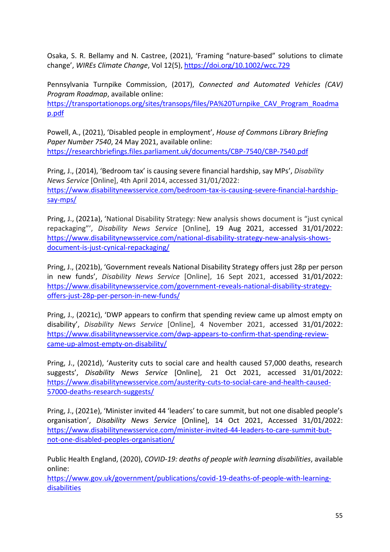Osaka, S. R. Bellamy and N. Castree, (2021), 'Framing "nature-based" solutions to climate change', *WIREs Climate Change*, Vol 12(5),<https://doi.org/10.1002/wcc.729>

Pennsylvania Turnpike Commission, (2017), *Connected and Automated Vehicles (CAV) Program Roadmap*, available online:

[https://transportationops.org/sites/transops/files/PA%20Turnpike\\_CAV\\_Program\\_Roadma](https://transportationops.org/sites/transops/files/PA%20Turnpike_CAV_Program_Roadmap.pdf) [p.pdf](https://transportationops.org/sites/transops/files/PA%20Turnpike_CAV_Program_Roadmap.pdf) 

Powell, A., (2021), 'Disabled people in employment', *House of Commons Library Briefing Paper Number 7540*, 24 May 2021, available online: <https://researchbriefings.files.parliament.uk/documents/CBP-7540/CBP-7540.pdf>

Pring, J., (2014), 'Bedroom tax' is causing severe financial hardship, say MPs', *Disability News Service* [Online], 4th April 2014, accessed 31/01/2022: [https://www.disabilitynewsservice.com/bedroom-tax-is-causing-severe-financial-hardship](https://www.disabilitynewsservice.com/bedroom-tax-is-causing-severe-financial-hardship-say-mps/)[say-mps/](https://www.disabilitynewsservice.com/bedroom-tax-is-causing-severe-financial-hardship-say-mps/) 

Pring, J., (2021a), 'National Disability Strategy: New analysis shows document is "just cynical repackaging"', *Disability News Service* [Online], 19 Aug 2021, accessed 31/01/2022: [https://www.disabilitynewsservice.com/national-disability-strategy-new-analysis-shows](https://www.disabilitynewsservice.com/national-disability-strategy-new-analysis-shows-document-is-just-cynical-repackaging/)[document-is-just-cynical-repackaging/](https://www.disabilitynewsservice.com/national-disability-strategy-new-analysis-shows-document-is-just-cynical-repackaging/) 

Pring, J., (2021b), 'Government reveals National Disability Strategy offers just 28p per person in new funds', *Disability News Service* [Online], 16 Sept 2021, accessed 31/01/2022: [https://www.disabilitynewsservice.com/government-reveals-national-disability-strategy](https://www.disabilitynewsservice.com/government-reveals-national-disability-strategy-offers-just-28p-per-person-in-new-funds/)[offers-just-28p-per-person-in-new-funds/](https://www.disabilitynewsservice.com/government-reveals-national-disability-strategy-offers-just-28p-per-person-in-new-funds/) 

Pring, J., (2021c), 'DWP appears to confirm that spending review came up almost empty on disability', *Disability News Service* [Online], 4 November 2021, accessed 31/01/2022: [https://www.disabilitynewsservice.com/dwp-appears-to-confirm-that-spending-review](https://www.disabilitynewsservice.com/dwp-appears-to-confirm-that-spending-review-came-up-almost-empty-on-disability/)[came-up-almost-empty-on-disability/](https://www.disabilitynewsservice.com/dwp-appears-to-confirm-that-spending-review-came-up-almost-empty-on-disability/)

Pring, J., (2021d), 'Austerity cuts to social care and health caused 57,000 deaths, research suggests', *Disability News Service* [Online], 21 Oct 2021, accessed 31/01/2022: [https://www.disabilitynewsservice.com/austerity-cuts-to-social-care-and-health-caused-](https://www.disabilitynewsservice.com/austerity-cuts-to-social-care-and-health-caused-57000-deaths-research-suggests/)[57000-deaths-research-suggests/](https://www.disabilitynewsservice.com/austerity-cuts-to-social-care-and-health-caused-57000-deaths-research-suggests/) 

Pring, J., (2021e), 'Minister invited 44 'leaders' to care summit, but not one disabled people's organisation', *Disability News Service* [Online], 14 Oct 2021, Accessed 31/01/2022: [https://www.disabilitynewsservice.com/minister-invited-44-leaders-to-care-summit-but](https://www.disabilitynewsservice.com/minister-invited-44-leaders-to-care-summit-but-not-one-disabled-peoples-organisation/)[not-one-disabled-peoples-organisation/](https://www.disabilitynewsservice.com/minister-invited-44-leaders-to-care-summit-but-not-one-disabled-peoples-organisation/) 

Public Health England, (2020), *COVID-19: deaths of people with learning disabilities*, available online:

[https://www.gov.uk/government/publications/covid-19-deaths-of-people-with-learning](https://www.gov.uk/government/publications/covid-19-deaths-of-people-with-learning-disabilities)[disabilities](https://www.gov.uk/government/publications/covid-19-deaths-of-people-with-learning-disabilities)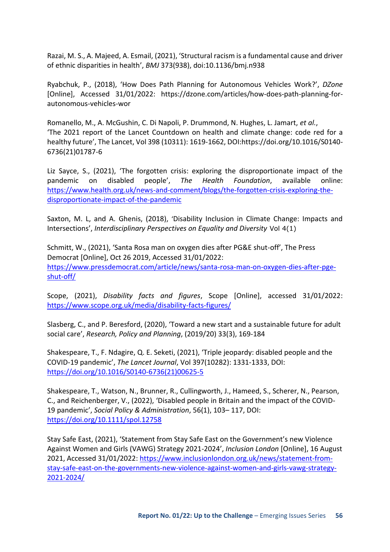Razai, M. S., A. Majeed, A. Esmail, (2021), 'Structural racism is a fundamental cause and driver of ethnic disparities in health', *BMJ* 373(938), doi:10.1136/bmj.n938

Ryabchuk, P., (2018), 'How Does Path Planning for Autonomous Vehicles Work?', *DZone*  [Online], Accessed 31/01/2022: https://dzone.com/articles/how-does-path-planning-forautonomous-vehicles-wor

Romanello, M., A. McGushin, C. Di Napoli, P. Drummond, N. Hughes, L. Jamart, *et al.*, 'The 2021 report of the Lancet Countdown on health and climate change: code red for a healthy future', The Lancet, Vol 398 (10311): 1619-1662, DOI:https://doi.org/10.1016/S0140- 6736(21)01787-6

Liz Sayce, S., (2021), 'The forgotten crisis: exploring the disproportionate impact of the pandemic on disabled people', *The Health Foundation*, available online: [https://www.health.org.uk/news-and-comment/blogs/the-forgotten-crisis-exploring-the](https://www.health.org.uk/news-and-comment/blogs/the-forgotten-crisis-exploring-the-disproportionate-impact-of-the-pandemic)[disproportionate-impact-of-the-pandemic](https://www.health.org.uk/news-and-comment/blogs/the-forgotten-crisis-exploring-the-disproportionate-impact-of-the-pandemic) 

Saxton, M. L, and A. Ghenis, (2018), 'Disability Inclusion in Climate Change: Impacts and Intersections', *Interdisciplinary Perspectives on Equality and Diversity* Vol 4(1)

Schmitt, W., (2021), 'Santa Rosa man on oxygen dies after PG&E shut-off', The Press Democrat [Online], Oct 26 2019, Accessed 31/01/2022: [https://www.pressdemocrat.com/article/news/santa-rosa-man-on-oxygen-dies-after-pge](https://www.pressdemocrat.com/article/news/santa-rosa-man-on-oxygen-dies-after-pge-shut-off/)[shut-off/](https://www.pressdemocrat.com/article/news/santa-rosa-man-on-oxygen-dies-after-pge-shut-off/) 

Scope, (2021), *Disability facts and figures*, Scope [Online], accessed 31/01/2022: <https://www.scope.org.uk/media/disability-facts-figures/>

Slasberg, C., and P. Beresford, (2020), 'Toward a new start and a sustainable future for adult social care', *Research, Policy and Planning*, (2019/20) 33(3), 169-184

Shakespeare, T., F. Ndagire, Q. E. Seketi, (2021), 'Triple jeopardy: disabled people and the COVID-19 pandemic', *The Lancet Journal*, Vol 397(10282): 1331-1333, DOI: [https://doi.org/10.1016/S0140-6736\(21\)00625-5](https://doi.org/10.1016/S0140-6736(21)00625-5)

Shakespeare, T., Watson, N., Brunner, R., Cullingworth, J., Hameed, S., Scherer, N., Pearson, C., and Reichenberger, V., (2022), 'Disabled people in Britain and the impact of the COVID-19 pandemic', *Social Policy & Administration*, 56(1), 103– 117, DOI: <https://doi.org/10.1111/spol.12758>

Stay Safe East, (2021), 'Statement from Stay Safe East on the Government's new Violence Against Women and Girls (VAWG) Strategy 2021-2024', *Inclusion London* [Online], 16 August 2021, Accessed 31/01/2022: [https://www.inclusionlondon.org.uk/news/statement-from](https://www.inclusionlondon.org.uk/news/statement-from-stay-safe-east-on-the-governments-new-violence-against-women-and-girls-vawg-strategy-2021-2024/)[stay-safe-east-on-the-governments-new-violence-against-women-and-girls-vawg-strategy-](https://www.inclusionlondon.org.uk/news/statement-from-stay-safe-east-on-the-governments-new-violence-against-women-and-girls-vawg-strategy-2021-2024/)[2021-2024/](https://www.inclusionlondon.org.uk/news/statement-from-stay-safe-east-on-the-governments-new-violence-against-women-and-girls-vawg-strategy-2021-2024/)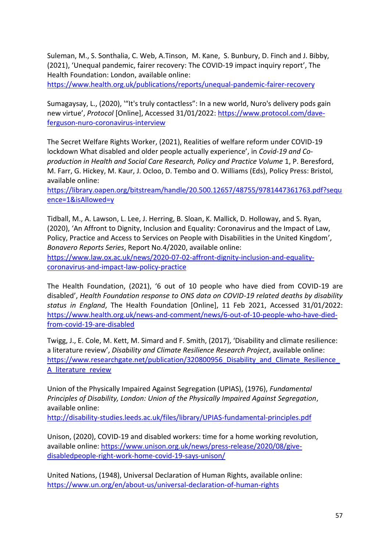Suleman, M., S. Sonthalia, C. Web, A.Tinson, M. Kane, S. Bunbury, D. Finch and J. Bibby, (2021), 'Unequal pandemic, fairer recovery: The COVID-19 impact inquiry report', The Health Foundation: London, available online:

<https://www.health.org.uk/publications/reports/unequal-pandemic-fairer-recovery>

Sumagaysay, L., (2020), '"It's truly contactless": In a new world, Nuro's delivery pods gain new virtue', *Protocol* [Online], Accessed 31/01/2022: [https://www.protocol.com/dave](https://www.protocol.com/dave-ferguson-nuro-coronavirus-interview)[ferguson-nuro-coronavirus-interview](https://www.protocol.com/dave-ferguson-nuro-coronavirus-interview) 

The Secret Welfare Rights Worker, (2021), Realities of welfare reform under COVID-19 lockdown What disabled and older people actually experience', in *Covid-19 and Coproduction in Health and Social Care Research, Policy and Practice Volume* 1, P. Beresford, M. Farr, G. Hickey, M. Kaur, J. Ocloo, D. Tembo and O. Williams (Eds), Policy Press: Bristol, available online:

[https://library.oapen.org/bitstream/handle/20.500.12657/48755/9781447361763.pdf?sequ](https://library.oapen.org/bitstream/handle/20.500.12657/48755/9781447361763.pdf?sequence=1&isAllowed=y) [ence=1&isAllowed=y](https://library.oapen.org/bitstream/handle/20.500.12657/48755/9781447361763.pdf?sequence=1&isAllowed=y) 

Tidball, M., A. Lawson, L. Lee, J. Herring, B. Sloan, K. Mallick, D. Holloway, and S. Ryan, (2020), 'An Affront to Dignity, Inclusion and Equality: Coronavirus and the Impact of Law, Policy, Practice and Access to Services on People with Disabilities in the United Kingdom', *Bonavero Reports Series*, Report No.4/2020, available online:

[https://www.law.ox.ac.uk/news/2020-07-02-affront-dignity-inclusion-and-equality](https://www.law.ox.ac.uk/news/2020-07-02-affront-dignity-inclusion-and-equality-coronavirus-and-impact-law-policy-practice)[coronavirus-and-impact-law-policy-practice](https://www.law.ox.ac.uk/news/2020-07-02-affront-dignity-inclusion-and-equality-coronavirus-and-impact-law-policy-practice) 

The Health Foundation, (2021), '6 out of 10 people who have died from COVID-19 are disabled', *Health Foundation response to ONS data on COVID-19 related deaths by disability status in England*, The Health Foundation [Online], 11 Feb 2021, Accessed 31/01/2022: [https://www.health.org.uk/news-and-comment/news/6-out-of-10-people-who-have-died](https://www.health.org.uk/news-and-comment/news/6-out-of-10-people-who-have-died-from-covid-19-are-disabled)[from-covid-19-are-disabled](https://www.health.org.uk/news-and-comment/news/6-out-of-10-people-who-have-died-from-covid-19-are-disabled)

Twigg, J., E. Cole, M. Kett, M. Simard and F. Smith, (2017), 'Disability and climate resilience: a literature review', *Disability and Climate Resilience Research Project*, available online: https://www.researchgate.net/publication/320800956\_Disability\_and\_Climate\_Resilience [A\\_literature\\_review](https://www.researchgate.net/publication/320800956_Disability_and_Climate_Resilience_A_literature_review) 

Union of the Physically Impaired Against Segregation (UPIAS), (1976), *Fundamental Principles of Disability, London: Union of the Physically Impaired Against Segregation*, available online:

<http://disability-studies.leeds.ac.uk/files/library/UPIAS-fundamental-principles.pdf>

Unison, (2020), COVID-19 and disabled workers: time for a home working revolution, available online: [https://www.unison.org.uk/news/press-release/2020/08/give](https://www.unison.org.uk/news/press-release/2020/08/give-disabledpeople-right-work-home-covid-19-says-unison/)[disabledpeople-right-work-home-covid-19-says-unison/](https://www.unison.org.uk/news/press-release/2020/08/give-disabledpeople-right-work-home-covid-19-says-unison/) 

United Nations, (1948), Universal Declaration of Human Rights, available online: <https://www.un.org/en/about-us/universal-declaration-of-human-rights>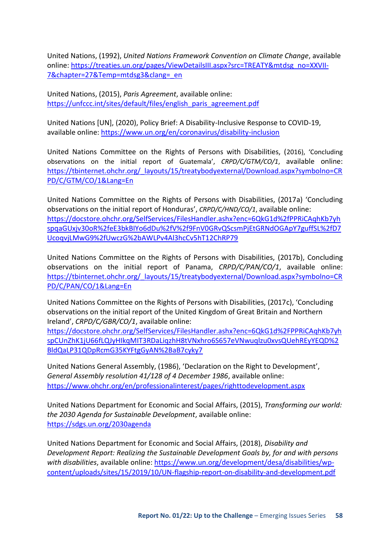United Nations, (1992), *United Nations Framework Convention on Climate Change*, available online: [https://treaties.un.org/pages/ViewDetailsIII.aspx?src=TREATY&mtdsg\\_no=XXVII-](https://treaties.un.org/pages/ViewDetailsIII.aspx?src=TREATY&mtdsg_no=XXVII-7&chapter=27&Temp=mtdsg3&clang=_en)[7&chapter=27&Temp=mtdsg3&clang=\\_en](https://treaties.un.org/pages/ViewDetailsIII.aspx?src=TREATY&mtdsg_no=XXVII-7&chapter=27&Temp=mtdsg3&clang=_en) 

United Nations, (2015), *Paris Agreement*, available online: https://unfccc.int/sites/default/files/english\_paris\_agreement.pdf

United Nations [UN], (2020), Policy Brief: A Disability-Inclusive Response to COVID-19, available online:<https://www.un.org/en/coronavirus/disability-inclusion>

United Nations Committee on the Rights of Persons with Disabilities, (2016), 'Concluding observations on the initial report of Guatemala', *CRPD/C/GTM/CO/1*, available online: [https://tbinternet.ohchr.org/\\_layouts/15/treatybodyexternal/Download.aspx?symbolno=CR](https://tbinternet.ohchr.org/_layouts/15/treatybodyexternal/Download.aspx?symbolno=CRPD/C/GTM/CO/1&Lang=En) [PD/C/GTM/CO/1&Lang=En](https://tbinternet.ohchr.org/_layouts/15/treatybodyexternal/Download.aspx?symbolno=CRPD/C/GTM/CO/1&Lang=En) 

United Nations Committee on the Rights of Persons with Disabilities, (2017a) 'Concluding observations on the initial report of Honduras', *CRPD/C/HND/CO/1*, available online: [https://docstore.ohchr.org/SelfServices/FilesHandler.ashx?enc=6QkG1d%2fPPRiCAqhKb7yh](https://docstore.ohchr.org/SelfServices/FilesHandler.ashx?enc=6QkG1d%2fPPRiCAqhKb7yhspqaGUxjv30oR%2feE3bkBIYo6dDu%2fV%2f9FnV0GRvQScsmPjEtGRNdOGApY7guffSL%2fD7UcoqvjLMwG9%2fUwczG%2bAWLPv4Al3hcCv5hT12ChRP79) [spqaGUxjv30oR%2feE3bkBIYo6dDu%2fV%2f9FnV0GRvQScsmPjEtGRNdOGApY7guffSL%2fD7](https://docstore.ohchr.org/SelfServices/FilesHandler.ashx?enc=6QkG1d%2fPPRiCAqhKb7yhspqaGUxjv30oR%2feE3bkBIYo6dDu%2fV%2f9FnV0GRvQScsmPjEtGRNdOGApY7guffSL%2fD7UcoqvjLMwG9%2fUwczG%2bAWLPv4Al3hcCv5hT12ChRP79) [UcoqvjLMwG9%2fUwczG%2bAWLPv4Al3hcCv5hT12ChRP79](https://docstore.ohchr.org/SelfServices/FilesHandler.ashx?enc=6QkG1d%2fPPRiCAqhKb7yhspqaGUxjv30oR%2feE3bkBIYo6dDu%2fV%2f9FnV0GRvQScsmPjEtGRNdOGApY7guffSL%2fD7UcoqvjLMwG9%2fUwczG%2bAWLPv4Al3hcCv5hT12ChRP79) 

United Nations Committee on the Rights of Persons with Disabilities, (2017b), Concluding observations on the initial report of Panama, *CRPD/C/PAN/CO/1*, available online: [https://tbinternet.ohchr.org/\\_layouts/15/treatybodyexternal/Download.aspx?symbolno=CR](https://tbinternet.ohchr.org/_layouts/15/treatybodyexternal/Download.aspx?symbolno=CRPD/C/PAN/CO/1&Lang=En) [PD/C/PAN/CO/1&Lang=En](https://tbinternet.ohchr.org/_layouts/15/treatybodyexternal/Download.aspx?symbolno=CRPD/C/PAN/CO/1&Lang=En) 

United Nations Committee on the Rights of Persons with Disabilities, (2017c), 'Concluding observations on the initial report of the United Kingdom of Great Britain and Northern Ireland', *CRPD/C/GBR/CO/1*, available online:

[https://docstore.ohchr.org/SelfServices/FilesHandler.ashx?enc=6QkG1d%2FPPRiCAqhKb7yh](https://docstore.ohchr.org/SelfServices/FilesHandler.ashx?enc=6QkG1d%2FPPRiCAqhKb7yhspCUnZhK1jU66fLQJyHIkqMIT3RDaLiqzhH8tVNxhro6S657eVNwuqlzu0xvsQUehREyYEQD%2BldQaLP31QDpRcmG35KYFtgGyAN%2BaB7cyky7) [spCUnZhK1jU66fLQJyHIkqMIT3RDaLiqzhH8tVNxhro6S657eVNwuqlzu0xvsQUehREyYEQD%2](https://docstore.ohchr.org/SelfServices/FilesHandler.ashx?enc=6QkG1d%2FPPRiCAqhKb7yhspCUnZhK1jU66fLQJyHIkqMIT3RDaLiqzhH8tVNxhro6S657eVNwuqlzu0xvsQUehREyYEQD%2BldQaLP31QDpRcmG35KYFtgGyAN%2BaB7cyky7) [BldQaLP31QDpRcmG35KYFtgGyAN%2BaB7cyky7](https://docstore.ohchr.org/SelfServices/FilesHandler.ashx?enc=6QkG1d%2FPPRiCAqhKb7yhspCUnZhK1jU66fLQJyHIkqMIT3RDaLiqzhH8tVNxhro6S657eVNwuqlzu0xvsQUehREyYEQD%2BldQaLP31QDpRcmG35KYFtgGyAN%2BaB7cyky7)

United Nations General Assembly, (1986), 'Declaration on the Right to Development', *General Assembly resolution 41/128 of 4 December 1986*, available online: <https://www.ohchr.org/en/professionalinterest/pages/righttodevelopment.aspx>

United Nations Department for Economic and Social Affairs, (2015), *Transforming our world: the 2030 Agenda for Sustainable Development*, available online: <https://sdgs.un.org/2030agenda>

United Nations Department for Economic and Social Affairs, (2018), *Disability and Development Report: Realizing the Sustainable Development Goals by, for and with persons with disabilities*, available online: [https://www.un.org/development/desa/disabilities/wp](https://www.un.org/development/desa/disabilities/wp-content/uploads/sites/15/2019/10/UN-flagship-report-on-disability-and-development.pdf)[content/uploads/sites/15/2019/10/UN-flagship-report-on-disability-and-development.pdf](https://www.un.org/development/desa/disabilities/wp-content/uploads/sites/15/2019/10/UN-flagship-report-on-disability-and-development.pdf)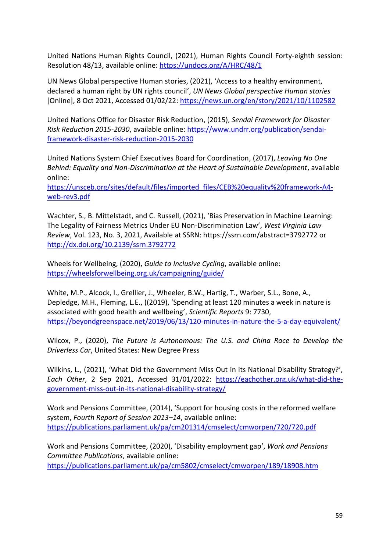United Nations Human Rights Council, (2021), Human Rights Council Forty-eighth session: Resolution 48/13, available online:<https://undocs.org/A/HRC/48/1>

UN News Global perspective Human stories, (2021), 'Access to a healthy environment, declared a human right by UN rights council', *UN News Global perspective Human stories* [Online], 8 Oct 2021, Accessed 01/02/22:<https://news.un.org/en/story/2021/10/1102582>

United Nations Office for Disaster Risk Reduction, (2015), *Sendai Framework for Disaster Risk Reduction 2015-2030*, available online: [https://www.undrr.org/publication/sendai](https://www.undrr.org/publication/sendai-framework-disaster-risk-reduction-2015-2030)[framework-disaster-risk-reduction-2015-2030](https://www.undrr.org/publication/sendai-framework-disaster-risk-reduction-2015-2030) 

United Nations System Chief Executives Board for Coordination, (2017), *Leaving No One Behind: Equality and Non-Discrimination at the Heart of Sustainable Development*, available online:

[https://unsceb.org/sites/default/files/imported\\_files/CEB%20equality%20framework-A4](https://unsceb.org/sites/default/files/imported_files/CEB%20equality%20framework-A4-web-rev3.pdf) [web-rev3.pdf](https://unsceb.org/sites/default/files/imported_files/CEB%20equality%20framework-A4-web-rev3.pdf) 

Wachter, S., B. Mittelstadt, and C. Russell, (2021), 'Bias Preservation in Machine Learning: The Legality of Fairness Metrics Under EU Non-Discrimination Law', *West Virginia Law Review*, Vol. 123, No. 3, 2021, Available at SSRN: https://ssrn.com/abstract=3792772 or <http://dx.doi.org/10.2139/ssrn.3792772>

Wheels for Wellbeing, (2020), *Guide to Inclusive Cycling*, available online: <https://wheelsforwellbeing.org.uk/campaigning/guide/>

White, M.P., Alcock, I., Grellier, J., Wheeler, B.W., Hartig, T., Warber, S.L., Bone, A., Depledge, M.H., Fleming, L.E., ((2019), 'Spending at least 120 minutes a week in nature is associated with good health and wellbeing', *Scientific Reports* 9: 7730, <https://beyondgreenspace.net/2019/06/13/120-minutes-in-nature-the-5-a-day-equivalent/>

Wilcox, P., (2020), *The Future is Autonomous: The U.S. and China Race to Develop the Driverless Car*, United States: New Degree Press

Wilkins, L., (2021), 'What Did the Government Miss Out in its National Disability Strategy?', *Each Other*, 2 Sep 2021, Accessed 31/01/2022: [https://eachother.org.uk/what-did-the](https://eachother.org.uk/what-did-the-government-miss-out-in-its-national-disability-strategy/)[government-miss-out-in-its-national-disability-strategy/](https://eachother.org.uk/what-did-the-government-miss-out-in-its-national-disability-strategy/) 

Work and Pensions Committee, (2014), 'Support for housing costs in the reformed welfare system, *Fourth Report of Session 2013–14*, available online: <https://publications.parliament.uk/pa/cm201314/cmselect/cmworpen/720/720.pdf>

Work and Pensions Committee, (2020), 'Disability employment gap', *Work and Pensions Committee Publications*, available online: <https://publications.parliament.uk/pa/cm5802/cmselect/cmworpen/189/18908.htm>